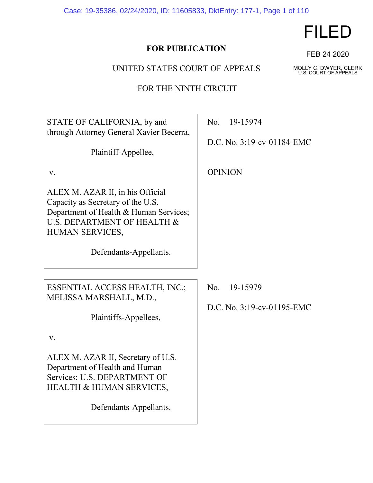Case: 19-35386, 02/24/2020, ID: 11605833, DktEntry: 177-1, Page 1 of 110

# **FOR PUBLICATION**

UNITED STATES COURT OF APPEALS

FOR THE NINTH CIRCUIT

| STATE OF CALIFORNIA, by and<br>through Attorney General Xavier Becerra,                                                                                           | No.<br>19-15974                               |
|-------------------------------------------------------------------------------------------------------------------------------------------------------------------|-----------------------------------------------|
| Plaintiff-Appellee,                                                                                                                                               | D.C. No. 3:19-cv-01184-EMC                    |
| V.                                                                                                                                                                | <b>OPINION</b>                                |
| ALEX M. AZAR II, in his Official<br>Capacity as Secretary of the U.S.<br>Department of Health & Human Services;<br>U.S. DEPARTMENT OF HEALTH &<br>HUMAN SERVICES, |                                               |
| Defendants-Appellants.                                                                                                                                            |                                               |
|                                                                                                                                                                   |                                               |
| ESSENTIAL ACCESS HEALTH, INC.;<br>MELISSA MARSHALL, M.D.,                                                                                                         | No.<br>19-15979<br>D.C. No. 3:19-cv-01195-EMC |
| Plaintiffs-Appellees,                                                                                                                                             |                                               |
| V.                                                                                                                                                                |                                               |
| ALEX M. AZAR II, Secretary of U.S.<br>Department of Health and Human<br>Services; U.S. DEPARTMENT OF<br><b>HEALTH &amp; HUMAN SERVICES,</b>                       |                                               |
| Defendants-Appellants.                                                                                                                                            |                                               |

FILED

FEB 24 2020

MOLLY C. DWYER, CLERK U.S. COURT OF APPEALS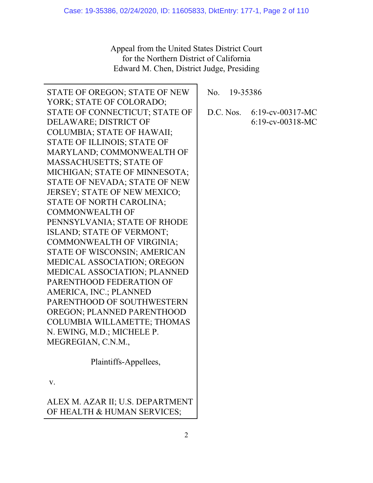Appeal from the United States District Court for the Northern District of California Edward M. Chen, District Judge, Presiding

| STATE OF OREGON; STATE OF NEW      | No. 19-35386 |                     |
|------------------------------------|--------------|---------------------|
| YORK; STATE OF COLORADO;           |              |                     |
| STATE OF CONNECTICUT; STATE OF     | D.C. Nos.    | $6:19$ -cv-00317-MC |
| DELAWARE; DISTRICT OF              |              | $6:19$ -cv-00318-MC |
| <b>COLUMBIA; STATE OF HAWAII;</b>  |              |                     |
| STATE OF ILLINOIS; STATE OF        |              |                     |
| MARYLAND; COMMONWEALTH OF          |              |                     |
| <b>MASSACHUSETTS; STATE OF</b>     |              |                     |
| MICHIGAN; STATE OF MINNESOTA;      |              |                     |
| STATE OF NEVADA; STATE OF NEW      |              |                     |
| JERSEY; STATE OF NEW MEXICO;       |              |                     |
| STATE OF NORTH CAROLINA;           |              |                     |
| <b>COMMONWEALTH OF</b>             |              |                     |
| PENNSYLVANIA; STATE OF RHODE       |              |                     |
| ISLAND; STATE OF VERMONT;          |              |                     |
| <b>COMMONWEALTH OF VIRGINIA;</b>   |              |                     |
| STATE OF WISCONSIN; AMERICAN       |              |                     |
| MEDICAL ASSOCIATION; OREGON        |              |                     |
| MEDICAL ASSOCIATION; PLANNED       |              |                     |
| PARENTHOOD FEDERATION OF           |              |                     |
| AMERICA, INC.; PLANNED             |              |                     |
| PARENTHOOD OF SOUTHWESTERN         |              |                     |
| OREGON; PLANNED PARENTHOOD         |              |                     |
| <b>COLUMBIA WILLAMETTE; THOMAS</b> |              |                     |
| N. EWING, M.D.; MICHELE P.         |              |                     |
| MEGREGIAN, C.N.M.,                 |              |                     |
| Plaintiffs-Appellees,              |              |                     |
| V.                                 |              |                     |
| ALEX M. AZAR II; U.S. DEPARTMENT   |              |                     |

OF HEALTH & HUMAN SERVICES;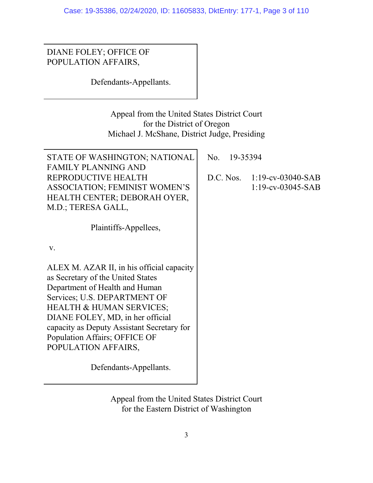DIANE FOLEY; OFFICE OF POPULATION AFFAIRS,

Defendants-Appellants.

Appeal from the United States District Court for the District of Oregon Michael J. McShane, District Judge, Presiding

| STATE OF WASHINGTON; NATIONAL<br><b>FAMILY PLANNING AND</b>                                                                                                                                                                                                                                                                       | No. | 19-35394 |                                                     |
|-----------------------------------------------------------------------------------------------------------------------------------------------------------------------------------------------------------------------------------------------------------------------------------------------------------------------------------|-----|----------|-----------------------------------------------------|
| REPRODUCTIVE HEALTH<br><b>ASSOCIATION; FEMINIST WOMEN'S</b><br>HEALTH CENTER; DEBORAH OYER,<br>M.D.; TERESA GALL,                                                                                                                                                                                                                 |     |          | D.C. Nos. 1:19-cv-03040-SAB<br>$1:19$ -cv-03045-SAB |
| Plaintiffs-Appellees,                                                                                                                                                                                                                                                                                                             |     |          |                                                     |
| V.                                                                                                                                                                                                                                                                                                                                |     |          |                                                     |
| ALEX M. AZAR II, in his official capacity<br>as Secretary of the United States<br>Department of Health and Human<br>Services; U.S. DEPARTMENT OF<br><b>HEALTH &amp; HUMAN SERVICES;</b><br>DIANE FOLEY, MD, in her official<br>capacity as Deputy Assistant Secretary for<br>Population Affairs; OFFICE OF<br>POPULATION AFFAIRS, |     |          |                                                     |
| Defendants-Appellants.                                                                                                                                                                                                                                                                                                            |     |          |                                                     |

Appeal from the United States District Court for the Eastern District of Washington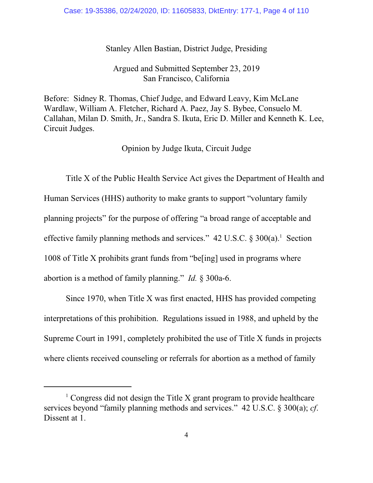## Stanley Allen Bastian, District Judge, Presiding

## Argued and Submitted September 23, 2019 San Francisco, California

Before: Sidney R. Thomas, Chief Judge, and Edward Leavy, Kim McLane Wardlaw, William A. Fletcher, Richard A. Paez, Jay S. Bybee, Consuelo M. Callahan, Milan D. Smith, Jr., Sandra S. Ikuta, Eric D. Miller and Kenneth K. Lee, Circuit Judges.

Opinion by Judge Ikuta, Circuit Judge

Title X of the Public Health Service Act gives the Department of Health and Human Services (HHS) authority to make grants to support "voluntary family planning projects" for the purpose of offering "a broad range of acceptable and effective family planning methods and services."  $42$  U.S.C.  $\S 300(a)$ .<sup>1</sup> Section 1008 of Title X prohibits grant funds from "be[ing] used in programs where abortion is a method of family planning." *Id.* § 300a-6.

Since 1970, when Title X was first enacted, HHS has provided competing interpretations of this prohibition. Regulations issued in 1988, and upheld by the Supreme Court in 1991, completely prohibited the use of Title X funds in projects where clients received counseling or referrals for abortion as a method of family

 $1$  Congress did not design the Title X grant program to provide healthcare services beyond "family planning methods and services." 42 U.S.C. § 300(a); *cf*. Dissent at 1.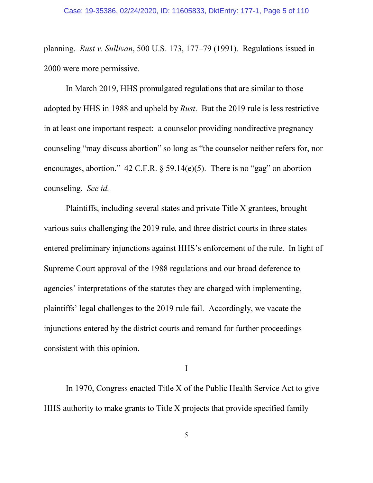planning. *Rust v. Sullivan*, 500 U.S. 173, 177–79 (1991). Regulations issued in 2000 were more permissive.

In March 2019, HHS promulgated regulations that are similar to those adopted by HHS in 1988 and upheld by *Rust*. But the 2019 rule is less restrictive in at least one important respect: a counselor providing nondirective pregnancy counseling "may discuss abortion" so long as "the counselor neither refers for, nor encourages, abortion."  $42$  C.F.R. § 59.14(e)(5). There is no "gag" on abortion counseling. *See id.*

Plaintiffs, including several states and private Title X grantees, brought various suits challenging the 2019 rule, and three district courts in three states entered preliminary injunctions against HHS's enforcement of the rule. In light of Supreme Court approval of the 1988 regulations and our broad deference to agencies' interpretations of the statutes they are charged with implementing, plaintiffs' legal challenges to the 2019 rule fail. Accordingly, we vacate the injunctions entered by the district courts and remand for further proceedings consistent with this opinion.

I

In 1970, Congress enacted Title X of the Public Health Service Act to give HHS authority to make grants to Title X projects that provide specified family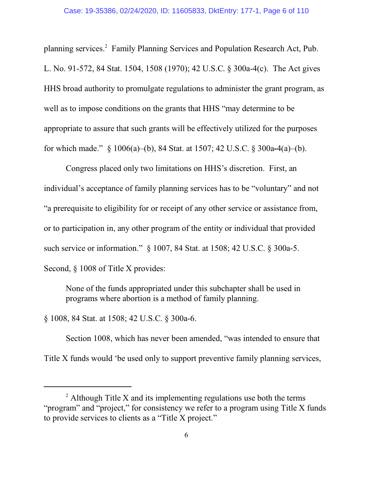planning services.<sup>2</sup> Family Planning Services and Population Research Act, Pub. L. No. 91-572, 84 Stat. 1504, 1508 (1970); 42 U.S.C. § 300a-4(c). The Act gives HHS broad authority to promulgate regulations to administer the grant program, as well as to impose conditions on the grants that HHS "may determine to be appropriate to assure that such grants will be effectively utilized for the purposes for which made." § 1006(a)–(b), 84 Stat. at 1507; 42 U.S.C. § 300a**-**4(a)–(b).

Congress placed only two limitations on HHS's discretion. First, an individual's acceptance of family planning services has to be "voluntary" and not "a prerequisite to eligibility for or receipt of any other service or assistance from, or to participation in, any other program of the entity or individual that provided such service or information." § 1007, 84 Stat. at 1508; 42 U.S.C. § 300a-5. Second, § 1008 of Title X provides:

None of the funds appropriated under this subchapter shall be used in programs where abortion is a method of family planning.

§ 1008, 84 Stat. at 1508; 42 U.S.C. § 300a-6.

Section 1008, which has never been amended, "was intended to ensure that Title X funds would 'be used only to support preventive family planning services,

 $2$  Although Title X and its implementing regulations use both the terms "program" and "project," for consistency we refer to a program using Title X funds to provide services to clients as a "Title X project."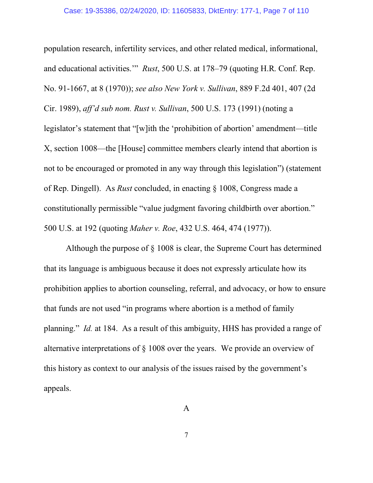population research, infertility services, and other related medical, informational, and educational activities.'" *Rust*, 500 U.S. at 178–79 (quoting H.R. Conf. Rep. No. 91-1667, at 8 (1970)); *see also New York v. Sullivan*, 889 F.2d 401, 407 (2d Cir. 1989), *aff'd sub nom. Rust v. Sullivan*, 500 U.S. 173 (1991) (noting a legislator's statement that "[w]ith the 'prohibition of abortion' amendment—title X, section 1008—the [House] committee members clearly intend that abortion is not to be encouraged or promoted in any way through this legislation") (statement of Rep. Dingell). As *Rust* concluded, in enacting § 1008, Congress made a constitutionally permissible "value judgment favoring childbirth over abortion." 500 U.S. at 192 (quoting *Maher v. Roe*, 432 U.S. 464, 474 (1977)).

Although the purpose of § 1008 is clear, the Supreme Court has determined that its language is ambiguous because it does not expressly articulate how its prohibition applies to abortion counseling, referral, and advocacy, or how to ensure that funds are not used "in programs where abortion is a method of family planning." *Id.* at 184.As a result of this ambiguity, HHS has provided a range of alternative interpretations of § 1008 over the years. We provide an overview of this history as context to our analysis of the issues raised by the government's appeals.

A

7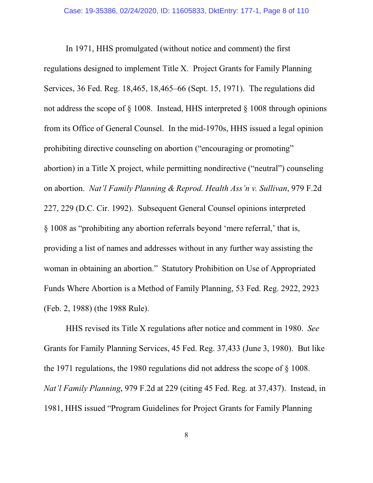In 1971, HHS promulgated (without notice and comment) the first regulations designed to implement Title X. Project Grants for Family Planning Services, 36 Fed. Reg. 18,465, 18,465–66 (Sept. 15, 1971). The regulations did not address the scope of § 1008. Instead, HHS interpreted § 1008 through opinions from its Office of General Counsel. In the mid-1970s, HHS issued a legal opinion prohibiting directive counseling on abortion ("encouraging or promoting" abortion) in a Title X project, while permitting nondirective ("neutral") counseling on abortion. *Nat'l Family Planning & Reprod. Health Ass'n v. Sullivan*, 979 F.2d 227, 229 (D.C. Cir. 1992). Subsequent General Counsel opinions interpreted § 1008 as "prohibiting any abortion referrals beyond 'mere referral,' that is, providing a list of names and addresses without in any further way assisting the woman in obtaining an abortion." Statutory Prohibition on Use of Appropriated Funds Where Abortion is a Method of Family Planning, 53 Fed. Reg. 2922, 2923 (Feb. 2, 1988) (the 1988 Rule).

HHS revised its Title X regulations after notice and comment in 1980. *See* Grants for Family Planning Services, 45 Fed. Reg. 37,433 (June 3, 1980). But like the 1971 regulations, the 1980 regulations did not address the scope of § 1008. *Nat'l Family Planning*, 979 F.2d at 229 (citing 45 Fed. Reg. at 37,437). Instead, in 1981, HHS issued "Program Guidelines for Project Grants for Family Planning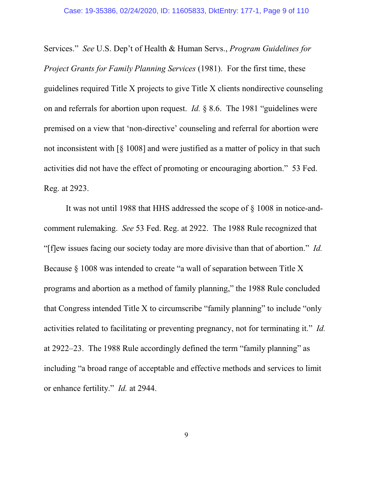Services." *See* U.S. Dep't of Health & Human Servs., *Program Guidelines for Project Grants for Family Planning Services* (1981). For the first time, these guidelines required Title X projects to give Title X clients nondirective counseling on and referrals for abortion upon request. *Id.* § 8.6. The 1981 "guidelines were premised on a view that 'non-directive' counseling and referral for abortion were not inconsistent with [§ 1008] and were justified as a matter of policy in that such activities did not have the effect of promoting or encouraging abortion." 53 Fed. Reg. at 2923.

It was not until 1988 that HHS addressed the scope of § 1008 in notice-andcomment rulemaking. *See* 53 Fed. Reg. at 2922. The 1988 Rule recognized that "[f]ew issues facing our society today are more divisive than that of abortion." *Id.* Because § 1008 was intended to create "a wall of separation between Title X programs and abortion as a method of family planning," the 1988 Rule concluded that Congress intended Title X to circumscribe "family planning" to include "only activities related to facilitating or preventing pregnancy, not for terminating it." *Id.* at 2922–23. The 1988 Rule accordingly defined the term "family planning" as including "a broad range of acceptable and effective methods and services to limit or enhance fertility." *Id.* at 2944.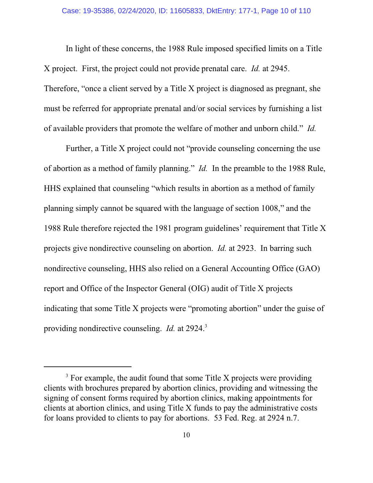In light of these concerns, the 1988 Rule imposed specified limits on a Title X project. First, the project could not provide prenatal care. *Id.* at 2945. Therefore, "once a client served by a Title X project is diagnosed as pregnant, she must be referred for appropriate prenatal and/or social services by furnishing a list of available providers that promote the welfare of mother and unborn child." *Id.*

Further, a Title X project could not "provide counseling concerning the use of abortion as a method of family planning." *Id.* In the preamble to the 1988 Rule, HHS explained that counseling "which results in abortion as a method of family planning simply cannot be squared with the language of section 1008," and the 1988 Rule therefore rejected the 1981 program guidelines' requirement that Title X projects give nondirective counseling on abortion. *Id.* at 2923. In barring such nondirective counseling, HHS also relied on a General Accounting Office (GAO) report and Office of the Inspector General (OIG) audit of Title X projects indicating that some Title X projects were "promoting abortion" under the guise of providing nondirective counseling. *Id.* at 2924.<sup>3</sup>

 $3$  For example, the audit found that some Title X projects were providing clients with brochures prepared by abortion clinics, providing and witnessing the signing of consent forms required by abortion clinics, making appointments for clients at abortion clinics, and using Title X funds to pay the administrative costs for loans provided to clients to pay for abortions. 53 Fed. Reg. at 2924 n.7.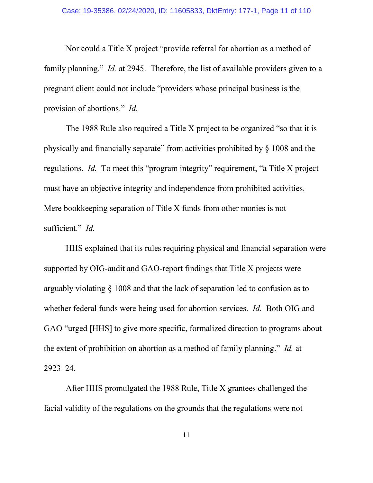Nor could a Title X project "provide referral for abortion as a method of family planning." *Id.* at 2945. Therefore, the list of available providers given to a pregnant client could not include "providers whose principal business is the provision of abortions." *Id.*

The 1988 Rule also required a Title X project to be organized "so that it is physically and financially separate" from activities prohibited by § 1008 and the regulations. *Id.* To meet this "program integrity" requirement, "a Title X project must have an objective integrity and independence from prohibited activities. Mere bookkeeping separation of Title X funds from other monies is not sufficient." *Id.*

HHS explained that its rules requiring physical and financial separation were supported by OIG-audit and GAO-report findings that Title X projects were arguably violating § 1008 and that the lack of separation led to confusion as to whether federal funds were being used for abortion services. *Id.* Both OIG and GAO "urged [HHS] to give more specific, formalized direction to programs about the extent of prohibition on abortion as a method of family planning." *Id.* at 2923–24.

After HHS promulgated the 1988 Rule, Title X grantees challenged the facial validity of the regulations on the grounds that the regulations were not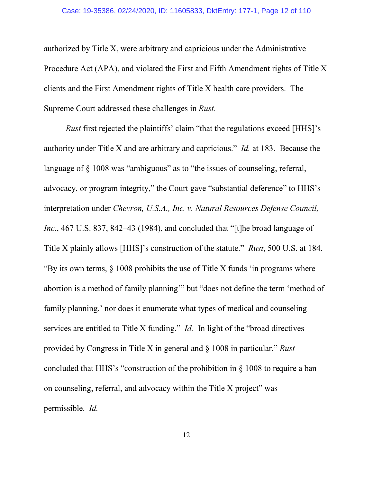authorized by Title X, were arbitrary and capricious under the Administrative Procedure Act (APA), and violated the First and Fifth Amendment rights of Title X clients and the First Amendment rights of Title X health care providers. The Supreme Court addressed these challenges in *Rust*.

*Rust* first rejected the plaintiffs' claim "that the regulations exceed [HHS]'s authority under Title X and are arbitrary and capricious." *Id.* at 183. Because the language of  $\S$  1008 was "ambiguous" as to "the issues of counseling, referral, advocacy, or program integrity," the Court gave "substantial deference" to HHS's interpretation under *Chevron, U.S.A., Inc. v. Natural Resources Defense Council, Inc.*, 467 U.S. 837, 842–43 (1984), and concluded that "[t]he broad language of Title X plainly allows [HHS]'s construction of the statute." *Rust*, 500 U.S. at 184. "By its own terms, § 1008 prohibits the use of Title X funds 'in programs where abortion is a method of family planning'" but "does not define the term 'method of family planning,' nor does it enumerate what types of medical and counseling services are entitled to Title X funding." *Id.* In light of the "broad directives provided by Congress in Title X in general and § 1008 in particular," *Rust* concluded that HHS's "construction of the prohibition in § 1008 to require a ban on counseling, referral, and advocacy within the Title X project" was permissible. *Id.*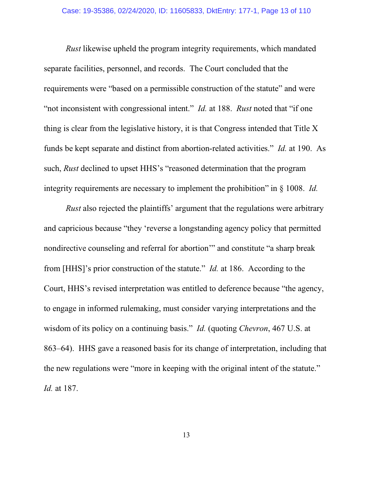*Rust* likewise upheld the program integrity requirements, which mandated separate facilities, personnel, and records. The Court concluded that the requirements were "based on a permissible construction of the statute" and were "not inconsistent with congressional intent." *Id.* at 188. *Rust* noted that "if one thing is clear from the legislative history, it is that Congress intended that Title X funds be kept separate and distinct from abortion-related activities." *Id.* at 190.As such, *Rust* declined to upset HHS's "reasoned determination that the program integrity requirements are necessary to implement the prohibition" in § 1008. *Id.*

*Rust* also rejected the plaintiffs' argument that the regulations were arbitrary and capricious because "they 'reverse a longstanding agency policy that permitted nondirective counseling and referral for abortion'" and constitute "a sharp break from [HHS]'s prior construction of the statute." *Id.* at 186. According to the Court, HHS's revised interpretation was entitled to deference because "the agency, to engage in informed rulemaking, must consider varying interpretations and the wisdom of its policy on a continuing basis." *Id.* (quoting *Chevron*, 467 U.S. at 863–64). HHS gave a reasoned basis for its change of interpretation, including that the new regulations were "more in keeping with the original intent of the statute." *Id.* at 187.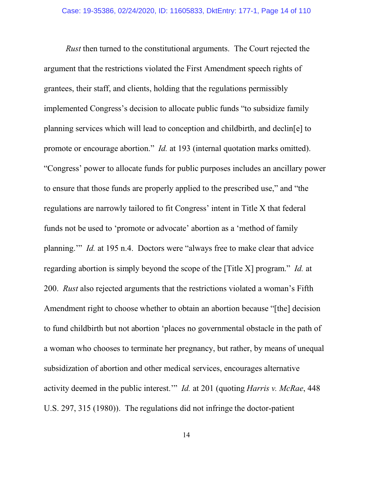*Rust* then turned to the constitutional arguments. The Court rejected the argument that the restrictions violated the First Amendment speech rights of grantees, their staff, and clients, holding that the regulations permissibly implemented Congress's decision to allocate public funds "to subsidize family planning services which will lead to conception and childbirth, and declin[e] to promote or encourage abortion." *Id.* at 193 (internal quotation marks omitted). "Congress' power to allocate funds for public purposes includes an ancillary power to ensure that those funds are properly applied to the prescribed use," and "the regulations are narrowly tailored to fit Congress' intent in Title X that federal funds not be used to 'promote or advocate' abortion as a 'method of family planning.'" *Id.* at 195 n.4. Doctors were "always free to make clear that advice regarding abortion is simply beyond the scope of the [Title X] program." *Id.* at 200. *Rust* also rejected arguments that the restrictions violated a woman's Fifth Amendment right to choose whether to obtain an abortion because "[the] decision to fund childbirth but not abortion 'places no governmental obstacle in the path of a woman who chooses to terminate her pregnancy, but rather, by means of unequal subsidization of abortion and other medical services, encourages alternative activity deemed in the public interest.'" *Id.* at 201 (quoting *Harris v. McRae*, 448 U.S. 297, 315 (1980)). The regulations did not infringe the doctor-patient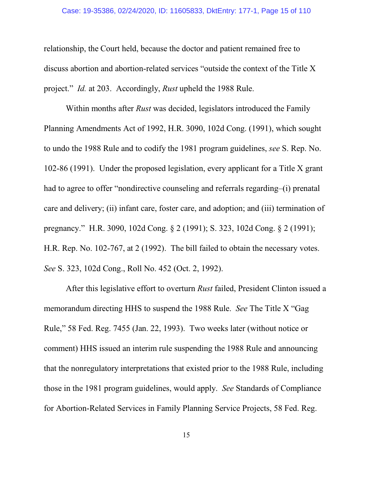#### Case: 19-35386, 02/24/2020, ID: 11605833, DktEntry: 177-1, Page 15 of 110

relationship, the Court held, because the doctor and patient remained free to discuss abortion and abortion-related services "outside the context of the Title X project." *Id.* at 203. Accordingly, *Rust* upheld the 1988 Rule.

Within months after *Rust* was decided, legislators introduced the Family Planning Amendments Act of 1992, H.R. 3090, 102d Cong. (1991), which sought to undo the 1988 Rule and to codify the 1981 program guidelines, *see* S. Rep. No. 102-86 (1991). Under the proposed legislation, every applicant for a Title X grant had to agree to offer "nondirective counseling and referrals regarding–(i) prenatal care and delivery; (ii) infant care, foster care, and adoption; and (iii) termination of pregnancy." H.R. 3090, 102d Cong. § 2 (1991); S. 323, 102d Cong. § 2 (1991); H.R. Rep. No. 102-767, at 2 (1992). The bill failed to obtain the necessary votes. *See* S. 323, 102d Cong., Roll No. 452 (Oct. 2, 1992).

After this legislative effort to overturn *Rust* failed, President Clinton issued a memorandum directing HHS to suspend the 1988 Rule. *See* The Title X "Gag Rule," 58 Fed. Reg. 7455 (Jan. 22, 1993). Two weeks later (without notice or comment) HHS issued an interim rule suspending the 1988 Rule and announcing that the nonregulatory interpretations that existed prior to the 1988 Rule, including those in the 1981 program guidelines, would apply. *See* Standards of Compliance for Abortion-Related Services in Family Planning Service Projects, 58 Fed. Reg.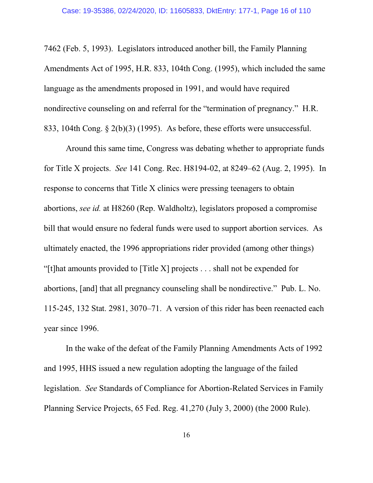7462 (Feb. 5, 1993). Legislators introduced another bill, the Family Planning Amendments Act of 1995, H.R. 833, 104th Cong. (1995), which included the same language as the amendments proposed in 1991, and would have required nondirective counseling on and referral for the "termination of pregnancy." H.R. 833, 104th Cong. § 2(b)(3) (1995). As before, these efforts were unsuccessful.

Around this same time, Congress was debating whether to appropriate funds for Title X projects. *See* 141 Cong. Rec. H8194-02, at 8249–62 (Aug. 2, 1995). In response to concerns that Title X clinics were pressing teenagers to obtain abortions, *see id.* at H8260 (Rep. Waldholtz), legislators proposed a compromise bill that would ensure no federal funds were used to support abortion services. As ultimately enacted, the 1996 appropriations rider provided (among other things) "[t]hat amounts provided to [Title X] projects . . . shall not be expended for abortions, [and] that all pregnancy counseling shall be nondirective." Pub. L. No. 115-245, 132 Stat. 2981, 3070–71. A version of this rider has been reenacted each year since 1996.

In the wake of the defeat of the Family Planning Amendments Acts of 1992 and 1995, HHS issued a new regulation adopting the language of the failed legislation. *See* Standards of Compliance for Abortion-Related Services in Family Planning Service Projects, 65 Fed. Reg. 41,270 (July 3, 2000) (the 2000 Rule).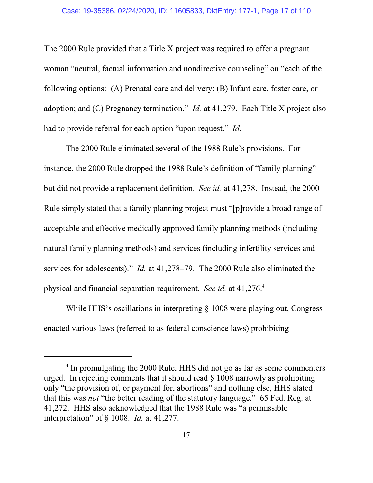The 2000 Rule provided that a Title X project was required to offer a pregnant woman "neutral, factual information and nondirective counseling" on "each of the following options: (A) Prenatal care and delivery; (B) Infant care, foster care, or adoption; and (C) Pregnancy termination." *Id.* at 41,279. Each Title X project also had to provide referral for each option "upon request." *Id.*

The 2000 Rule eliminated several of the 1988 Rule's provisions. For instance, the 2000 Rule dropped the 1988 Rule's definition of "family planning" but did not provide a replacement definition. *See id.* at 41,278. Instead, the 2000 Rule simply stated that a family planning project must "[p]rovide a broad range of acceptable and effective medically approved family planning methods (including natural family planning methods) and services (including infertility services and services for adolescents)." *Id.* at 41,278–79. The 2000 Rule also eliminated the physical and financial separation requirement. *See id.* at 41,276.<sup>4</sup>

While HHS's oscillations in interpreting § 1008 were playing out, Congress enacted various laws (referred to as federal conscience laws) prohibiting

<sup>&</sup>lt;sup>4</sup> In promulgating the 2000 Rule, HHS did not go as far as some commenters urged. In rejecting comments that it should read § 1008 narrowly as prohibiting only "the provision of, or payment for, abortions" and nothing else, HHS stated that this was *not* "the better reading of the statutory language." 65 Fed. Reg. at 41,272. HHS also acknowledged that the 1988 Rule was "a permissible interpretation" of § 1008. *Id.* at 41,277.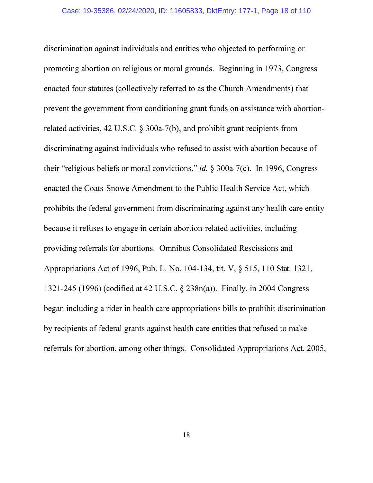discrimination against individuals and entities who objected to performing or promoting abortion on religious or moral grounds. Beginning in 1973, Congress enacted four statutes (collectively referred to as the Church Amendments) that prevent the government from conditioning grant funds on assistance with abortionrelated activities, 42 U.S.C. § 300a-7(b), and prohibit grant recipients from discriminating against individuals who refused to assist with abortion because of their "religious beliefs or moral convictions," *id.* § 300a-7(c). In 1996, Congress enacted the Coats-Snowe Amendment to the Public Health Service Act, which prohibits the federal government from discriminating against any health care entity because it refuses to engage in certain abortion-related activities, including providing referrals for abortions. Omnibus Consolidated Rescissions and Appropriations Act of 1996, Pub. L. No. 104-134, tit. V, § 515, 110 Stat. 1321, 1321-245 (1996) (codified at 42 U.S.C. § 238n(a)). Finally, in 2004 Congress began including a rider in health care appropriations bills to prohibit discrimination by recipients of federal grants against health care entities that refused to make referrals for abortion, among other things. Consolidated Appropriations Act, 2005,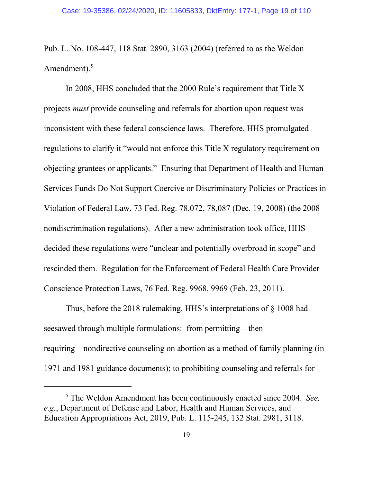Pub. L. No. 108-447, 118 Stat. 2890, 3163 (2004) (referred to as the Weldon Amendment).<sup>5</sup>

In 2008, HHS concluded that the 2000 Rule's requirement that Title X projects *must* provide counseling and referrals for abortion upon request was inconsistent with these federal conscience laws. Therefore, HHS promulgated regulations to clarify it "would not enforce this Title X regulatory requirement on objecting grantees or applicants." Ensuring that Department of Health and Human Services Funds Do Not Support Coercive or Discriminatory Policies or Practices in Violation of Federal Law, 73 Fed. Reg. 78,072, 78,087 (Dec. 19, 2008) (the 2008 nondiscrimination regulations). After a new administration took office, HHS decided these regulations were "unclear and potentially overbroad in scope" and rescinded them. Regulation for the Enforcement of Federal Health Care Provider Conscience Protection Laws, 76 Fed. Reg. 9968, 9969 (Feb. 23, 2011).

Thus, before the 2018 rulemaking, HHS's interpretations of § 1008 had seesawed through multiple formulations: from permitting—then requiring—nondirective counseling on abortion as a method of family planning (in 1971 and 1981 guidance documents); to prohibiting counseling and referrals for

<sup>5</sup> The Weldon Amendment has been continuously enacted since 2004. *See, e.g.*, Department of Defense and Labor, Health and Human Services, and Education Appropriations Act, 2019, Pub. L. 115-245, 132 Stat. 2981, 3118.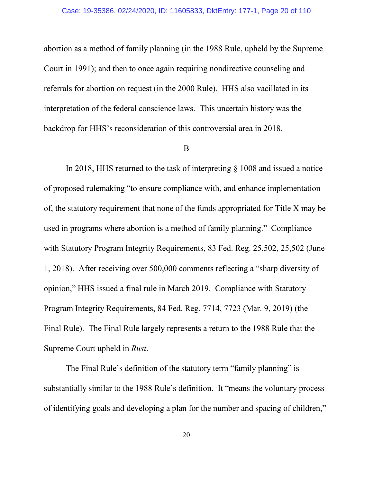abortion as a method of family planning (in the 1988 Rule, upheld by the Supreme Court in 1991); and then to once again requiring nondirective counseling and referrals for abortion on request (in the 2000 Rule). HHS also vacillated in its interpretation of the federal conscience laws. This uncertain history was the backdrop for HHS's reconsideration of this controversial area in 2018.

#### B

In 2018, HHS returned to the task of interpreting § 1008 and issued a notice of proposed rulemaking "to ensure compliance with, and enhance implementation of, the statutory requirement that none of the funds appropriated for Title X may be used in programs where abortion is a method of family planning." Compliance with Statutory Program Integrity Requirements, 83 Fed. Reg. 25,502, 25,502 (June 1, 2018). After receiving over 500,000 comments reflecting a "sharp diversity of opinion," HHS issued a final rule in March 2019. Compliance with Statutory Program Integrity Requirements, 84 Fed. Reg. 7714, 7723 (Mar. 9, 2019) (the Final Rule). The Final Rule largely represents a return to the 1988 Rule that the Supreme Court upheld in *Rust*.

The Final Rule's definition of the statutory term "family planning" is substantially similar to the 1988 Rule's definition. It "means the voluntary process of identifying goals and developing a plan for the number and spacing of children,"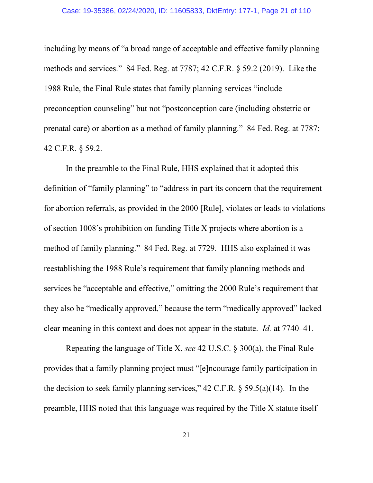including by means of "a broad range of acceptable and effective family planning methods and services." 84 Fed. Reg. at 7787; 42 C.F.R. § 59.2 (2019). Like the 1988 Rule, the Final Rule states that family planning services "include preconception counseling" but not "postconception care (including obstetric or prenatal care) or abortion as a method of family planning." 84 Fed. Reg. at 7787; 42 C.F.R. § 59.2.

In the preamble to the Final Rule, HHS explained that it adopted this definition of "family planning" to "address in part its concern that the requirement for abortion referrals, as provided in the 2000 [Rule], violates or leads to violations of section 1008's prohibition on funding Title X projects where abortion is a method of family planning." 84 Fed. Reg. at 7729. HHS also explained it was reestablishing the 1988 Rule's requirement that family planning methods and services be "acceptable and effective," omitting the 2000 Rule's requirement that they also be "medically approved," because the term "medically approved" lacked clear meaning in this context and does not appear in the statute. *Id.* at 7740–41.

Repeating the language of Title X, *see* 42 U.S.C. § 300(a), the Final Rule provides that a family planning project must "[e]ncourage family participation in the decision to seek family planning services,"  $42$  C.F.R. §  $59.5(a)(14)$ . In the preamble, HHS noted that this language was required by the Title X statute itself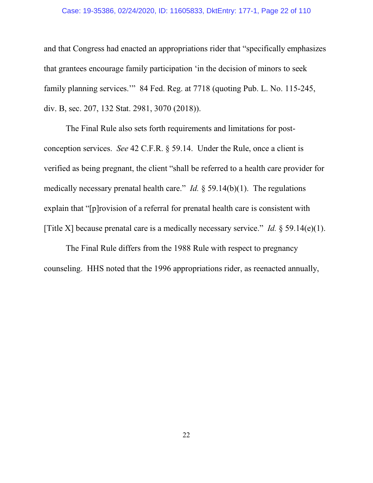### Case: 19-35386, 02/24/2020, ID: 11605833, DktEntry: 177-1, Page 22 of 110

and that Congress had enacted an appropriations rider that "specifically emphasizes that grantees encourage family participation 'in the decision of minors to seek family planning services.'"84 Fed. Reg. at 7718 (quoting Pub. L. No. 115-245, div. B, sec. 207, 132 Stat. 2981, 3070 (2018)).

The Final Rule also sets forth requirements and limitations for postconception services. *See* 42 C.F.R. § 59.14. Under the Rule, once a client is verified as being pregnant, the client "shall be referred to a health care provider for medically necessary prenatal health care." *Id.* § 59.14(b)(1). The regulations explain that "[p]rovision of a referral for prenatal health care is consistent with [Title X] because prenatal care is a medically necessary service." *Id.* § 59.14(e)(1).

The Final Rule differs from the 1988 Rule with respect to pregnancy counseling. HHS noted that the 1996 appropriations rider, as reenacted annually,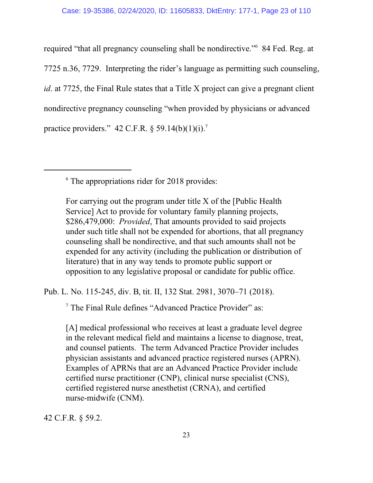required "that all pregnancy counseling shall be nondirective." 6 84 Fed. Reg. at 7725 n.36, 7729. Interpreting the rider's language as permitting such counseling, *id*. at 7725, the Final Rule states that a Title X project can give a pregnant client nondirective pregnancy counseling "when provided by physicians or advanced practice providers." 42 C.F.R.  $\S 59.14(b)(1)(i).$ <sup>7</sup>

6 The appropriations rider for 2018 provides:

For carrying out the program under title X of the [Public Health Service] Act to provide for voluntary family planning projects, \$286,479,000: *Provided*, That amounts provided to said projects under such title shall not be expended for abortions, that all pregnancy counseling shall be nondirective, and that such amounts shall not be expended for any activity (including the publication or distribution of literature) that in any way tends to promote public support or opposition to any legislative proposal or candidate for public office.

Pub. L. No. 115-245, div. B, tit. II, 132 Stat. 2981, 3070–71 (2018).

7 The Final Rule defines "Advanced Practice Provider" as:

[A] medical professional who receives at least a graduate level degree in the relevant medical field and maintains a license to diagnose, treat, and counsel patients. The term Advanced Practice Provider includes physician assistants and advanced practice registered nurses (APRN). Examples of APRNs that are an Advanced Practice Provider include certified nurse practitioner (CNP), clinical nurse specialist (CNS), certified registered nurse anesthetist (CRNA), and certified nurse-midwife (CNM).

42 C.F.R. § 59.2.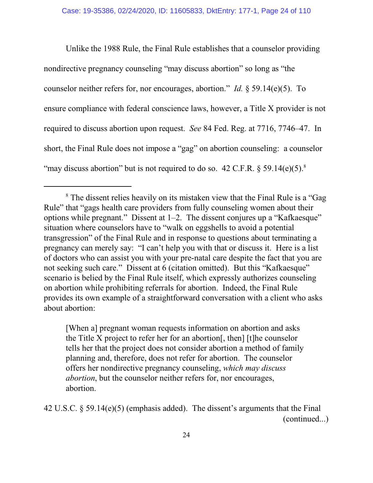Unlike the 1988 Rule, the Final Rule establishes that a counselor providing nondirective pregnancy counseling "may discuss abortion" so long as "the counselor neither refers for, nor encourages, abortion." *Id.* § 59.14(e)(5). To ensure compliance with federal conscience laws, however, a Title X provider is not required to discuss abortion upon request. *See* 84 Fed. Reg. at 7716, 7746–47. In short, the Final Rule does not impose a "gag" on abortion counseling: a counselor "may discuss abortion" but is not required to do so. 42 C.F.R.  $\S 59.14(e)(5)^8$ 

[When a] pregnant woman requests information on abortion and asks the Title X project to refer her for an abortion[, then] [t]he counselor tells her that the project does not consider abortion a method of family planning and, therefore, does not refer for abortion. The counselor offers her nondirective pregnancy counseling, *which may discuss abortion*, but the counselor neither refers for, nor encourages, abortion.

42 U.S.C. § 59.14(e)(5) (emphasis added). The dissent's arguments that the Final (continued...)

<sup>&</sup>lt;sup>8</sup> The dissent relies heavily on its mistaken view that the Final Rule is a "Gag Rule" that "gags health care providers from fully counseling women about their options while pregnant." Dissent at 1–2. The dissent conjures up a "Kafkaesque" situation where counselors have to "walk on eggshells to avoid a potential transgression" of the Final Rule and in response to questions about terminating a pregnancy can merely say: "I can't help you with that or discuss it. Here is a list of doctors who can assist you with your pre-natal care despite the fact that you are not seeking such care." Dissent at 6 (citation omitted). But this "Kafkaesque" scenario is belied by the Final Rule itself, which expressly authorizes counseling on abortion while prohibiting referrals for abortion. Indeed, the Final Rule provides its own example of a straightforward conversation with a client who asks about abortion: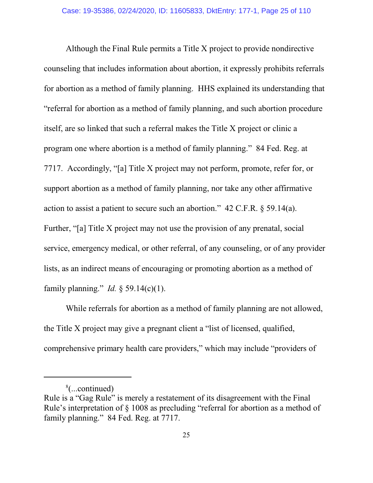Although the Final Rule permits a Title X project to provide nondirective counseling that includes information about abortion, it expressly prohibits referrals for abortion as a method of family planning. HHS explained its understanding that "referral for abortion as a method of family planning, and such abortion procedure itself, are so linked that such a referral makes the Title X project or clinic a program one where abortion is a method of family planning." 84 Fed. Reg. at 7717. Accordingly, "[a] Title X project may not perform, promote, refer for, or support abortion as a method of family planning, nor take any other affirmative action to assist a patient to secure such an abortion." 42 C.F.R. § 59.14(a). Further, "[a] Title X project may not use the provision of any prenatal, social service, emergency medical, or other referral, of any counseling, or of any provider lists, as an indirect means of encouraging or promoting abortion as a method of family planning." *Id.* § 59.14(c)(1).

While referrals for abortion as a method of family planning are not allowed, the Title X project may give a pregnant client a "list of licensed, qualified, comprehensive primary health care providers," which may include "providers of

<sup>8</sup> (...continued)

Rule is a "Gag Rule" is merely a restatement of its disagreement with the Final Rule's interpretation of § 1008 as precluding "referral for abortion as a method of family planning." 84 Fed. Reg. at 7717.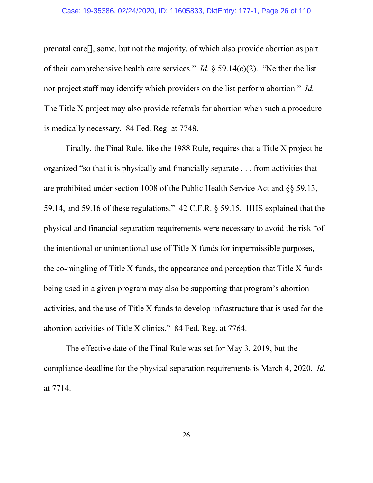### Case: 19-35386, 02/24/2020, ID: 11605833, DktEntry: 177-1, Page 26 of 110

prenatal care[], some, but not the majority, of which also provide abortion as part of their comprehensive health care services." *Id.* § 59.14(c)(2). "Neither the list nor project staff may identify which providers on the list perform abortion." *Id.* The Title X project may also provide referrals for abortion when such a procedure is medically necessary. 84 Fed. Reg. at 7748.

Finally, the Final Rule, like the 1988 Rule, requires that a Title X project be organized "so that it is physically and financially separate . . . from activities that are prohibited under section 1008 of the Public Health Service Act and §§ 59.13, 59.14, and 59.16 of these regulations." 42 C.F.R. § 59.15. HHS explained that the physical and financial separation requirements were necessary to avoid the risk "of the intentional or unintentional use of Title X funds for impermissible purposes, the co-mingling of Title X funds, the appearance and perception that Title X funds being used in a given program may also be supporting that program's abortion activities, and the use of Title X funds to develop infrastructure that is used for the abortion activities of Title X clinics." 84 Fed. Reg. at 7764.

The effective date of the Final Rule was set for May 3, 2019, but the compliance deadline for the physical separation requirements is March 4, 2020. *Id.* at 7714.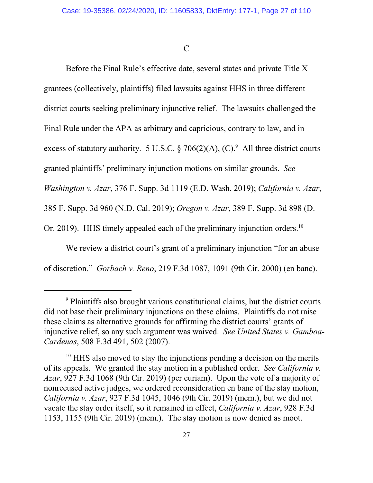$\mathcal{C}$ 

Before the Final Rule's effective date, several states and private Title X grantees (collectively, plaintiffs) filed lawsuits against HHS in three different district courts seeking preliminary injunctive relief. The lawsuits challenged the Final Rule under the APA as arbitrary and capricious, contrary to law, and in excess of statutory authority. 5 U.S.C.  $\S 706(2)(A)$ , (C). <sup>9</sup> All three district courts granted plaintiffs' preliminary injunction motions on similar grounds. *See Washington v. Azar*, 376 F. Supp. 3d 1119 (E.D. Wash. 2019); *California v. Azar*, 385 F. Supp. 3d 960 (N.D. Cal. 2019); *Oregon v. Azar*, 389 F. Supp. 3d 898 (D. Or. 2019). HHS timely appealed each of the preliminary injunction orders.<sup>10</sup>

We review a district court's grant of a preliminary injunction "for an abuse" of discretion." *Gorbach v. Reno*, 219 F.3d 1087, 1091 (9th Cir. 2000) (en banc).

<sup>&</sup>lt;sup>9</sup> Plaintiffs also brought various constitutional claims, but the district courts did not base their preliminary injunctions on these claims. Plaintiffs do not raise these claims as alternative grounds for affirming the district courts' grants of injunctive relief, so any such argument was waived. *See United States v. Gamboa-Cardenas*, 508 F.3d 491, 502 (2007).

<sup>&</sup>lt;sup>10</sup> HHS also moved to stay the injunctions pending a decision on the merits of its appeals. We granted the stay motion in a published order. *See California v. Azar*, 927 F.3d 1068 (9th Cir. 2019) (per curiam). Upon the vote of a majority of nonrecused active judges, we ordered reconsideration en banc of the stay motion, *California v. Azar*, 927 F.3d 1045, 1046 (9th Cir. 2019) (mem.), but we did not vacate the stay order itself, so it remained in effect, *California v. Azar*, 928 F.3d 1153, 1155 (9th Cir. 2019) (mem.). The stay motion is now denied as moot.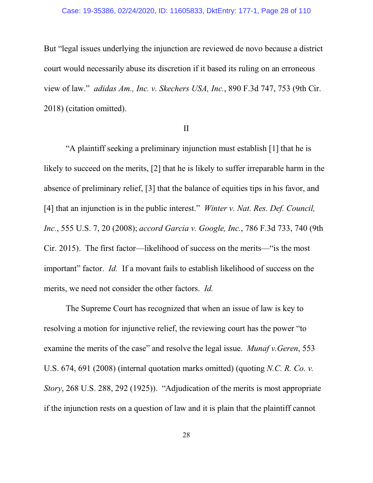#### Case: 19-35386, 02/24/2020, ID: 11605833, DktEntry: 177-1, Page 28 of 110

But "legal issues underlying the injunction are reviewed de novo because a district court would necessarily abuse its discretion if it based its ruling on an erroneous view of law." *adidas Am., Inc. v. Skechers USA, Inc.*, 890 F.3d 747, 753 (9th Cir. 2018) (citation omitted).

## II

"A plaintiff seeking a preliminary injunction must establish [1] that he is likely to succeed on the merits, [2] that he is likely to suffer irreparable harm in the absence of preliminary relief, [3] that the balance of equities tips in his favor, and [4] that an injunction is in the public interest." *Winter v. Nat. Res. Def. Council, Inc.*, 555 U.S. 7, 20 (2008); *accord Garcia v. Google, Inc.*, 786 F.3d 733, 740 (9th Cir. 2015). The first factor—likelihood of success on the merits—"is the most important" factor. *Id.* If a movant fails to establish likelihood of success on the merits, we need not consider the other factors. *Id.*

The Supreme Court has recognized that when an issue of law is key to resolving a motion for injunctive relief, the reviewing court has the power "to examine the merits of the case" and resolve the legal issue. *Munaf v.Geren*, 553 U.S. 674, 691 (2008) (internal quotation marks omitted) (quoting *N.C. R. Co. v. Story*, 268 U.S. 288, 292 (1925)). "Adjudication of the merits is most appropriate if the injunction rests on a question of law and it is plain that the plaintiff cannot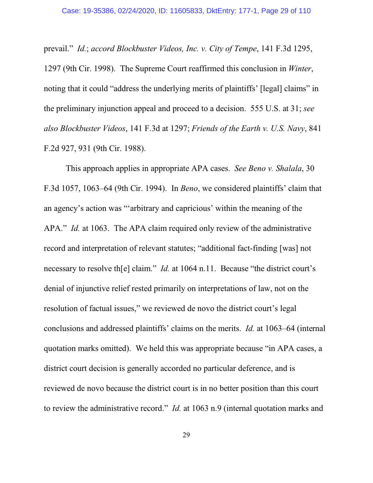prevail." *Id.*; *accord Blockbuster Videos, Inc. v. City of Tempe*, 141 F.3d 1295, 1297 (9th Cir. 1998). The Supreme Court reaffirmed this conclusion in *Winter*, noting that it could "address the underlying merits of plaintiffs' [legal] claims" in the preliminary injunction appeal and proceed to a decision. 555 U.S. at 31; *see also Blockbuster Videos*, 141 F.3d at 1297; *Friends of the Earth v. U.S. Navy*, 841 F.2d 927, 931 (9th Cir. 1988).

This approach applies in appropriate APA cases. *See Beno v. Shalala*, 30 F.3d 1057, 1063–64 (9th Cir. 1994). In *Beno*, we considered plaintiffs' claim that an agency's action was "'arbitrary and capricious' within the meaning of the APA." *Id.* at 1063. The APA claim required only review of the administrative record and interpretation of relevant statutes; "additional fact-finding [was] not necessary to resolve the claim." *Id.* at 1064 n.11. Because "the district court's denial of injunctive relief rested primarily on interpretations of law, not on the resolution of factual issues," we reviewed de novo the district court's legal conclusions and addressed plaintiffs' claims on the merits. *Id.* at 1063–64 (internal quotation marks omitted). We held this was appropriate because "in APA cases, a district court decision is generally accorded no particular deference, and is reviewed de novo because the district court is in no better position than this court to review the administrative record." *Id.* at 1063 n.9 (internal quotation marks and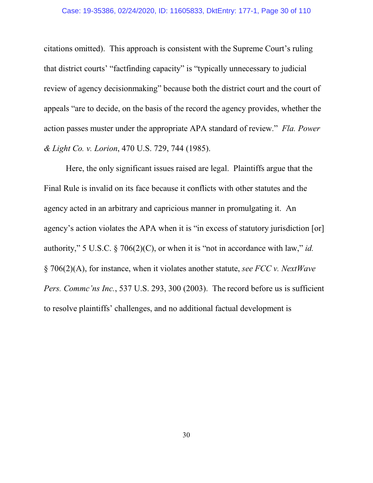### Case: 19-35386, 02/24/2020, ID: 11605833, DktEntry: 177-1, Page 30 of 110

citations omitted). This approach is consistent with the Supreme Court's ruling that district courts' "factfinding capacity" is "typically unnecessary to judicial review of agency decisionmaking" because both the district court and the court of appeals "are to decide, on the basis of the record the agency provides, whether the action passes muster under the appropriate APA standard of review." *Fla. Power & Light Co. v. Lorion*, 470 U.S. 729, 744 (1985).

Here, the only significant issues raised are legal. Plaintiffs argue that the Final Rule is invalid on its face because it conflicts with other statutes and the agency acted in an arbitrary and capricious manner in promulgating it. An agency's action violates the APA when it is "in excess of statutory jurisdiction [or] authority," 5 U.S.C. § 706(2)(C), or when it is "not in accordance with law," *id.* § 706(2)(A), for instance, when it violates another statute, *see FCC v. NextWave Pers. Commc'ns Inc.*, 537 U.S. 293, 300 (2003). The record before us is sufficient to resolve plaintiffs' challenges, and no additional factual development is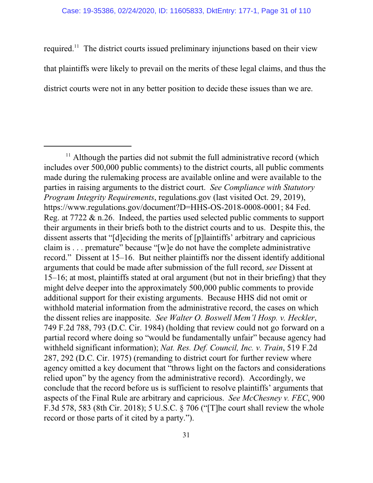required.<sup>11</sup> The district courts issued preliminary injunctions based on their view that plaintiffs were likely to prevail on the merits of these legal claims, and thus the district courts were not in any better position to decide these issues than we are.

<sup>&</sup>lt;sup>11</sup> Although the parties did not submit the full administrative record (which includes over 500,000 public comments) to the district courts, all public comments made during the rulemaking process are available online and were available to the parties in raising arguments to the district court. *See Compliance with Statutory Program Integrity Requirements*, regulations.gov (last visited Oct. 29, 2019), https://www.regulations.gov/document?D=HHS-OS-2018-0008-0001; 84 Fed. Reg. at 7722 & n.26. Indeed, the parties used selected public comments to support their arguments in their briefs both to the district courts and to us. Despite this, the dissent asserts that "[d]eciding the merits of [p]laintiffs' arbitrary and capricious claim is . . . premature" because "[w]e do not have the complete administrative record." Dissent at 15–16. But neither plaintiffs nor the dissent identify additional arguments that could be made after submission of the full record, *see* Dissent at 15–16; at most, plaintiffs stated at oral argument (but not in their briefing) that they might delve deeper into the approximately 500,000 public comments to provide additional support for their existing arguments. Because HHS did not omit or withhold material information from the administrative record, the cases on which the dissent relies are inapposite. *See Walter O. Boswell Mem'l Hosp. v. Heckler*, 749 F.2d 788, 793 (D.C. Cir. 1984) (holding that review could not go forward on a partial record where doing so "would be fundamentally unfair" because agency had withheld significant information); *Nat. Res. Def. Council, Inc. v. Train*, 519 F.2d 287, 292 (D.C. Cir. 1975) (remanding to district court for further review where agency omitted a key document that "throws light on the factors and considerations relied upon" by the agency from the administrative record). Accordingly, we conclude that the record before us is sufficient to resolve plaintiffs' arguments that aspects of the Final Rule are arbitrary and capricious. *See McChesney v. FEC*, 900 F.3d 578, 583 (8th Cir. 2018); 5 U.S.C. § 706 ("[T]he court shall review the whole record or those parts of it cited by a party.").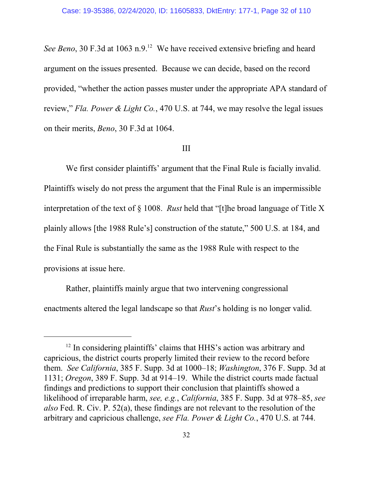See Beno, 30 F.3d at 1063 n.9.<sup>12</sup> We have received extensive briefing and heard argument on the issues presented. Because we can decide, based on the record provided, "whether the action passes muster under the appropriate APA standard of review," *Fla. Power & Light Co.*, 470 U.S. at 744, we may resolve the legal issues on their merits, *Beno*, 30 F.3d at 1064.

## III

We first consider plaintiffs' argument that the Final Rule is facially invalid. Plaintiffs wisely do not press the argument that the Final Rule is an impermissible interpretation of the text of § 1008. *Rust* held that "[t]he broad language of Title X plainly allows [the 1988 Rule's] construction of the statute," 500 U.S. at 184, and the Final Rule is substantially the same as the 1988 Rule with respect to the provisions at issue here.

Rather, plaintiffs mainly argue that two intervening congressional enactments altered the legal landscape so that *Rust*'s holding is no longer valid.

<sup>&</sup>lt;sup>12</sup> In considering plaintiffs' claims that HHS's action was arbitrary and capricious, the district courts properly limited their review to the record before them. *See California*, 385 F. Supp. 3d at 1000–18; *Washington*, 376 F. Supp. 3d at 1131; *Oregon*, 389 F. Supp. 3d at 914–19. While the district courts made factual findings and predictions to support their conclusion that plaintiffs showed a likelihood of irreparable harm, *see, e.g.*, *California*, 385 F. Supp. 3d at 978–85, *see also* Fed. R. Civ. P. 52(a), these findings are not relevant to the resolution of the arbitrary and capricious challenge, *see Fla. Power & Light Co.*, 470 U.S. at 744.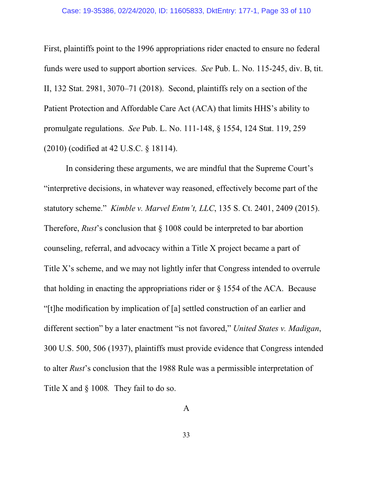#### Case: 19-35386, 02/24/2020, ID: 11605833, DktEntry: 177-1, Page 33 of 110

First, plaintiffs point to the 1996 appropriations rider enacted to ensure no federal funds were used to support abortion services. *See* Pub. L. No. 115-245, div. B, tit. II, 132 Stat. 2981, 3070–71 (2018). Second, plaintiffs rely on a section of the Patient Protection and Affordable Care Act (ACA) that limits HHS's ability to promulgate regulations. *See* Pub. L. No. 111-148, § 1554, 124 Stat. 119, 259 (2010) (codified at 42 U.S.C. § 18114).

In considering these arguments, we are mindful that the Supreme Court's "interpretive decisions, in whatever way reasoned, effectively become part of the statutory scheme." *Kimble v. Marvel Entm't, LLC*, 135 S. Ct. 2401, 2409 (2015). Therefore, *Rust*'s conclusion that § 1008 could be interpreted to bar abortion counseling, referral, and advocacy within a Title X project became a part of Title X's scheme, and we may not lightly infer that Congress intended to overrule that holding in enacting the appropriations rider or  $\S$  1554 of the ACA. Because "[t]he modification by implication of [a] settled construction of an earlier and different section" by a later enactment "is not favored," *United States v. Madigan*, 300 U.S. 500, 506 (1937), plaintiffs must provide evidence that Congress intended to alter *Rust*'s conclusion that the 1988 Rule was a permissible interpretation of Title X and § 1008*.* They fail to do so.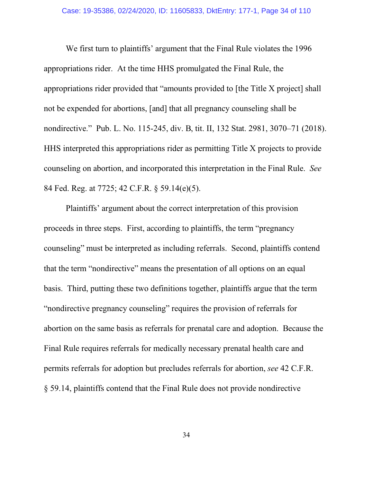We first turn to plaintiffs' argument that the Final Rule violates the 1996 appropriations rider. At the time HHS promulgated the Final Rule, the appropriations rider provided that "amounts provided to [the Title X project] shall not be expended for abortions, [and] that all pregnancy counseling shall be nondirective." Pub. L. No. 115-245, div. B, tit. II, 132 Stat. 2981, 3070–71 (2018). HHS interpreted this appropriations rider as permitting Title X projects to provide counseling on abortion, and incorporated this interpretation in the Final Rule. *See* 84 Fed. Reg. at 7725; 42 C.F.R. § 59.14(e)(5).

Plaintiffs' argument about the correct interpretation of this provision proceeds in three steps. First, according to plaintiffs, the term "pregnancy counseling" must be interpreted as including referrals. Second, plaintiffs contend that the term "nondirective" means the presentation of all options on an equal basis. Third, putting these two definitions together, plaintiffs argue that the term "nondirective pregnancy counseling" requires the provision of referrals for abortion on the same basis as referrals for prenatal care and adoption. Because the Final Rule requires referrals for medically necessary prenatal health care and permits referrals for adoption but precludes referrals for abortion, *see* 42 C.F.R. § 59.14, plaintiffs contend that the Final Rule does not provide nondirective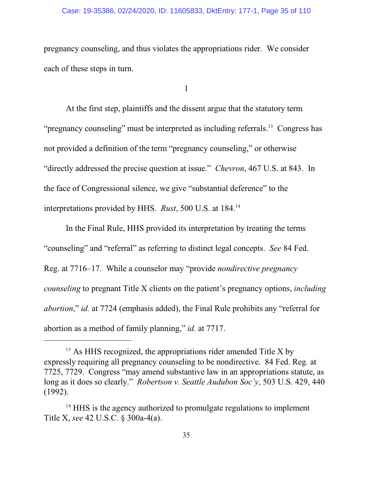## Case: 19-35386, 02/24/2020, ID: 11605833, DktEntry: 177-1, Page 35 of 110

pregnancy counseling, and thus violates the appropriations rider. We consider each of these steps in turn.

1

At the first step, plaintiffs and the dissent argue that the statutory term "pregnancy counseling" must be interpreted as including referrals.<sup>13</sup> Congress has not provided a definition of the term "pregnancy counseling," or otherwise "directly addressed the precise question at issue." *Chevron*, 467 U.S. at 843. In the face of Congressional silence, we give "substantial deference" to the interpretations provided by HHS. *Rust*, 500 U.S. at 184.<sup>14</sup>

In the Final Rule, HHS provided its interpretation by treating the terms "counseling" and "referral" as referring to distinct legal concepts. *See* 84 Fed. Reg. at 7716–17. While a counselor may "provide *nondirective pregnancy counseling* to pregnant Title X clients on the patient's pregnancy options, *including abortion*," *id.* at 7724 (emphasis added), the Final Rule prohibits any "referral for abortion as a method of family planning," *id.* at 7717.

 $13$  As HHS recognized, the appropriations rider amended Title X by expressly requiring all pregnancy counseling to be nondirective. 84 Fed. Reg. at 7725, 7729. Congress "may amend substantive law in an appropriations statute, as long as it does so clearly." *Robertson v. Seattle Audubon Soc'y*, 503 U.S. 429, 440 (1992).

<sup>&</sup>lt;sup>14</sup> HHS is the agency authorized to promulgate regulations to implement Title X, *see* 42 U.S.C. § 300a-4(a).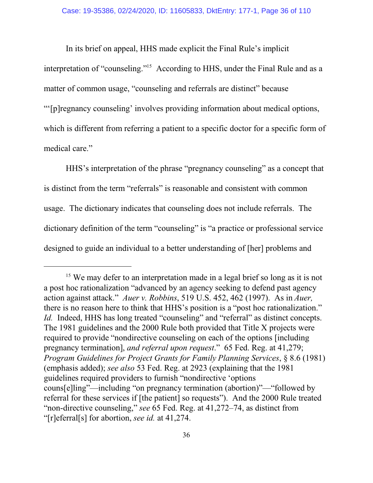In its brief on appeal, HHS made explicit the Final Rule's implicit interpretation of "counseling."<sup>15</sup> According to HHS, under the Final Rule and as a matter of common usage, "counseling and referrals are distinct" because "'[p]regnancy counseling' involves providing information about medical options, which is different from referring a patient to a specific doctor for a specific form of medical care."

HHS's interpretation of the phrase "pregnancy counseling" as a concept that is distinct from the term "referrals" is reasonable and consistent with common usage. The dictionary indicates that counseling does not include referrals. The dictionary definition of the term "counseling" is "a practice or professional service designed to guide an individual to a better understanding of [her] problems and

<sup>&</sup>lt;sup>15</sup> We may defer to an interpretation made in a legal brief so long as it is not a post hoc rationalization "advanced by an agency seeking to defend past agency action against attack." *Auer v. Robbins*, 519 U.S. 452, 462 (1997). As in *Auer,* there is no reason here to think that HHS's position is a "post hoc rationalization." *Id.* Indeed, HHS has long treated "counseling" and "referral" as distinct concepts. The 1981 guidelines and the 2000 Rule both provided that Title X projects were required to provide "nondirective counseling on each of the options [including pregnancy termination], *and referral upon request*." 65 Fed. Reg. at 41,279; *Program Guidelines for Project Grants for Family Planning Services*, § 8.6 (1981) (emphasis added); *see also* 53 Fed. Reg. at 2923 (explaining that the 1981 guidelines required providers to furnish "nondirective 'options couns[e]ling"—including "on pregnancy termination (abortion)"—"followed by referral for these services if [the patient] so requests"). And the 2000 Rule treated "non-directive counseling," *see* 65 Fed. Reg. at 41,272–74, as distinct from "[r]eferral[s] for abortion, *see id.* at 41,274.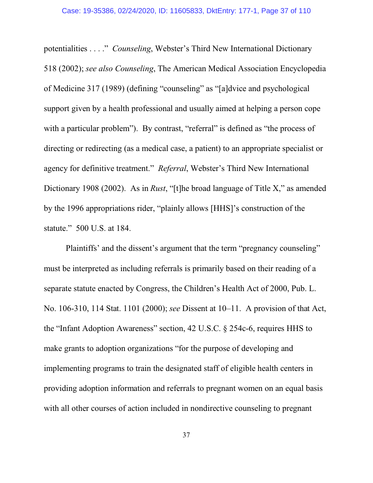potentialities . . . ." *Counseling*, Webster's Third New International Dictionary 518 (2002); *see also Counseling*, The American Medical Association Encyclopedia of Medicine 317 (1989) (defining "counseling" as "[a]dvice and psychological support given by a health professional and usually aimed at helping a person cope with a particular problem"). By contrast, "referral" is defined as "the process of directing or redirecting (as a medical case, a patient) to an appropriate specialist or agency for definitive treatment." *Referral*, Webster's Third New International Dictionary 1908 (2002). As in *Rust*, "[t]he broad language of Title X," as amended by the 1996 appropriations rider, "plainly allows [HHS]'s construction of the statute." 500 U.S. at 184.

Plaintiffs' and the dissent's argument that the term "pregnancy counseling" must be interpreted as including referrals is primarily based on their reading of a separate statute enacted by Congress, the Children's Health Act of 2000, Pub. L. No. 106-310, 114 Stat. 1101 (2000); *see* Dissent at 10–11. A provision of that Act, the "Infant Adoption Awareness" section, 42 U.S.C. § 254c-6, requires HHS to make grants to adoption organizations "for the purpose of developing and implementing programs to train the designated staff of eligible health centers in providing adoption information and referrals to pregnant women on an equal basis with all other courses of action included in nondirective counseling to pregnant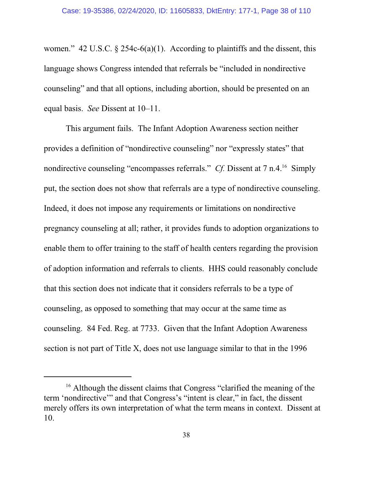women." 42 U.S.C.  $\S$  254c-6(a)(1). According to plaintiffs and the dissent, this language shows Congress intended that referrals be "included in nondirective counseling" and that all options, including abortion, should be presented on an equal basis. *See* Dissent at 10–11.

This argument fails. The Infant Adoption Awareness section neither provides a definition of "nondirective counseling" nor "expressly states" that nondirective counseling "encompasses referrals." *Cf.* Dissent at 7 n.4.<sup>16</sup> Simply put, the section does not show that referrals are a type of nondirective counseling. Indeed, it does not impose any requirements or limitations on nondirective pregnancy counseling at all; rather, it provides funds to adoption organizations to enable them to offer training to the staff of health centers regarding the provision of adoption information and referrals to clients. HHS could reasonably conclude that this section does not indicate that it considers referrals to be a type of counseling, as opposed to something that may occur at the same time as counseling. 84 Fed. Reg. at 7733. Given that the Infant Adoption Awareness section is not part of Title X, does not use language similar to that in the 1996

<sup>&</sup>lt;sup>16</sup> Although the dissent claims that Congress "clarified the meaning of the term 'nondirective'" and that Congress's "intent is clear," in fact, the dissent merely offers its own interpretation of what the term means in context. Dissent at 10.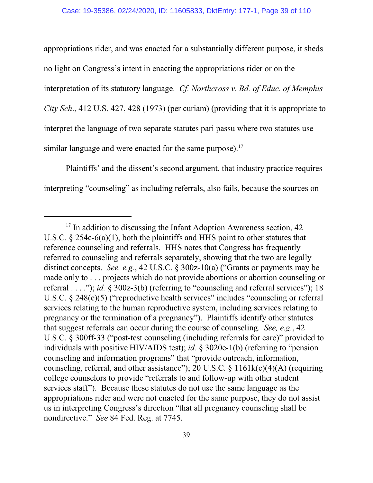appropriations rider, and was enacted for a substantially different purpose, it sheds no light on Congress's intent in enacting the appropriations rider or on the interpretation of its statutory language. *Cf. Northcross v. Bd. of Educ. of Memphis City Sch*., 412 U.S. 427, 428 (1973) (per curiam) (providing that it is appropriate to interpret the language of two separate statutes pari passu where two statutes use similar language and were enacted for the same purpose).<sup>17</sup>

Plaintiffs' and the dissent's second argument, that industry practice requires interpreting "counseling" as including referrals, also fails, because the sources on

<sup>&</sup>lt;sup>17</sup> In addition to discussing the Infant Adoption Awareness section, 42 U.S.C. § 254c-6(a)(1), both the plaintiffs and HHS point to other statutes that reference counseling and referrals. HHS notes that Congress has frequently referred to counseling and referrals separately, showing that the two are legally distinct concepts. *See, e.g.*, 42 U.S.C. § 300z-10(a) ("Grants or payments may be made only to . . . projects which do not provide abortions or abortion counseling or referral . . . ."); *id.* § 300z-3(b) (referring to "counseling and referral services"); 18 U.S.C. § 248(e)(5) ("reproductive health services" includes "counseling or referral services relating to the human reproductive system, including services relating to pregnancy or the termination of a pregnancy"). Plaintiffs identify other statutes that suggest referrals can occur during the course of counseling. *See, e.g.*, 42 U.S.C. § 300ff-33 ("post-test counseling (including referrals for care)" provided to individuals with positive HIV/AIDS test); *id.* § 3020e-1(b) (referring to "pension counseling and information programs" that "provide outreach, information, counseling, referral, and other assistance"); 20 U.S.C.  $\S$  1161k(c)(4)(A) (requiring college counselors to provide "referrals to and follow-up with other student services staff"). Because these statutes do not use the same language as the appropriations rider and were not enacted for the same purpose, they do not assist us in interpreting Congress's direction "that all pregnancy counseling shall be nondirective." *See* 84 Fed. Reg. at 7745.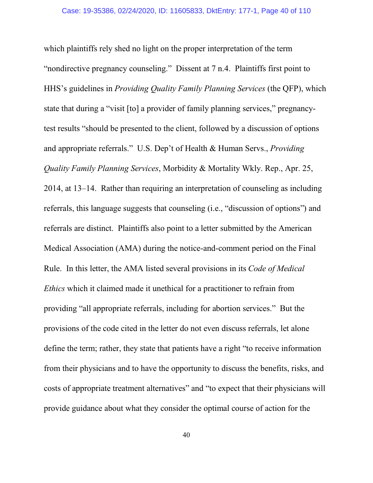which plaintiffs rely shed no light on the proper interpretation of the term "nondirective pregnancy counseling." Dissent at 7 n.4. Plaintiffs first point to HHS's guidelines in *Providing Quality Family Planning Services* (the QFP), which state that during a "visit [to] a provider of family planning services," pregnancytest results "should be presented to the client, followed by a discussion of options and appropriate referrals." U.S. Dep't of Health & Human Servs., *Providing Quality Family Planning Services*, Morbidity & Mortality Wkly. Rep., Apr. 25, 2014, at 13–14. Rather than requiring an interpretation of counseling as including referrals, this language suggests that counseling (i.e., "discussion of options") and referrals are distinct. Plaintiffs also point to a letter submitted by the American Medical Association (AMA) during the notice-and-comment period on the Final Rule. In this letter, the AMA listed several provisions in its *Code of Medical Ethics* which it claimed made it unethical for a practitioner to refrain from providing "all appropriate referrals, including for abortion services." But the provisions of the code cited in the letter do not even discuss referrals, let alone define the term; rather, they state that patients have a right "to receive information from their physicians and to have the opportunity to discuss the benefits, risks, and costs of appropriate treatment alternatives" and "to expect that their physicians will provide guidance about what they consider the optimal course of action for the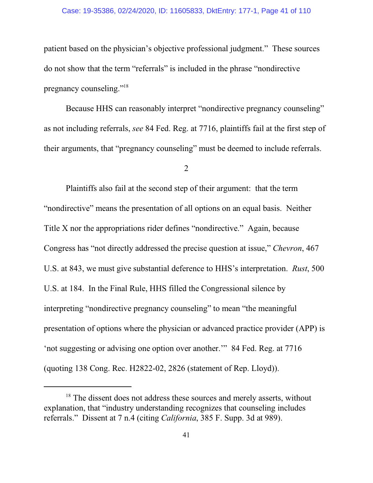## Case: 19-35386, 02/24/2020, ID: 11605833, DktEntry: 177-1, Page 41 of 110

patient based on the physician's objective professional judgment." These sources do not show that the term "referrals" is included in the phrase "nondirective pregnancy counseling."<sup>18</sup>

Because HHS can reasonably interpret "nondirective pregnancy counseling" as not including referrals, *see* 84 Fed. Reg. at 7716, plaintiffs fail at the first step of their arguments, that "pregnancy counseling" must be deemed to include referrals.

2

Plaintiffs also fail at the second step of their argument: that the term "nondirective" means the presentation of all options on an equal basis. Neither Title X nor the appropriations rider defines "nondirective." Again, because Congress has "not directly addressed the precise question at issue," *Chevron*, 467 U.S. at 843, we must give substantial deference to HHS's interpretation. *Rust*, 500 U.S. at 184. In the Final Rule, HHS filled the Congressional silence by interpreting "nondirective pregnancy counseling" to mean "the meaningful presentation of options where the physician or advanced practice provider (APP) is 'not suggesting or advising one option over another.'" 84 Fed. Reg. at 7716 (quoting 138 Cong. Rec. H2822-02, 2826 (statement of Rep. Lloyd)).

<sup>&</sup>lt;sup>18</sup> The dissent does not address these sources and merely asserts, without explanation, that "industry understanding recognizes that counseling includes referrals." Dissent at 7 n.4 (citing *California*, 385 F. Supp. 3d at 989).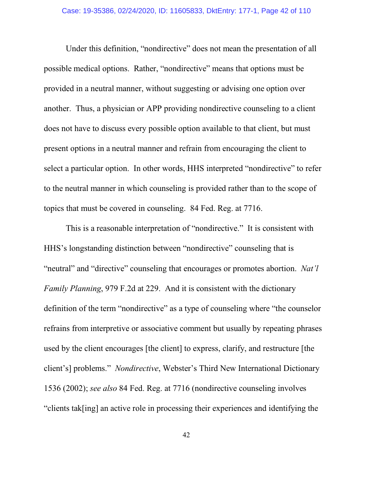Under this definition, "nondirective" does not mean the presentation of all possible medical options. Rather, "nondirective" means that options must be provided in a neutral manner, without suggesting or advising one option over another. Thus, a physician or APP providing nondirective counseling to a client does not have to discuss every possible option available to that client, but must present options in a neutral manner and refrain from encouraging the client to select a particular option. In other words, HHS interpreted "nondirective" to refer to the neutral manner in which counseling is provided rather than to the scope of topics that must be covered in counseling. 84 Fed. Reg. at 7716.

This is a reasonable interpretation of "nondirective." It is consistent with HHS's longstanding distinction between "nondirective" counseling that is "neutral" and "directive" counseling that encourages or promotes abortion. *Nat'l Family Planning*, 979 F.2d at 229. And it is consistent with the dictionary definition of the term "nondirective" as a type of counseling where "the counselor refrains from interpretive or associative comment but usually by repeating phrases used by the client encourages [the client] to express, clarify, and restructure [the client's] problems." *Nondirective*, Webster's Third New International Dictionary 1536 (2002); *see also* 84 Fed. Reg. at 7716 (nondirective counseling involves "clients tak[ing] an active role in processing their experiences and identifying the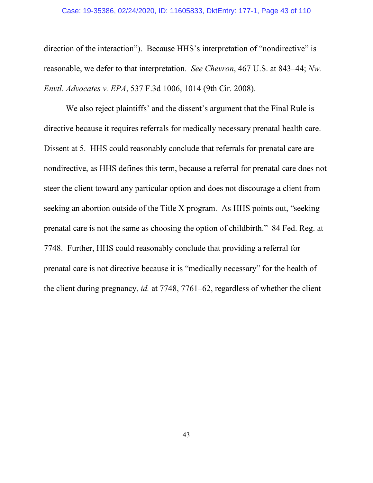direction of the interaction"). Because HHS's interpretation of "nondirective" is reasonable, we defer to that interpretation. *See Chevron*, 467 U.S. at 843–44; *Nw. Envtl. Advocates v. EPA*, 537 F.3d 1006, 1014 (9th Cir. 2008).

We also reject plaintiffs' and the dissent's argument that the Final Rule is directive because it requires referrals for medically necessary prenatal health care. Dissent at 5. HHS could reasonably conclude that referrals for prenatal care are nondirective, as HHS defines this term, because a referral for prenatal care does not steer the client toward any particular option and does not discourage a client from seeking an abortion outside of the Title X program. As HHS points out, "seeking prenatal care is not the same as choosing the option of childbirth." 84 Fed. Reg. at 7748. Further, HHS could reasonably conclude that providing a referral for prenatal care is not directive because it is "medically necessary" for the health of the client during pregnancy, *id.* at 7748, 7761–62, regardless of whether the client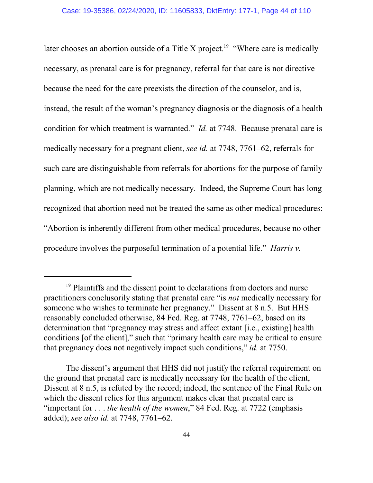later chooses an abortion outside of a Title X project.<sup>19</sup> "Where care is medically necessary, as prenatal care is for pregnancy, referral for that care is not directive because the need for the care preexists the direction of the counselor, and is, instead, the result of the woman's pregnancy diagnosis or the diagnosis of a health condition for which treatment is warranted." *Id.* at 7748. Because prenatal care is medically necessary for a pregnant client, *see id.* at 7748, 7761–62, referrals for such care are distinguishable from referrals for abortions for the purpose of family planning, which are not medically necessary. Indeed, the Supreme Court has long recognized that abortion need not be treated the same as other medical procedures: "Abortion is inherently different from other medical procedures, because no other procedure involves the purposeful termination of a potential life." *Harris v.*

<sup>&</sup>lt;sup>19</sup> Plaintiffs and the dissent point to declarations from doctors and nurse practitioners conclusorily stating that prenatal care "is *not* medically necessary for someone who wishes to terminate her pregnancy." Dissent at 8 n.5. But HHS reasonably concluded otherwise, 84 Fed. Reg. at 7748, 7761–62, based on its determination that "pregnancy may stress and affect extant [i.e., existing] health conditions [of the client]," such that "primary health care may be critical to ensure that pregnancy does not negatively impact such conditions," *id.* at 7750.

The dissent's argument that HHS did not justify the referral requirement on the ground that prenatal care is medically necessary for the health of the client, Dissent at 8 n.5, is refuted by the record; indeed, the sentence of the Final Rule on which the dissent relies for this argument makes clear that prenatal care is "important for . . . *the health of the women*," 84 Fed. Reg. at 7722 (emphasis added); *see also id.* at 7748, 7761–62.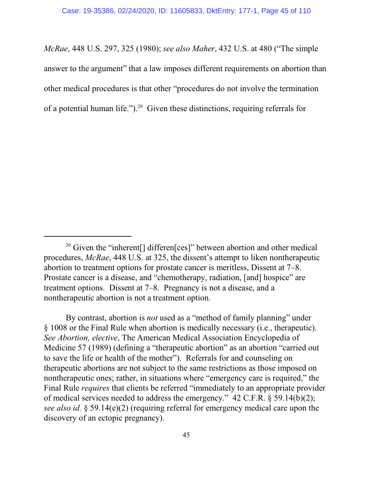*McRae*, 448 U.S. 297, 325 (1980); *see also Maher*, 432 U.S. at 480 ("The simple answer to the argument" that a law imposes different requirements on abortion than other medical procedures is that other "procedures do not involve the termination of a potential human life."). $^{20}$  Given these distinctions, requiring referrals for

By contrast, abortion is *not* used as a "method of family planning" under § 1008 or the Final Rule when abortion is medically necessary (i.e., therapeutic). *See Abortion, elective*, The American Medical Association Encyclopedia of Medicine 57 (1989) (defining a "therapeutic abortion" as an abortion "carried out to save the life or health of the mother"). Referrals for and counseling on therapeutic abortions are not subject to the same restrictions as those imposed on nontherapeutic ones; rather, in situations where "emergency care is required," the Final Rule *requires* that clients be referred "immediately to an appropriate provider of medical services needed to address the emergency." 42 C.F.R. § 59.14(b)(2); *see also id.* § 59.14(e)(2) (requiring referral for emergency medical care upon the discovery of an ectopic pregnancy).

<sup>&</sup>lt;sup>20</sup> Given the "inherent[] differen[ces]" between abortion and other medical procedures, *McRae*, 448 U.S. at 325, the dissent's attempt to liken nontherapeutic abortion to treatment options for prostate cancer is meritless, Dissent at 7–8. Prostate cancer is a disease, and "chemotherapy, radiation, [and] hospice" are treatment options. Dissent at 7–8. Pregnancy is not a disease, and a nontherapeutic abortion is not a treatment option.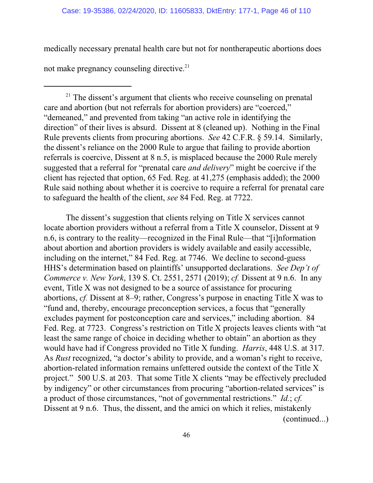medically necessary prenatal health care but not for nontherapeutic abortions does

not make pregnancy counseling directive.<sup>21</sup>

<sup>21</sup> The dissent's argument that clients who receive counseling on prenatal care and abortion (but not referrals for abortion providers) are "coerced," "demeaned," and prevented from taking "an active role in identifying the direction" of their lives is absurd. Dissent at 8 (cleaned up). Nothing in the Final Rule prevents clients from procuring abortions. *See* 42 C.F.R. § 59.14. Similarly, the dissent's reliance on the 2000 Rule to argue that failing to provide abortion referrals is coercive, Dissent at 8 n.5, is misplaced because the 2000 Rule merely suggested that a referral for "prenatal care *and delivery*" might be coercive if the client has rejected that option, 65 Fed. Reg. at 41,275 (emphasis added); the 2000 Rule said nothing about whether it is coercive to require a referral for prenatal care to safeguard the health of the client, *see* 84 Fed. Reg. at 7722.

The dissent's suggestion that clients relying on Title X services cannot locate abortion providers without a referral from a Title X counselor, Dissent at 9 n.6, is contrary to the reality—recognized in the Final Rule—that "[i]nformation about abortion and abortion providers is widely available and easily accessible, including on the internet," 84 Fed. Reg. at 7746. We decline to second-guess HHS's determination based on plaintiffs' unsupported declarations. *See Dep't of Commerce v. New York*, 139 S. Ct. 2551, 2571 (2019); *cf.* Dissent at 9 n.6. In any event, Title X was not designed to be a source of assistance for procuring abortions, *cf.* Dissent at 8–9; rather, Congress's purpose in enacting Title X was to "fund and, thereby, encourage preconception services, a focus that "generally excludes payment for postconception care and services," including abortion. 84 Fed. Reg. at 7723. Congress's restriction on Title X projects leaves clients with "at least the same range of choice in deciding whether to obtain" an abortion as they would have had if Congress provided no Title X funding. *Harris*, 448 U.S. at 317. As *Rust* recognized, "a doctor's ability to provide, and a woman's right to receive, abortion-related information remains unfettered outside the context of the Title X project." 500 U.S. at 203. That some Title X clients "may be effectively precluded by indigency" or other circumstances from procuring "abortion-related services" is a product of those circumstances, "not of governmental restrictions." *Id.*; *cf.* Dissent at 9 n.6. Thus, the dissent, and the amici on which it relies, mistakenly (continued...)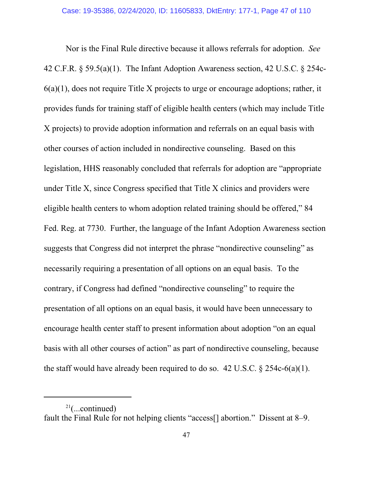Nor is the Final Rule directive because it allows referrals for adoption. *See* 42 C.F.R. § 59.5(a)(1). The Infant Adoption Awareness section, 42 U.S.C. § 254c-6(a)(1), does not require Title X projects to urge or encourage adoptions; rather, it provides funds for training staff of eligible health centers (which may include Title X projects) to provide adoption information and referrals on an equal basis with other courses of action included in nondirective counseling. Based on this legislation, HHS reasonably concluded that referrals for adoption are "appropriate under Title X, since Congress specified that Title X clinics and providers were eligible health centers to whom adoption related training should be offered," 84 Fed. Reg. at 7730. Further, the language of the Infant Adoption Awareness section suggests that Congress did not interpret the phrase "nondirective counseling" as necessarily requiring a presentation of all options on an equal basis. To the contrary, if Congress had defined "nondirective counseling" to require the presentation of all options on an equal basis, it would have been unnecessary to encourage health center staff to present information about adoption "on an equal basis with all other courses of action" as part of nondirective counseling, because the staff would have already been required to do so. 42 U.S.C.  $\S$  254c-6(a)(1).

 $2^{21}$ (...continued)

fault the Final Rule for not helping clients "access[] abortion." Dissent at 8–9.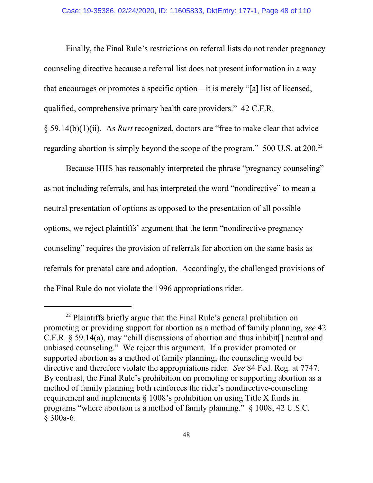Finally, the Final Rule's restrictions on referral lists do not render pregnancy counseling directive because a referral list does not present information in a way that encourages or promotes a specific option—it is merely "[a] list of licensed, qualified, comprehensive primary health care providers." 42 C.F.R.

§ 59.14(b)(1)(ii). As *Rust* recognized, doctors are "free to make clear that advice regarding abortion is simply beyond the scope of the program." 500 U.S. at 200.<sup>22</sup>

Because HHS has reasonably interpreted the phrase "pregnancy counseling" as not including referrals, and has interpreted the word "nondirective" to mean a neutral presentation of options as opposed to the presentation of all possible options, we reject plaintiffs' argument that the term "nondirective pregnancy counseling" requires the provision of referrals for abortion on the same basis as referrals for prenatal care and adoption. Accordingly, the challenged provisions of the Final Rule do not violate the 1996 appropriations rider.

<sup>&</sup>lt;sup>22</sup> Plaintiffs briefly argue that the Final Rule's general prohibition on promoting or providing support for abortion as a method of family planning, *see* 42 C.F.R. § 59.14(a), may "chill discussions of abortion and thus inhibit[] neutral and unbiased counseling." We reject this argument. If a provider promoted or supported abortion as a method of family planning, the counseling would be directive and therefore violate the appropriations rider. *See* 84 Fed. Reg. at 7747. By contrast, the Final Rule's prohibition on promoting or supporting abortion as a method of family planning both reinforces the rider's nondirective-counseling requirement and implements § 1008's prohibition on using Title X funds in programs "where abortion is a method of family planning." § 1008, 42 U.S.C. § 300a-6.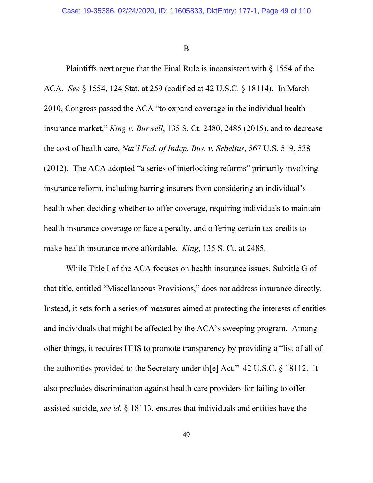B

Plaintiffs next argue that the Final Rule is inconsistent with  $\S$  1554 of the ACA. *See* § 1554, 124 Stat. at 259 (codified at 42 U.S.C. § 18114). In March 2010, Congress passed the ACA "to expand coverage in the individual health insurance market," *King v. Burwell*, 135 S. Ct. 2480, 2485 (2015), and to decrease the cost of health care, *Nat'l Fed. of Indep. Bus. v. Sebelius*, 567 U.S. 519, 538 (2012). The ACA adopted "a series of interlocking reforms" primarily involving insurance reform, including barring insurers from considering an individual's health when deciding whether to offer coverage, requiring individuals to maintain health insurance coverage or face a penalty, and offering certain tax credits to make health insurance more affordable. *King*, 135 S. Ct. at 2485.

While Title I of the ACA focuses on health insurance issues, Subtitle G of that title, entitled "Miscellaneous Provisions," does not address insurance directly. Instead, it sets forth a series of measures aimed at protecting the interests of entities and individuals that might be affected by the ACA's sweeping program. Among other things, it requires HHS to promote transparency by providing a "list of all of the authorities provided to the Secretary under th[e] Act." 42 U.S.C. § 18112. It also precludes discrimination against health care providers for failing to offer assisted suicide, *see id.* § 18113, ensures that individuals and entities have the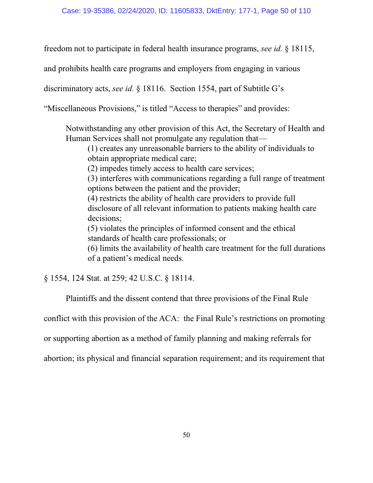freedom not to participate in federal health insurance programs, *see id.* § 18115,

and prohibits health care programs and employers from engaging in various

discriminatory acts, *see id.* § 18116. Section 1554, part of Subtitle G's

"Miscellaneous Provisions," is titled "Access to therapies" and provides:

Notwithstanding any other provision of this Act, the Secretary of Health and Human Services shall not promulgate any regulation that—

(1) creates any unreasonable barriers to the ability of individuals to obtain appropriate medical care;

(2) impedes timely access to health care services;

(3) interferes with communications regarding a full range of treatment options between the patient and the provider;

(4) restricts the ability of health care providers to provide full disclosure of all relevant information to patients making health care decisions;

(5) violates the principles of informed consent and the ethical standards of health care professionals; or

(6) limits the availability of health care treatment for the full durations of a patient's medical needs.

§ 1554, 124 Stat. at 259; 42 U.S.C. § 18114.

Plaintiffs and the dissent contend that three provisions of the Final Rule

conflict with this provision of the ACA: the Final Rule's restrictions on promoting

or supporting abortion as a method of family planning and making referrals for

abortion; its physical and financial separation requirement; and its requirement that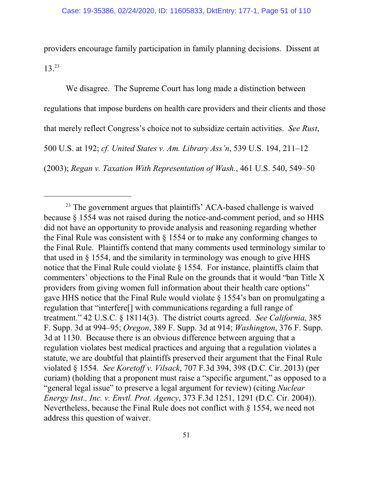providers encourage family participation in family planning decisions. Dissent at 13.<sup>23</sup>

We disagree. The Supreme Court has long made a distinction between regulations that impose burdens on health care providers and their clients and those that merely reflect Congress's choice not to subsidize certain activities. *See Rust*, 500 U.S. at 192; *cf. United States v. Am. Library Ass'n*, 539 U.S. 194, 211–12 (2003); *Regan v. Taxation With Representation of Wash.*, 461 U.S. 540, 549–50

<sup>&</sup>lt;sup>23</sup> The government argues that plaintiffs' ACA-based challenge is waived because § 1554 was not raised during the notice-and-comment period, and so HHS did not have an opportunity to provide analysis and reasoning regarding whether the Final Rule was consistent with § 1554 or to make any conforming changes to the Final Rule. Plaintiffs contend that many comments used terminology similar to that used in § 1554, and the similarity in terminology was enough to give HHS notice that the Final Rule could violate § 1554. For instance, plaintiffs claim that commenters' objections to the Final Rule on the grounds that it would "ban Title X providers from giving women full information about their health care options" gave HHS notice that the Final Rule would violate § 1554's ban on promulgating a regulation that "interfere[] with communications regarding a full range of treatment." 42 U.S.C. § 18114(3). The district courts agreed. *See California*, 385 F. Supp. 3d at 994–95; *Oregon*, 389 F. Supp. 3d at 914; *Washington*, 376 F. Supp. 3d at 1130. Because there is an obvious difference between arguing that a regulation violates best medical practices and arguing that a regulation violates a statute, we are doubtful that plaintiffs preserved their argument that the Final Rule violated § 1554. *See Koretoff v. Vilsack*, 707 F.3d 394, 398 (D.C. Cir. 2013) (per curiam) (holding that a proponent must raise a "specific argument," as opposed to a "general legal issue" to preserve a legal argument for review) (citing *Nuclear Energy Inst., Inc. v. Envtl. Prot. Agency*, 373 F.3d 1251, 1291 (D.C. Cir. 2004)). Nevertheless, because the Final Rule does not conflict with § 1554, we need not address this question of waiver.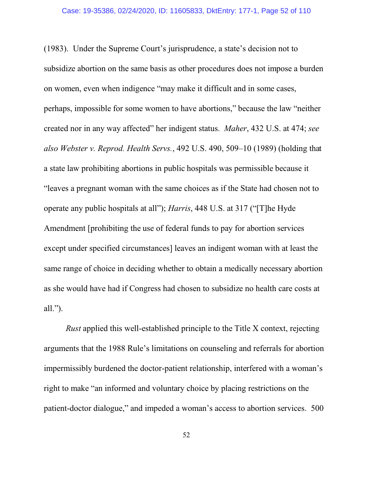(1983). Under the Supreme Court's jurisprudence, a state's decision not to subsidize abortion on the same basis as other procedures does not impose a burden on women, even when indigence "may make it difficult and in some cases, perhaps, impossible for some women to have abortions," because the law "neither created nor in any way affected" her indigent status. *Maher*, 432 U.S. at 474; *see also Webster v. Reprod. Health Servs.*, 492 U.S. 490, 509–10 (1989) (holding that a state law prohibiting abortions in public hospitals was permissible because it "leaves a pregnant woman with the same choices as if the State had chosen not to operate any public hospitals at all"); *Harris*, 448 U.S. at 317 ("[T]he Hyde Amendment [prohibiting the use of federal funds to pay for abortion services except under specified circumstances] leaves an indigent woman with at least the same range of choice in deciding whether to obtain a medically necessary abortion as she would have had if Congress had chosen to subsidize no health care costs at all.").

*Rust* applied this well-established principle to the Title X context, rejecting arguments that the 1988 Rule's limitations on counseling and referrals for abortion impermissibly burdened the doctor-patient relationship, interfered with a woman's right to make "an informed and voluntary choice by placing restrictions on the patient-doctor dialogue," and impeded a woman's access to abortion services.500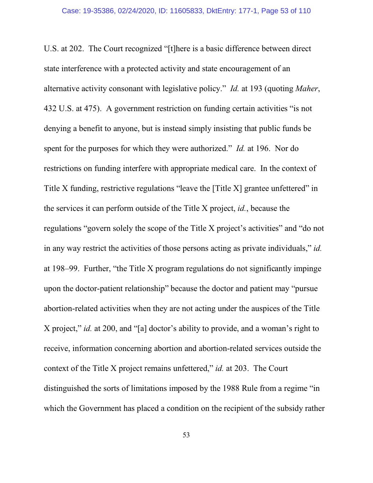U.S. at 202. The Court recognized "[t]here is a basic difference between direct state interference with a protected activity and state encouragement of an alternative activity consonant with legislative policy." *Id.* at 193 (quoting *Maher*, 432 U.S. at 475). A government restriction on funding certain activities "is not denying a benefit to anyone, but is instead simply insisting that public funds be spent for the purposes for which they were authorized." *Id.* at 196. Nor do restrictions on funding interfere with appropriate medical care. In the context of Title X funding, restrictive regulations "leave the [Title X] grantee unfettered" in the services it can perform outside of the Title X project, *id.*, because the regulations "govern solely the scope of the Title X project's activities" and "do not in any way restrict the activities of those persons acting as private individuals," *id.* at 198–99. Further, "the Title X program regulations do not significantly impinge upon the doctor-patient relationship" because the doctor and patient may "pursue abortion-related activities when they are not acting under the auspices of the Title X project," *id.* at 200, and "[a] doctor's ability to provide, and a woman's right to receive, information concerning abortion and abortion-related services outside the context of the Title X project remains unfettered," *id.* at 203.The Court distinguished the sorts of limitations imposed by the 1988 Rule from a regime "in which the Government has placed a condition on the recipient of the subsidy rather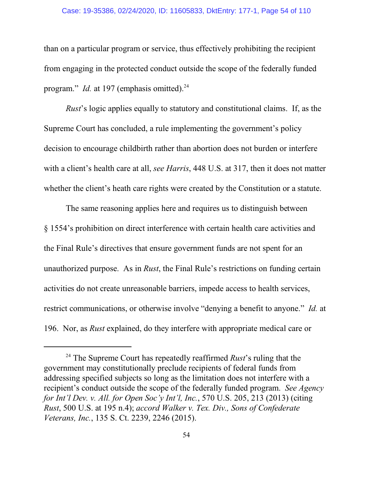# Case: 19-35386, 02/24/2020, ID: 11605833, DktEntry: 177-1, Page 54 of 110

than on a particular program or service, thus effectively prohibiting the recipient from engaging in the protected conduct outside the scope of the federally funded program." *Id.* at 197 (emphasis omitted).<sup>24</sup>

*Rust*'s logic applies equally to statutory and constitutional claims. If, as the Supreme Court has concluded, a rule implementing the government's policy decision to encourage childbirth rather than abortion does not burden or interfere with a client's health care at all, *see Harris*, 448 U.S. at 317, then it does not matter whether the client's heath care rights were created by the Constitution or a statute.

The same reasoning applies here and requires us to distinguish between § 1554's prohibition on direct interference with certain health care activities and the Final Rule's directives that ensure government funds are not spent for an unauthorized purpose. As in *Rust*, the Final Rule's restrictions on funding certain activities do not create unreasonable barriers, impede access to health services, restrict communications, or otherwise involve "denying a benefit to anyone." *Id.* at 196. Nor, as *Rust* explained, do they interfere with appropriate medical care or

<sup>&</sup>lt;sup>24</sup> The Supreme Court has repeatedly reaffirmed *Rust*'s ruling that the government may constitutionally preclude recipients of federal funds from addressing specified subjects so long as the limitation does not interfere with a recipient's conduct outside the scope of the federally funded program. *See Agency for Int'l Dev. v. All. for Open Soc'y Int'l, Inc.*, 570 U.S. 205, 213 (2013) (citing *Rust*, 500 U.S. at 195 n.4); *accord Walker v. Tex. Div., Sons of Confederate Veterans, Inc.*, 135 S. Ct. 2239, 2246 (2015).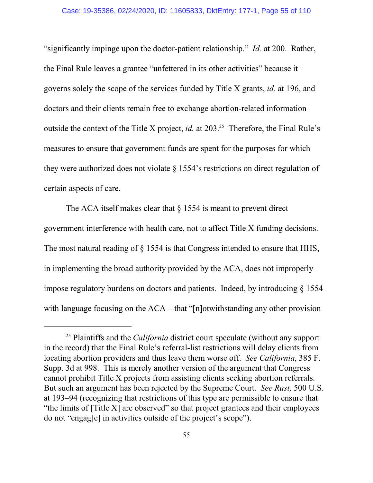"significantly impinge upon the doctor-patient relationship." *Id.* at 200. Rather, the Final Rule leaves a grantee "unfettered in its other activities" because it governs solely the scope of the services funded by Title X grants, *id.* at 196, and doctors and their clients remain free to exchange abortion-related information outside the context of the Title X project, *id.* at 203.<sup>25</sup> Therefore, the Final Rule's measures to ensure that government funds are spent for the purposes for which they were authorized does not violate § 1554's restrictions on direct regulation of certain aspects of care.

The ACA itself makes clear that  $\S$  1554 is meant to prevent direct government interference with health care, not to affect Title X funding decisions. The most natural reading of § 1554 is that Congress intended to ensure that HHS, in implementing the broad authority provided by the ACA, does not improperly impose regulatory burdens on doctors and patients. Indeed, by introducing § 1554 with language focusing on the ACA—that "[n]otwithstanding any other provision

<sup>25</sup> Plaintiffs and the *California* district court speculate (without any support in the record) that the Final Rule's referral-list restrictions will delay clients from locating abortion providers and thus leave them worse off. *See California*, 385 F. Supp. 3d at 998. This is merely another version of the argument that Congress cannot prohibit Title X projects from assisting clients seeking abortion referrals. But such an argument has been rejected by the Supreme Court. *See Rust,* 500 U.S. at 193–94 (recognizing that restrictions of this type are permissible to ensure that "the limits of [Title X] are observed" so that project grantees and their employees do not "engag[e] in activities outside of the project's scope").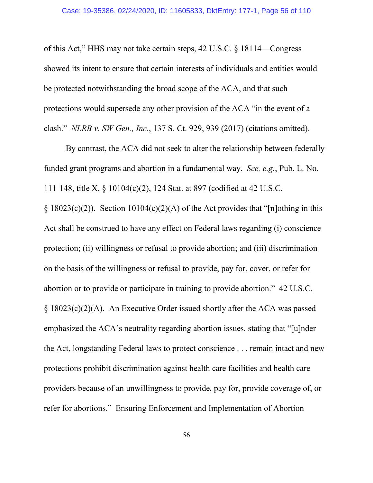of this Act," HHS may not take certain steps, 42 U.S.C. § 18114—Congress showed its intent to ensure that certain interests of individuals and entities would be protected notwithstanding the broad scope of the ACA, and that such protections would supersede any other provision of the ACA "in the event of a clash." *NLRB v. SW Gen., Inc.*, 137 S. Ct. 929, 939 (2017) (citations omitted).

By contrast, the ACA did not seek to alter the relationship between federally funded grant programs and abortion in a fundamental way. *See, e.g.*, Pub. L. No. 111-148, title X, § 10104(c)(2), 124 Stat. at 897 (codified at 42 U.S.C.  $§ 18023(c)(2))$ . Section 10104(c)(2)(A) of the Act provides that "[n]othing in this Act shall be construed to have any effect on Federal laws regarding (i) conscience protection; (ii) willingness or refusal to provide abortion; and (iii) discrimination on the basis of the willingness or refusal to provide, pay for, cover, or refer for abortion or to provide or participate in training to provide abortion." 42 U.S.C. § 18023(c)(2)(A). An Executive Order issued shortly after the ACA was passed emphasized the ACA's neutrality regarding abortion issues, stating that "[u]nder the Act, longstanding Federal laws to protect conscience . . . remain intact and new protections prohibit discrimination against health care facilities and health care providers because of an unwillingness to provide, pay for, provide coverage of, or refer for abortions." Ensuring Enforcement and Implementation of Abortion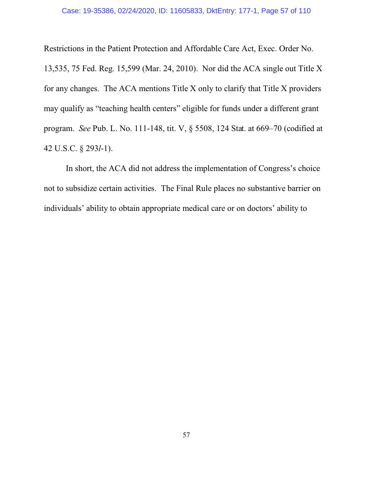Restrictions in the Patient Protection and Affordable Care Act, Exec. Order No.

13,535, 75 Fed. Reg. 15,599 (Mar. 24, 2010). Nor did the ACA single out Title X for any changes. The ACA mentions Title X only to clarify that Title X providers may qualify as "teaching health centers" eligible for funds under a different grant program. *See* Pub. L. No. 111-148, tit. V, § 5508, 124 Stat. at 669–70 (codified at 42 U.S.C. § 293*l*-1).

In short, the ACA did not address the implementation of Congress's choice not to subsidize certain activities. The Final Rule places no substantive barrier on individuals' ability to obtain appropriate medical care or on doctors' ability to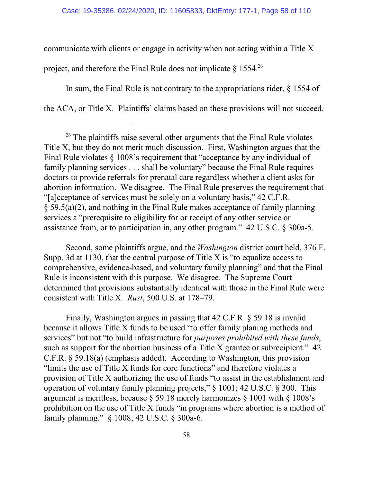communicate with clients or engage in activity when not acting within a Title X project, and therefore the Final Rule does not implicate  $\S 1554$ <sup>26</sup>

In sum, the Final Rule is not contrary to the appropriations rider, § 1554 of the ACA, or Title X. Plaintiffs' claims based on these provisions will not succeed.

Second, some plaintiffs argue, and the *Washington* district court held, 376 F. Supp. 3d at 1130, that the central purpose of Title X is "to equalize access to comprehensive, evidence-based, and voluntary family planning" and that the Final Rule is inconsistent with this purpose. We disagree. The Supreme Court determined that provisions substantially identical with those in the Final Rule were consistent with Title X. *Rust*, 500 U.S. at 178–79.

Finally, Washington argues in passing that 42 C.F.R. § 59.18 is invalid because it allows Title X funds to be used "to offer family planing methods and services" but not "to build infrastructure for *purposes prohibited with these funds*, such as support for the abortion business of a Title X grantee or subrecipient." 42 C.F.R. § 59.18(a) (emphasis added). According to Washington, this provision "limits the use of Title X funds for core functions" and therefore violates a provision of Title X authorizing the use of funds "to assist in the establishment and operation of voluntary family planning projects," § 1001; 42 U.S.C. § 300. This argument is meritless, because § 59.18 merely harmonizes § 1001 with § 1008's prohibition on the use of Title X funds "in programs where abortion is a method of family planning." § 1008; 42 U.S.C. § 300a-6.

<sup>&</sup>lt;sup>26</sup> The plaintiffs raise several other arguments that the Final Rule violates Title X, but they do not merit much discussion. First, Washington argues that the Final Rule violates § 1008's requirement that "acceptance by any individual of family planning services . . . shall be voluntary" because the Final Rule requires doctors to provide referrals for prenatal care regardless whether a client asks for abortion information. We disagree. The Final Rule preserves the requirement that "[a]cceptance of services must be solely on a voluntary basis," 42 C.F.R. § 59.5(a)(2), and nothing in the Final Rule makes acceptance of family planning services a "prerequisite to eligibility for or receipt of any other service or assistance from, or to participation in, any other program." 42 U.S.C. § 300a-5.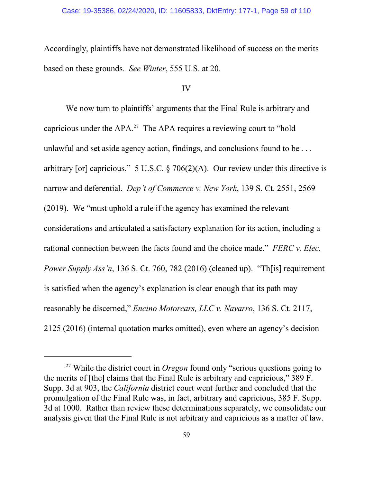# Case: 19-35386, 02/24/2020, ID: 11605833, DktEntry: 177-1, Page 59 of 110

Accordingly, plaintiffs have not demonstrated likelihood of success on the merits based on these grounds. *See Winter*, 555 U.S. at 20.

# IV

We now turn to plaintiffs' arguments that the Final Rule is arbitrary and capricious under the APA.<sup>27</sup> The APA requires a reviewing court to "hold" unlawful and set aside agency action, findings, and conclusions found to be . . . arbitrary [or] capricious." 5 U.S.C. § 706(2)(A). Our review under this directive is narrow and deferential. *Dep't of Commerce v. New York*, 139 S. Ct. 2551, 2569 (2019). We "must uphold a rule if the agency has examined the relevant considerations and articulated a satisfactory explanation for its action, including a rational connection between the facts found and the choice made." *FERC v. Elec. Power Supply Ass'n*, 136 S. Ct. 760, 782 (2016) (cleaned up). "Th[is] requirement is satisfied when the agency's explanation is clear enough that its path may reasonably be discerned," *Encino Motorcars, LLC v. Navarro*, 136 S. Ct. 2117, 2125 (2016) (internal quotation marks omitted), even where an agency's decision

<sup>&</sup>lt;sup>27</sup> While the district court in *Oregon* found only "serious questions going to the merits of [the] claims that the Final Rule is arbitrary and capricious," 389 F. Supp. 3d at 903, the *California* district court went further and concluded that the promulgation of the Final Rule was, in fact, arbitrary and capricious, 385 F. Supp. 3d at 1000. Rather than review these determinations separately, we consolidate our analysis given that the Final Rule is not arbitrary and capricious as a matter of law.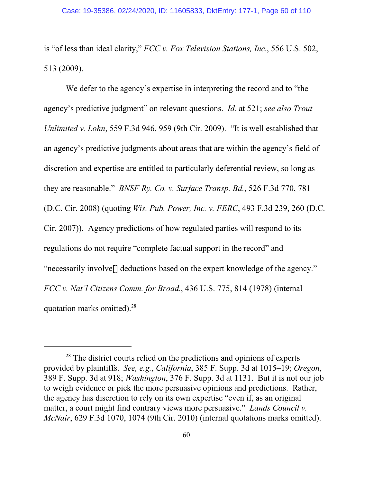is "of less than ideal clarity," *FCC v. Fox Television Stations, Inc.*, 556 U.S. 502, 513 (2009).

We defer to the agency's expertise in interpreting the record and to "the agency's predictive judgment" on relevant questions. *Id.* at 521; *see also Trout Unlimited v. Lohn*, 559 F.3d 946, 959 (9th Cir. 2009). "It is well established that an agency's predictive judgments about areas that are within the agency's field of discretion and expertise are entitled to particularly deferential review, so long as they are reasonable." *BNSF Ry. Co. v. Surface Transp. Bd.*, 526 F.3d 770, 781 (D.C. Cir. 2008) (quoting *Wis. Pub. Power, Inc. v. FERC*, 493 F.3d 239, 260 (D.C. Cir. 2007)). Agency predictions of how regulated parties will respond to its regulations do not require "complete factual support in the record" and "necessarily involve[] deductions based on the expert knowledge of the agency." *FCC v. Nat'l Citizens Comm. for Broad.*, 436 U.S. 775, 814 (1978) (internal quotation marks omitted).<sup>28</sup>

<sup>&</sup>lt;sup>28</sup> The district courts relied on the predictions and opinions of experts provided by plaintiffs. *See, e.g.*, *California*, 385 F. Supp. 3d at 1015–19; *Oregon*, 389 F. Supp. 3d at 918; *Washington*, 376 F. Supp. 3d at 1131. But it is not our job to weigh evidence or pick the more persuasive opinions and predictions. Rather, the agency has discretion to rely on its own expertise "even if, as an original matter, a court might find contrary views more persuasive." *Lands Council v. McNair*, 629 F.3d 1070, 1074 (9th Cir. 2010) (internal quotations marks omitted).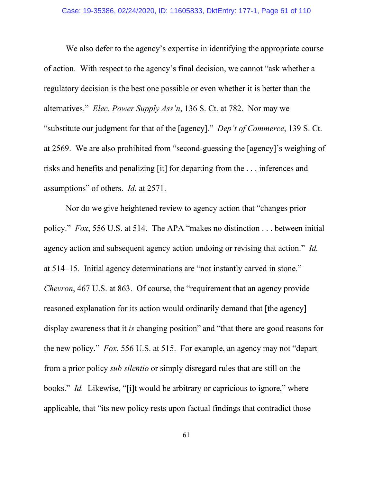We also defer to the agency's expertise in identifying the appropriate course of action. With respect to the agency's final decision, we cannot "ask whether a regulatory decision is the best one possible or even whether it is better than the alternatives." *Elec. Power Supply Ass'n*, 136 S. Ct. at 782. Nor may we "substitute our judgment for that of the [agency]." *Dep't of Commerce*, 139 S. Ct. at 2569. We are also prohibited from "second-guessing the [agency]'s weighing of risks and benefits and penalizing [it] for departing from the . . . inferences and assumptions" of others. *Id.* at 2571.

Nor do we give heightened review to agency action that "changes prior policy." *Fox*, 556 U.S. at 514. The APA "makes no distinction . . . between initial agency action and subsequent agency action undoing or revising that action." *Id.* at 514–15. Initial agency determinations are "not instantly carved in stone." *Chevron*, 467 U.S. at 863. Of course, the "requirement that an agency provide" reasoned explanation for its action would ordinarily demand that [the agency] display awareness that it *is* changing position" and "that there are good reasons for the new policy." *Fox*, 556 U.S. at 515. For example, an agency may not "depart from a prior policy *sub silentio* or simply disregard rules that are still on the books." *Id.* Likewise, "[i]t would be arbitrary or capricious to ignore," where applicable, that "its new policy rests upon factual findings that contradict those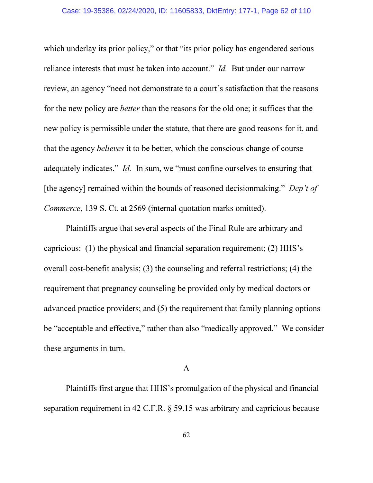which underlay its prior policy," or that "its prior policy has engendered serious reliance interests that must be taken into account." *Id.* But under our narrow review, an agency "need not demonstrate to a court's satisfaction that the reasons for the new policy are *better* than the reasons for the old one; it suffices that the new policy is permissible under the statute, that there are good reasons for it, and that the agency *believes* it to be better, which the conscious change of course adequately indicates." *Id.* In sum, we "must confine ourselves to ensuring that [the agency] remained within the bounds of reasoned decisionmaking." *Dep't of Commerce*, 139 S. Ct. at 2569 (internal quotation marks omitted).

Plaintiffs argue that several aspects of the Final Rule are arbitrary and capricious: (1) the physical and financial separation requirement; (2) HHS's overall cost-benefit analysis; (3) the counseling and referral restrictions; (4) the requirement that pregnancy counseling be provided only by medical doctors or advanced practice providers; and (5) the requirement that family planning options be "acceptable and effective," rather than also "medically approved." We consider these arguments in turn.

# A

Plaintiffs first argue that HHS's promulgation of the physical and financial separation requirement in 42 C.F.R. § 59.15 was arbitrary and capricious because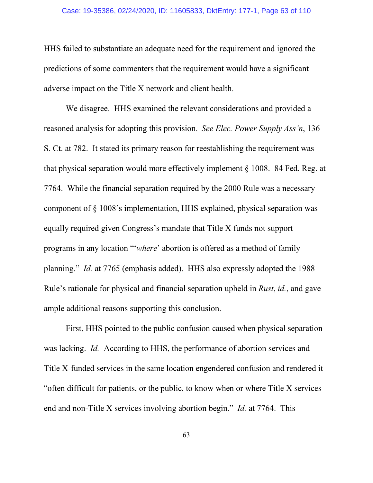HHS failed to substantiate an adequate need for the requirement and ignored the predictions of some commenters that the requirement would have a significant adverse impact on the Title X network and client health.

We disagree. HHS examined the relevant considerations and provided a reasoned analysis for adopting this provision. *See Elec. Power Supply Ass'n*, 136 S. Ct. at 782. It stated its primary reason for reestablishing the requirement was that physical separation would more effectively implement § 1008. 84 Fed. Reg. at 7764. While the financial separation required by the 2000 Rule was a necessary component of § 1008's implementation, HHS explained, physical separation was equally required given Congress's mandate that Title X funds not support programs in any location "'*where*' abortion is offered as a method of family planning." *Id.* at 7765 (emphasis added). HHS also expressly adopted the 1988 Rule's rationale for physical and financial separation upheld in *Rust*, *id.*, and gave ample additional reasons supporting this conclusion.

First, HHS pointed to the public confusion caused when physical separation was lacking. *Id.* According to HHS, the performance of abortion services and Title X-funded services in the same location engendered confusion and rendered it "often difficult for patients, or the public, to know when or where Title X services end and non-Title X services involving abortion begin." *Id.* at 7764. This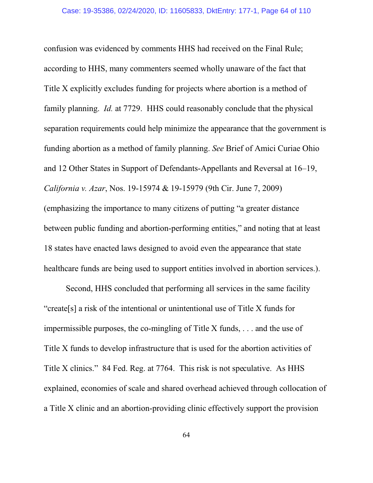confusion was evidenced by comments HHS had received on the Final Rule; according to HHS, many commenters seemed wholly unaware of the fact that Title X explicitly excludes funding for projects where abortion is a method of family planning. *Id.* at 7729. HHS could reasonably conclude that the physical separation requirements could help minimize the appearance that the government is funding abortion as a method of family planning. *See* Brief of Amici Curiae Ohio and 12 Other States in Support of Defendants-Appellants and Reversal at 16–19, *California v. Azar*, Nos. 19-15974 & 19-15979 (9th Cir. June 7, 2009) (emphasizing the importance to many citizens of putting "a greater distance between public funding and abortion-performing entities," and noting that at least 18 states have enacted laws designed to avoid even the appearance that state healthcare funds are being used to support entities involved in abortion services.).

Second, HHS concluded that performing all services in the same facility "create[s] a risk of the intentional or unintentional use of Title X funds for impermissible purposes, the co-mingling of Title X funds, . . . and the use of Title X funds to develop infrastructure that is used for the abortion activities of Title X clinics." 84 Fed. Reg. at 7764. This risk is not speculative. As HHS explained, economies of scale and shared overhead achieved through collocation of a Title X clinic and an abortion-providing clinic effectively support the provision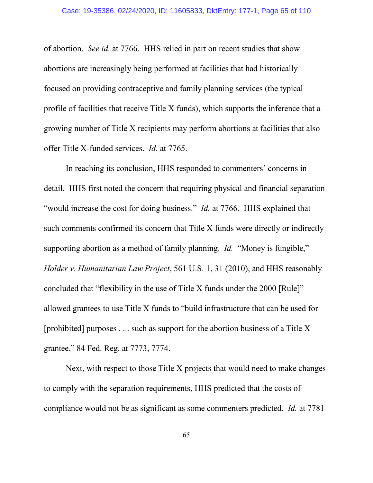of abortion. *See id.* at 7766. HHS relied in part on recent studies that show abortions are increasingly being performed at facilities that had historically focused on providing contraceptive and family planning services (the typical profile of facilities that receive Title X funds), which supports the inference that a growing number of Title X recipients may perform abortions at facilities that also offer Title X-funded services. *Id.* at 7765.

In reaching its conclusion, HHS responded to commenters' concerns in detail. HHS first noted the concern that requiring physical and financial separation "would increase the cost for doing business." *Id.* at 7766. HHS explained that such comments confirmed its concern that Title X funds were directly or indirectly supporting abortion as a method of family planning. *Id.* "Money is fungible," *Holder v. Humanitarian Law Project*, 561 U.S. 1, 31 (2010), and HHS reasonably concluded that "flexibility in the use of Title X funds under the 2000 [Rule]" allowed grantees to use Title X funds to "build infrastructure that can be used for [prohibited] purposes . . . such as support for the abortion business of a Title X grantee," 84 Fed. Reg. at 7773, 7774.

Next, with respect to those Title X projects that would need to make changes to comply with the separation requirements, HHS predicted that the costs of compliance would not be as significant as some commenters predicted. *Id.* at 7781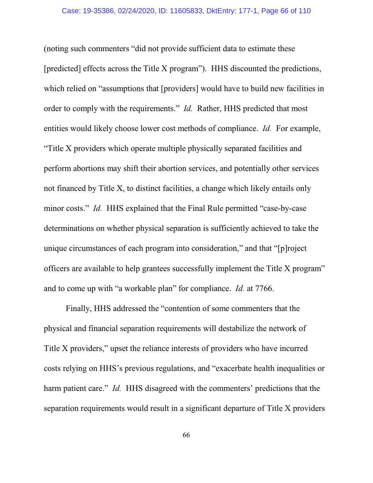(noting such commenters "did not provide sufficient data to estimate these [predicted] effects across the Title X program"). HHS discounted the predictions, which relied on "assumptions that [providers] would have to build new facilities in order to comply with the requirements." *Id.* Rather, HHS predicted that most entities would likely choose lower cost methods of compliance. *Id.* For example, "Title X providers which operate multiple physically separated facilities and perform abortions may shift their abortion services, and potentially other services not financed by Title X, to distinct facilities, a change which likely entails only minor costs." *Id.* HHS explained that the Final Rule permitted "case-by-case" determinations on whether physical separation is sufficiently achieved to take the unique circumstances of each program into consideration," and that "[p]roject officers are available to help grantees successfully implement the Title X program" and to come up with "a workable plan" for compliance. *Id.* at 7766.

Finally, HHS addressed the "contention of some commenters that the physical and financial separation requirements will destabilize the network of Title X providers," upset the reliance interests of providers who have incurred costs relying on HHS's previous regulations, and "exacerbate health inequalities or harm patient care." *Id.* HHS disagreed with the commenters' predictions that the separation requirements would result in a significant departure of Title X providers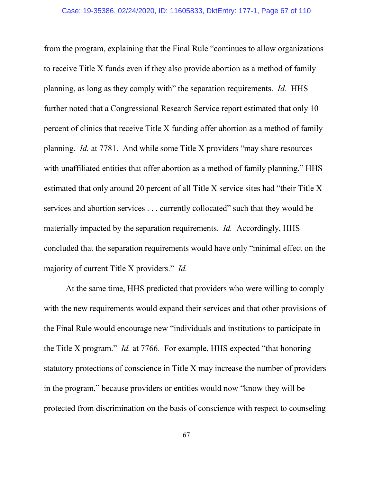from the program, explaining that the Final Rule "continues to allow organizations to receive Title X funds even if they also provide abortion as a method of family planning, as long as they comply with" the separation requirements. *Id.* HHS further noted that a Congressional Research Service report estimated that only 10 percent of clinics that receive Title X funding offer abortion as a method of family planning. *Id.* at 7781. And while some Title X providers "may share resources with unaffiliated entities that offer abortion as a method of family planning," HHS estimated that only around 20 percent of all Title X service sites had "their Title X services and abortion services . . . currently collocated" such that they would be materially impacted by the separation requirements. *Id.* Accordingly, HHS concluded that the separation requirements would have only "minimal effect on the majority of current Title X providers." *Id.*

At the same time, HHS predicted that providers who were willing to comply with the new requirements would expand their services and that other provisions of the Final Rule would encourage new "individuals and institutions to participate in the Title X program." *Id.* at 7766. For example, HHS expected "that honoring statutory protections of conscience in Title X may increase the number of providers in the program," because providers or entities would now "know they will be protected from discrimination on the basis of conscience with respect to counseling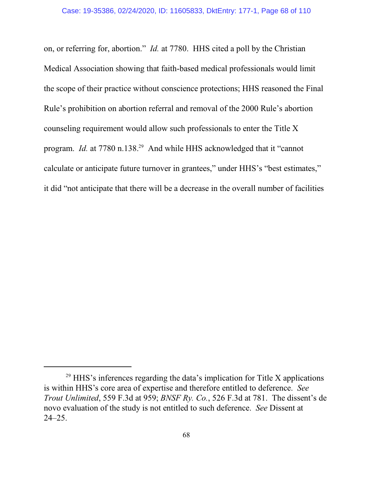on, or referring for, abortion." *Id.* at 7780. HHS cited a poll by the Christian Medical Association showing that faith-based medical professionals would limit the scope of their practice without conscience protections; HHS reasoned the Final Rule's prohibition on abortion referral and removal of the 2000 Rule's abortion counseling requirement would allow such professionals to enter the Title X program. *Id.* at 7780 n.138.<sup>29</sup> And while HHS acknowledged that it "cannot calculate or anticipate future turnover in grantees," under HHS's "best estimates," it did "not anticipate that there will be a decrease in the overall number of facilities

<sup>&</sup>lt;sup>29</sup> HHS's inferences regarding the data's implication for Title X applications is within HHS's core area of expertise and therefore entitled to deference. *See Trout Unlimited*, 559 F.3d at 959; *BNSF Ry. Co.*, 526 F.3d at 781. The dissent's de novo evaluation of the study is not entitled to such deference. *See* Dissent at 24–25.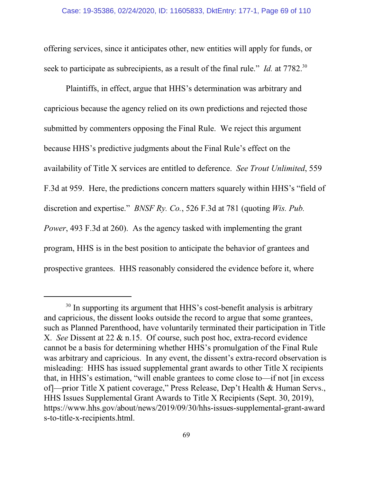offering services, since it anticipates other, new entities will apply for funds, or seek to participate as subrecipients, as a result of the final rule." *Id.* at 7782.<sup>30</sup>

Plaintiffs, in effect, argue that HHS's determination was arbitrary and capricious because the agency relied on its own predictions and rejected those submitted by commenters opposing the Final Rule. We reject this argument because HHS's predictive judgments about the Final Rule's effect on the availability of Title X services are entitled to deference. *See Trout Unlimited*, 559 F.3d at 959. Here, the predictions concern matters squarely within HHS's "field of discretion and expertise." *BNSF Ry. Co.*, 526 F.3d at 781 (quoting *Wis. Pub. Power*, 493 F.3d at 260). As the agency tasked with implementing the grant program, HHS is in the best position to anticipate the behavior of grantees and prospective grantees. HHS reasonably considered the evidence before it, where

<sup>&</sup>lt;sup>30</sup> In supporting its argument that HHS's cost-benefit analysis is arbitrary and capricious, the dissent looks outside the record to argue that some grantees, such as Planned Parenthood, have voluntarily terminated their participation in Title X. *See* Dissent at 22 & n.15. Of course, such post hoc, extra-record evidence cannot be a basis for determining whether HHS's promulgation of the Final Rule was arbitrary and capricious. In any event, the dissent's extra-record observation is misleading: HHS has issued supplemental grant awards to other Title X recipients that, in HHS's estimation, "will enable grantees to come close to—if not [in excess of]—prior Title X patient coverage," Press Release, Dep't Health & Human Servs., HHS Issues Supplemental Grant Awards to Title X Recipients (Sept. 30, 2019), https://www.hhs.gov/about/news/2019/09/30/hhs-issues-supplemental-grant-award s-to-title-x-recipients.html.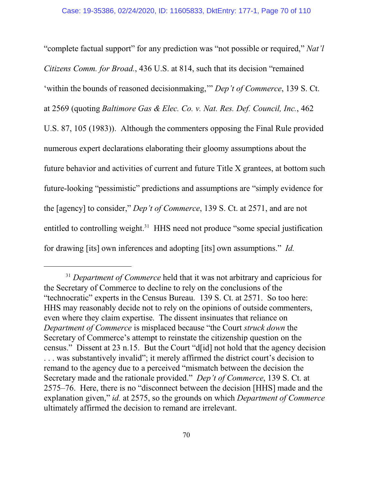"complete factual support" for any prediction was "not possible or required," *Nat'l Citizens Comm. for Broad.*, 436 U.S. at 814, such that its decision "remained 'within the bounds of reasoned decisionmaking,'" *Dep't of Commerce*, 139 S. Ct. at 2569 (quoting *Baltimore Gas & Elec. Co. v. Nat. Res. Def. Council, Inc.*, 462 U.S. 87, 105 (1983)). Although the commenters opposing the Final Rule provided numerous expert declarations elaborating their gloomy assumptions about the future behavior and activities of current and future Title X grantees, at bottom such future-looking "pessimistic" predictions and assumptions are "simply evidence for the [agency] to consider," *Dep't of Commerce*, 139 S. Ct. at 2571, and are not entitled to controlling weight.<sup>31</sup> HHS need not produce "some special justification for drawing [its] own inferences and adopting [its] own assumptions." *Id.*

<sup>&</sup>lt;sup>31</sup> Department of Commerce held that it was not arbitrary and capricious for the Secretary of Commerce to decline to rely on the conclusions of the "technocratic" experts in the Census Bureau. 139 S. Ct. at 2571. So too here: HHS may reasonably decide not to rely on the opinions of outside commenters, even where they claim expertise. The dissent insinuates that reliance on *Department of Commerce* is misplaced because "the Court *struck down* the Secretary of Commerce's attempt to reinstate the citizenship question on the census." Dissent at 23 n.15. But the Court "d[id] not hold that the agency decision . . . was substantively invalid"; it merely affirmed the district court's decision to remand to the agency due to a perceived "mismatch between the decision the Secretary made and the rationale provided." *Dep't of Commerce*, 139 S. Ct. at 2575–76. Here, there is no "disconnect between the decision [HHS] made and the explanation given," *id.* at 2575, so the grounds on which *Department of Commerce* ultimately affirmed the decision to remand are irrelevant.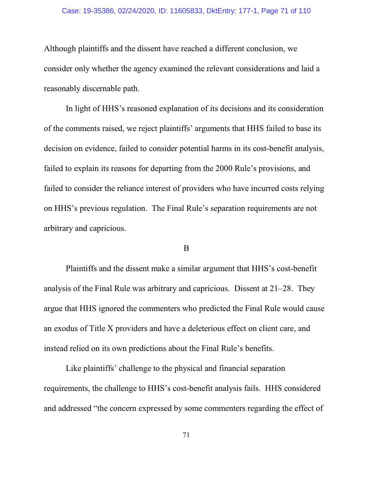#### Case: 19-35386, 02/24/2020, ID: 11605833, DktEntry: 177-1, Page 71 of 110

Although plaintiffs and the dissent have reached a different conclusion, we consider only whether the agency examined the relevant considerations and laid a reasonably discernable path.

In light of HHS's reasoned explanation of its decisions and its consideration of the comments raised, we reject plaintiffs' arguments that HHS failed to base its decision on evidence, failed to consider potential harms in its cost-benefit analysis, failed to explain its reasons for departing from the 2000 Rule's provisions, and failed to consider the reliance interest of providers who have incurred costs relying on HHS's previous regulation. The Final Rule's separation requirements are not arbitrary and capricious.

# B

Plaintiffs and the dissent make a similar argument that HHS's cost-benefit analysis of the Final Rule was arbitrary and capricious. Dissent at 21–28. They argue that HHS ignored the commenters who predicted the Final Rule would cause an exodus of Title X providers and have a deleterious effect on client care, and instead relied on its own predictions about the Final Rule's benefits.

Like plaintiffs' challenge to the physical and financial separation requirements, the challenge to HHS's cost-benefit analysis fails. HHS considered and addressed "the concern expressed by some commenters regarding the effect of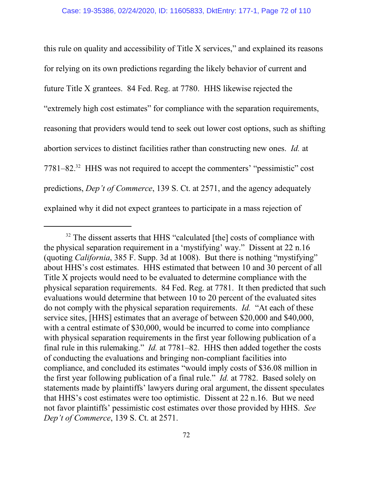this rule on quality and accessibility of Title X services," and explained its reasons for relying on its own predictions regarding the likely behavior of current and future Title X grantees. 84 Fed. Reg. at 7780. HHS likewise rejected the "extremely high cost estimates" for compliance with the separation requirements, reasoning that providers would tend to seek out lower cost options, such as shifting abortion services to distinct facilities rather than constructing new ones. *Id.* at 7781–82.<sup>32</sup> HHS was not required to accept the commenters' "pessimistic" cost predictions, *Dep't of Commerce*, 139 S. Ct. at 2571, and the agency adequately explained why it did not expect grantees to participate in a mass rejection of

<sup>&</sup>lt;sup>32</sup> The dissent asserts that HHS "calculated [the] costs of compliance with the physical separation requirement in a 'mystifying' way." Dissent at 22 n.16 (quoting *California*, 385 F. Supp. 3d at 1008). But there is nothing "mystifying" about HHS's cost estimates. HHS estimated that between 10 and 30 percent of all Title X projects would need to be evaluated to determine compliance with the physical separation requirements. 84 Fed. Reg. at 7781. It then predicted that such evaluations would determine that between 10 to 20 percent of the evaluated sites do not comply with the physical separation requirements. *Id.* "At each of these service sites, [HHS] estimates that an average of between \$20,000 and \$40,000, with a central estimate of \$30,000, would be incurred to come into compliance with physical separation requirements in the first year following publication of a final rule in this rulemaking." *Id.* at 7781–82. HHS then added together the costs of conducting the evaluations and bringing non-compliant facilities into compliance, and concluded its estimates "would imply costs of \$36.08 million in the first year following publication of a final rule." *Id.* at 7782. Based solely on statements made by plaintiffs' lawyers during oral argument, the dissent speculates that HHS's cost estimates were too optimistic. Dissent at 22 n.16. But we need not favor plaintiffs' pessimistic cost estimates over those provided by HHS. *See Dep't of Commerce*, 139 S. Ct. at 2571.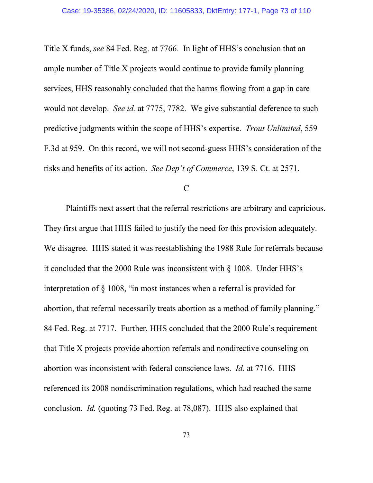Title X funds, *see* 84 Fed. Reg. at 7766. In light of HHS's conclusion that an ample number of Title X projects would continue to provide family planning services, HHS reasonably concluded that the harms flowing from a gap in care would not develop. *See id.* at 7775, 7782. We give substantial deference to such predictive judgments within the scope of HHS's expertise. *Trout Unlimited*, 559 F.3d at 959. On this record, we will not second-guess HHS's consideration of the risks and benefits of its action. *See Dep't of Commerce*, 139 S. Ct. at 2571.

### C

Plaintiffs next assert that the referral restrictions are arbitrary and capricious. They first argue that HHS failed to justify the need for this provision adequately. We disagree. HHS stated it was reestablishing the 1988 Rule for referrals because it concluded that the 2000 Rule was inconsistent with § 1008. Under HHS's interpretation of § 1008, "in most instances when a referral is provided for abortion, that referral necessarily treats abortion as a method of family planning." 84 Fed. Reg. at 7717. Further, HHS concluded that the 2000 Rule's requirement that Title X projects provide abortion referrals and nondirective counseling on abortion was inconsistent with federal conscience laws. *Id.* at 7716. HHS referenced its 2008 nondiscrimination regulations, which had reached the same conclusion. *Id.* (quoting 73 Fed. Reg. at 78,087). HHS also explained that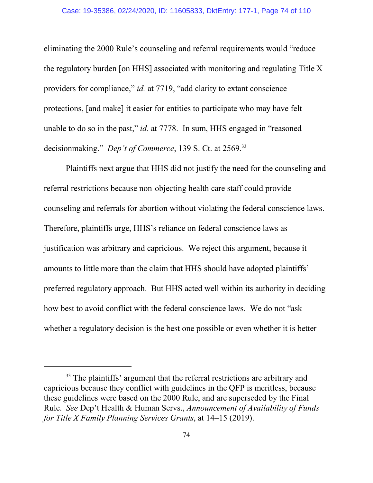eliminating the 2000 Rule's counseling and referral requirements would "reduce the regulatory burden [on HHS] associated with monitoring and regulating Title X providers for compliance," *id.* at 7719, "add clarity to extant conscience protections, [and make] it easier for entities to participate who may have felt unable to do so in the past," *id.* at 7778. In sum, HHS engaged in "reasoned decisionmaking." *Dep't of Commerce*, 139 S. Ct. at 2569.<sup>33</sup>

Plaintiffs next argue that HHS did not justify the need for the counseling and referral restrictions because non-objecting health care staff could provide counseling and referrals for abortion without violating the federal conscience laws. Therefore, plaintiffs urge, HHS's reliance on federal conscience laws as justification was arbitrary and capricious. We reject this argument, because it amounts to little more than the claim that HHS should have adopted plaintiffs' preferred regulatory approach. But HHS acted well within its authority in deciding how best to avoid conflict with the federal conscience laws. We do not "ask whether a regulatory decision is the best one possible or even whether it is better

<sup>&</sup>lt;sup>33</sup> The plaintiffs' argument that the referral restrictions are arbitrary and capricious because they conflict with guidelines in the QFP is meritless, because these guidelines were based on the 2000 Rule, and are superseded by the Final Rule. *See* Dep't Health & Human Servs., *Announcement of Availability of Funds for Title X Family Planning Services Grants*, at 14–15 (2019).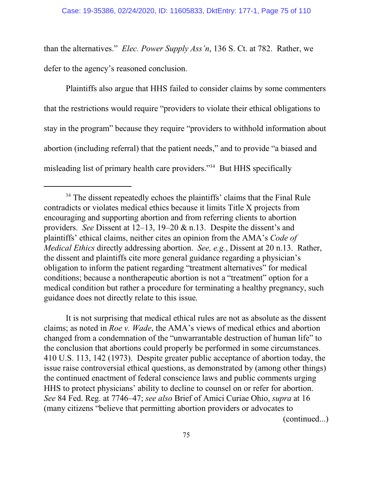than the alternatives." *Elec. Power Supply Ass'n*, 136 S. Ct. at 782. Rather, we defer to the agency's reasoned conclusion.

Plaintiffs also argue that HHS failed to consider claims by some commenters that the restrictions would require "providers to violate their ethical obligations to stay in the program" because they require "providers to withhold information about abortion (including referral) that the patient needs," and to provide "a biased and misleading list of primary health care providers."<sup>34</sup> But HHS specifically

It is not surprising that medical ethical rules are not as absolute as the dissent claims; as noted in *Roe v. Wade*, the AMA's views of medical ethics and abortion changed from a condemnation of the "unwarrantable destruction of human life" to the conclusion that abortions could properly be performed in some circumstances. 410 U.S. 113, 142 (1973). Despite greater public acceptance of abortion today, the issue raise controversial ethical questions, as demonstrated by (among other things) the continued enactment of federal conscience laws and public comments urging HHS to protect physicians' ability to decline to counsel on or refer for abortion. *See* 84 Fed. Reg. at 7746–47; *see also* Brief of Amici Curiae Ohio, *supra* at 16 (many citizens "believe that permitting abortion providers or advocates to

(continued...)

<sup>&</sup>lt;sup>34</sup> The dissent repeatedly echoes the plaintiffs' claims that the Final Rule contradicts or violates medical ethics because it limits Title X projects from encouraging and supporting abortion and from referring clients to abortion providers. *See* Dissent at 12–13, 19–20 & n.13. Despite the dissent's and plaintiffs' ethical claims, neither cites an opinion from the AMA's *Code of Medical Ethics* directly addressing abortion. *See, e.g.*, Dissent at 20 n.13. Rather, the dissent and plaintiffs cite more general guidance regarding a physician's obligation to inform the patient regarding "treatment alternatives" for medical conditions; because a nontherapeutic abortion is not a "treatment" option for a medical condition but rather a procedure for terminating a healthy pregnancy, such guidance does not directly relate to this issue.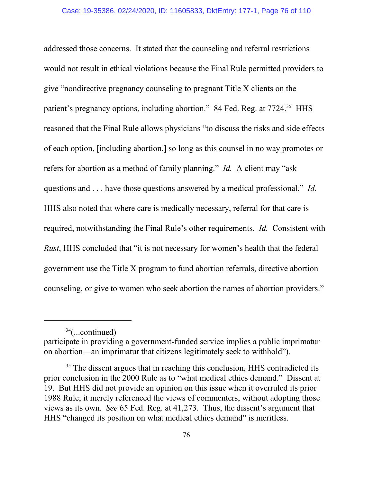addressed those concerns. It stated that the counseling and referral restrictions would not result in ethical violations because the Final Rule permitted providers to give "nondirective pregnancy counseling to pregnant Title X clients on the patient's pregnancy options, including abortion." 84 Fed. Reg. at 7724.<sup>35</sup> HHS reasoned that the Final Rule allows physicians "to discuss the risks and side effects of each option, [including abortion,] so long as this counsel in no way promotes or refers for abortion as a method of family planning." *Id.* A client may "ask questions and . . . have those questions answered by a medical professional." *Id.* HHS also noted that where care is medically necessary, referral for that care is required, notwithstanding the Final Rule's other requirements. *Id.* Consistent with *Rust*, HHS concluded that "it is not necessary for women's health that the federal government use the Title X program to fund abortion referrals, directive abortion counseling, or give to women who seek abortion the names of abortion providers."

<sup>34</sup> (...continued)

participate in providing a government-funded service implies a public imprimatur on abortion—an imprimatur that citizens legitimately seek to withhold").

<sup>&</sup>lt;sup>35</sup> The dissent argues that in reaching this conclusion, HHS contradicted its prior conclusion in the 2000 Rule as to "what medical ethics demand." Dissent at 19. But HHS did not provide an opinion on this issue when it overruled its prior 1988 Rule; it merely referenced the views of commenters, without adopting those views as its own. *See* 65 Fed. Reg. at 41,273. Thus, the dissent's argument that HHS "changed its position on what medical ethics demand" is meritless.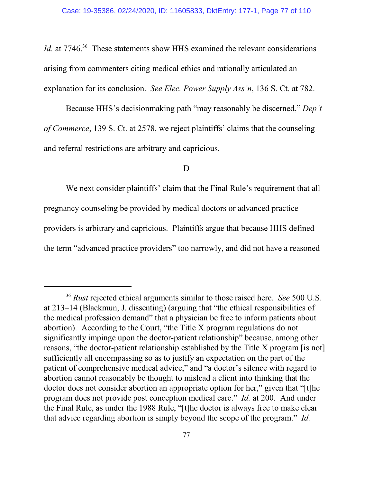Id. at 7746.<sup>36</sup> These statements show HHS examined the relevant considerations arising from commenters citing medical ethics and rationally articulated an explanation for its conclusion. *See Elec. Power Supply Ass'n*, 136 S. Ct. at 782.

Because HHS's decisionmaking path "may reasonably be discerned," *Dep't of Commerce*, 139 S. Ct. at 2578, we reject plaintiffs' claims that the counseling and referral restrictions are arbitrary and capricious.

#### D

We next consider plaintiffs' claim that the Final Rule's requirement that all pregnancy counseling be provided by medical doctors or advanced practice providers is arbitrary and capricious. Plaintiffs argue that because HHS defined the term "advanced practice providers" too narrowly, and did not have a reasoned

<sup>36</sup>  *Rust* rejected ethical arguments similar to those raised here. *See* 500 U.S. at 213–14 (Blackmun, J. dissenting) (arguing that "the ethical responsibilities of the medical profession demand" that a physician be free to inform patients about abortion). According to the Court, "the Title X program regulations do not significantly impinge upon the doctor-patient relationship" because, among other reasons, "the doctor-patient relationship established by the Title X program [is not] sufficiently all encompassing so as to justify an expectation on the part of the patient of comprehensive medical advice," and "a doctor's silence with regard to abortion cannot reasonably be thought to mislead a client into thinking that the doctor does not consider abortion an appropriate option for her," given that "[t]he program does not provide post conception medical care." *Id.* at 200. And under the Final Rule, as under the 1988 Rule, "[t]he doctor is always free to make clear that advice regarding abortion is simply beyond the scope of the program." *Id.*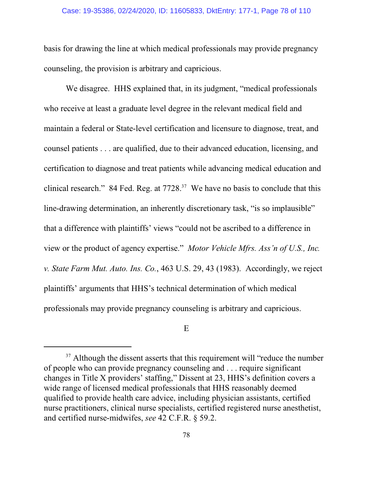basis for drawing the line at which medical professionals may provide pregnancy counseling, the provision is arbitrary and capricious.

We disagree. HHS explained that, in its judgment, "medical professionals who receive at least a graduate level degree in the relevant medical field and maintain a federal or State-level certification and licensure to diagnose, treat, and counsel patients . . . are qualified, due to their advanced education, licensing, and certification to diagnose and treat patients while advancing medical education and clinical research." 84 Fed. Reg. at  $7728$ .<sup>37</sup> We have no basis to conclude that this line-drawing determination, an inherently discretionary task, "is so implausible" that a difference with plaintiffs' views "could not be ascribed to a difference in view or the product of agency expertise." *Motor Vehicle Mfrs. Ass'n of U.S., Inc. v. State Farm Mut. Auto. Ins. Co.*, 463 U.S. 29, 43 (1983). Accordingly, we reject plaintiffs' arguments that HHS's technical determination of which medical professionals may provide pregnancy counseling is arbitrary and capricious.

E

<sup>&</sup>lt;sup>37</sup> Although the dissent asserts that this requirement will "reduce the number of people who can provide pregnancy counseling and . . . require significant changes in Title X providers' staffing," Dissent at 23, HHS's definition covers a wide range of licensed medical professionals that HHS reasonably deemed qualified to provide health care advice, including physician assistants, certified nurse practitioners, clinical nurse specialists, certified registered nurse anesthetist, and certified nurse-midwifes, *see* 42 C.F.R. § 59.2.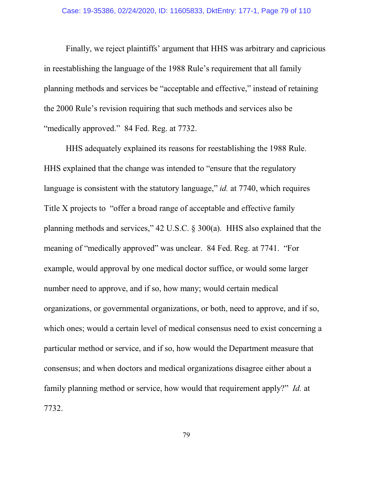Finally, we reject plaintiffs' argument that HHS was arbitrary and capricious in reestablishing the language of the 1988 Rule's requirement that all family planning methods and services be "acceptable and effective," instead of retaining the 2000 Rule's revision requiring that such methods and services also be "medically approved." 84 Fed. Reg. at 7732.

HHS adequately explained its reasons for reestablishing the 1988 Rule. HHS explained that the change was intended to "ensure that the regulatory language is consistent with the statutory language," *id.* at 7740, which requires Title X projects to "offer a broad range of acceptable and effective family planning methods and services," 42 U.S.C. § 300(a). HHS also explained that the meaning of "medically approved" was unclear. 84 Fed. Reg. at 7741. "For example, would approval by one medical doctor suffice, or would some larger number need to approve, and if so, how many; would certain medical organizations, or governmental organizations, or both, need to approve, and if so, which ones; would a certain level of medical consensus need to exist concerning a particular method or service, and if so, how would the Department measure that consensus; and when doctors and medical organizations disagree either about a family planning method or service, how would that requirement apply?" *Id.* at 7732.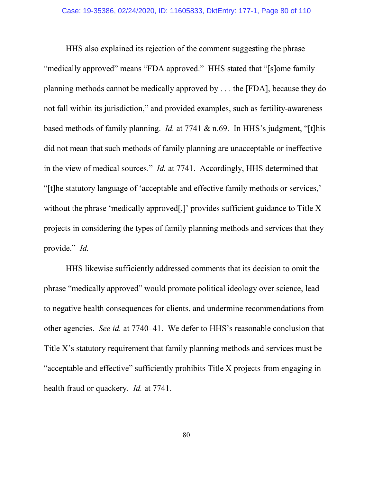HHS also explained its rejection of the comment suggesting the phrase "medically approved" means "FDA approved." HHS stated that "[s]ome family planning methods cannot be medically approved by . . . the [FDA], because they do not fall within its jurisdiction," and provided examples, such as fertility-awareness based methods of family planning. *Id.* at 7741 & n.69. In HHS's judgment, "[t]his did not mean that such methods of family planning are unacceptable or ineffective in the view of medical sources." *Id.* at 7741. Accordingly, HHS determined that "[t]he statutory language of 'acceptable and effective family methods or services,' without the phrase 'medically approved[,]' provides sufficient guidance to Title X projects in considering the types of family planning methods and services that they provide." *Id.*

HHS likewise sufficiently addressed comments that its decision to omit the phrase "medically approved" would promote political ideology over science, lead to negative health consequences for clients, and undermine recommendations from other agencies. *See id.* at 7740–41. We defer to HHS's reasonable conclusion that Title X's statutory requirement that family planning methods and services must be "acceptable and effective" sufficiently prohibits Title X projects from engaging in health fraud or quackery. *Id.* at 7741.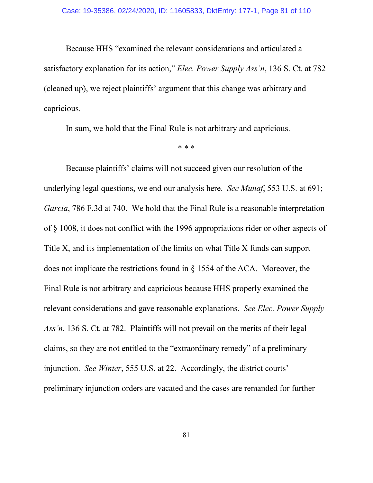Because HHS "examined the relevant considerations and articulated a satisfactory explanation for its action," *Elec. Power Supply Ass'n*, 136 S. Ct. at 782 (cleaned up), we reject plaintiffs' argument that this change was arbitrary and capricious.

In sum, we hold that the Final Rule is not arbitrary and capricious.

\* \* \*

Because plaintiffs' claims will not succeed given our resolution of the underlying legal questions, we end our analysis here. *See Munaf*, 553 U.S. at 691; *Garcia*, 786 F.3d at 740. We hold that the Final Rule is a reasonable interpretation of § 1008, it does not conflict with the 1996 appropriations rider or other aspects of Title X, and its implementation of the limits on what Title X funds can support does not implicate the restrictions found in § 1554 of the ACA. Moreover, the Final Rule is not arbitrary and capricious because HHS properly examined the relevant considerations and gave reasonable explanations. *See Elec. Power Supply Ass'n*, 136 S. Ct. at 782. Plaintiffs will not prevail on the merits of their legal claims, so they are not entitled to the "extraordinary remedy" of a preliminary injunction. *See Winter*, 555 U.S. at 22. Accordingly, the district courts' preliminary injunction orders are vacated and the cases are remanded for further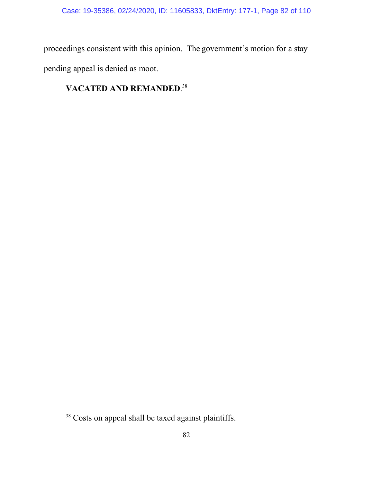proceedings consistent with this opinion. The government's motion for a stay pending appeal is denied as moot.

# **VACATED AND REMANDED**. 38

<sup>&</sup>lt;sup>38</sup> Costs on appeal shall be taxed against plaintiffs.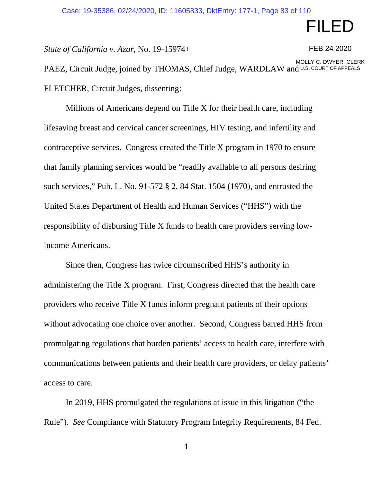# FILED

*State of California v. Azar*, No. 19-15974+

FEB 24 2020

PAEZ, Circuit Judge, joined by THOMAS, Chief Judge, WARDLAW and U.S. COURT OF APPEALS FLETCHER, Circuit Judges, dissenting: MOLLY C. DWYER, CLERK

Millions of Americans depend on Title X for their health care, including lifesaving breast and cervical cancer screenings, HIV testing, and infertility and contraceptive services. Congress created the Title X program in 1970 to ensure that family planning services would be "readily available to all persons desiring such services," Pub. L. No. 91-572 § 2, 84 Stat. 1504 (1970), and entrusted the United States Department of Health and Human Services ("HHS") with the responsibility of disbursing Title X funds to health care providers serving lowincome Americans.

Since then, Congress has twice circumscribed HHS's authority in administering the Title X program. First, Congress directed that the health care providers who receive Title X funds inform pregnant patients of their options without advocating one choice over another. Second, Congress barred HHS from promulgating regulations that burden patients' access to health care, interfere with communications between patients and their health care providers, or delay patients' access to care.

In 2019, HHS promulgated the regulations at issue in this litigation ("the Rule"). *See* Compliance with Statutory Program Integrity Requirements, 84 Fed.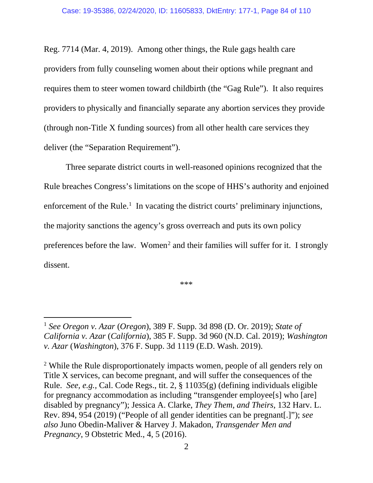Reg. 7714 (Mar. 4, 2019). Among other things, the Rule gags health care providers from fully counseling women about their options while pregnant and requires them to steer women toward childbirth (the "Gag Rule"). It also requires providers to physically and financially separate any abortion services they provide (through non-Title X funding sources) from all other health care services they deliver (the "Separation Requirement").

Three separate district courts in well-reasoned opinions recognized that the Rule breaches Congress's limitations on the scope of HHS's authority and enjoined enforcement of the Rule.<sup>[1](#page-106-0)</sup> In vacating the district courts' preliminary injunctions, the majority sanctions the agency's gross overreach and puts its own policy preferences before the law. Women<sup>[2](#page-106-0)</sup> and their families will suffer for it. I strongly dissent.

\*\*\*

<sup>2</sup> While the Rule disproportionately impacts women, people of all genders rely on Title X services, can become pregnant, and will suffer the consequences of the Rule. *See, e.g.,* Cal. Code Regs., tit. 2, § 11035(g) (defining individuals eligible for pregnancy accommodation as including "transgender employee[s] who [are] disabled by pregnancy"); Jessica A. Clarke, *They Them, and Theirs*, 132 Harv. L. Rev. 894, 954 (2019) ("People of all gender identities can be pregnant[.]"); *see also* Juno Obedin-Maliver & Harvey J. Makadon, *Transgender Men and Pregnancy*, 9 Obstetric Med., 4, 5 (2016).

<sup>1</sup> *See Oregon v. Azar* (*Oregon*), 389 F. Supp. 3d 898 (D. Or. 2019); *State of California v. Azar* (*California*), 385 F. Supp. 3d 960 (N.D. Cal. 2019); *Washington v. Azar* (*Washington*), 376 F. Supp. 3d 1119 (E.D. Wash. 2019).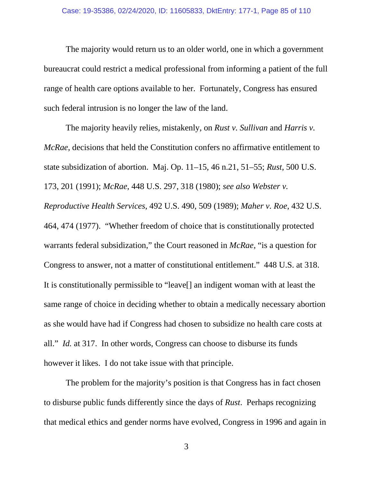The majority would return us to an older world, one in which a government bureaucrat could restrict a medical professional from informing a patient of the full range of health care options available to her. Fortunately, Congress has ensured such federal intrusion is no longer the law of the land.

The majority heavily relies, mistakenly, on *Rust v. Sullivan* and *Harris v. McRae*, decisions that held the Constitution confers no affirmative entitlement to state subsidization of abortion. Maj. Op. 11–15, 46 n.21, 51–55; *Rust*, 500 U.S. 173, 201 (1991); *McRae*, 448 U.S. 297, 318 (1980); *see also Webster v. Reproductive Health Services*, 492 U.S. 490, 509 (1989); *Maher v. Roe*, 432 U.S. 464, 474 (1977). "Whether freedom of choice that is constitutionally protected warrants federal subsidization," the Court reasoned in *McRae*, "is a question for Congress to answer, not a matter of constitutional entitlement." 448 U.S. at 318. It is constitutionally permissible to "leave[] an indigent woman with at least the same range of choice in deciding whether to obtain a medically necessary abortion as she would have had if Congress had chosen to subsidize no health care costs at all." *Id.* at 317. In other words, Congress can choose to disburse its funds however it likes. I do not take issue with that principle.

The problem for the majority's position is that Congress has in fact chosen to disburse public funds differently since the days of *Rust*. Perhaps recognizing that medical ethics and gender norms have evolved, Congress in 1996 and again in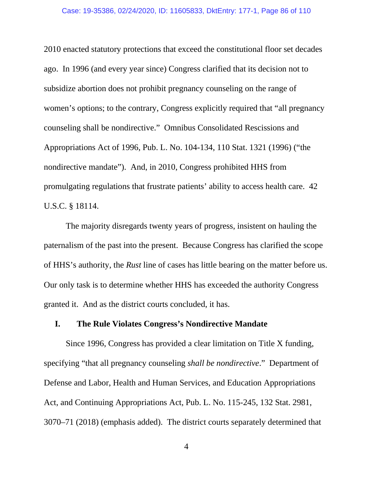2010 enacted statutory protections that exceed the constitutional floor set decades ago. In 1996 (and every year since) Congress clarified that its decision not to subsidize abortion does not prohibit pregnancy counseling on the range of women's options; to the contrary, Congress explicitly required that "all pregnancy counseling shall be nondirective." Omnibus Consolidated Rescissions and Appropriations Act of 1996, Pub. L. No. 104-134, 110 Stat. 1321 (1996) ("the nondirective mandate"). And, in 2010, Congress prohibited HHS from promulgating regulations that frustrate patients' ability to access health care. 42 U.S.C. § 18114.

The majority disregards twenty years of progress, insistent on hauling the paternalism of the past into the present. Because Congress has clarified the scope of HHS's authority, the *Rust* line of cases has little bearing on the matter before us. Our only task is to determine whether HHS has exceeded the authority Congress granted it. And as the district courts concluded, it has.

## **I. The Rule Violates Congress's Nondirective Mandate**

Since 1996, Congress has provided a clear limitation on Title X funding, specifying "that all pregnancy counseling *shall be nondirective*." Department of Defense and Labor, Health and Human Services, and Education Appropriations Act, and Continuing Appropriations Act, Pub. L. No. 115-245, 132 Stat. 2981, 3070–71 (2018) (emphasis added). The district courts separately determined that

4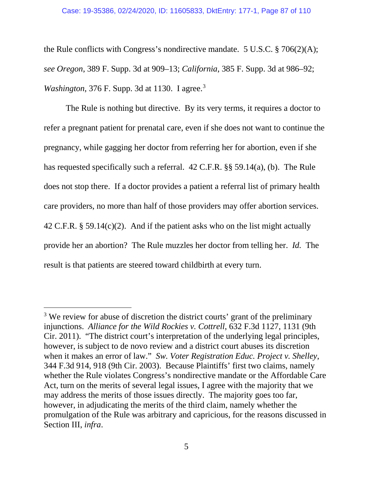the Rule conflicts with Congress's nondirective mandate. 5 U.S.C. § 706(2)(A); *see Oregon*, 389 F. Supp. 3d at 909–13; *California*, 385 F. Supp. 3d at 986–92; *Washington*, 376 F. Supp. 3d at 1130. I agree. [3](#page-106-0)

The Rule is nothing but directive. By its very terms, it requires a doctor to refer a pregnant patient for prenatal care, even if she does not want to continue the pregnancy, while gagging her doctor from referring her for abortion, even if she has requested specifically such a referral. 42 C.F.R. §§ 59.14(a), (b). The Rule does not stop there. If a doctor provides a patient a referral list of primary health care providers, no more than half of those providers may offer abortion services. 42 C.F.R. § 59.14(c)(2). And if the patient asks who on the list might actually provide her an abortion? The Rule muzzles her doctor from telling her. *Id.* The result is that patients are steered toward childbirth at every turn.

<sup>&</sup>lt;sup>3</sup> We review for abuse of discretion the district courts' grant of the preliminary injunctions. *Alliance for the Wild Rockies v. Cottrell*, 632 F.3d 1127, 1131 (9th Cir. 2011). "The district court's interpretation of the underlying legal principles, however, is subject to de novo review and a district court abuses its discretion when it makes an error of law." *Sw. Voter Registration Educ. Project v. Shelley*, 344 F.3d 914, 918 (9th Cir. 2003). Because Plaintiffs' first two claims, namely whether the Rule violates Congress's nondirective mandate or the Affordable Care Act, turn on the merits of several legal issues, I agree with the majority that we may address the merits of those issues directly. The majority goes too far, however, in adjudicating the merits of the third claim, namely whether the promulgation of the Rule was arbitrary and capricious, for the reasons discussed in Section III, *infra*.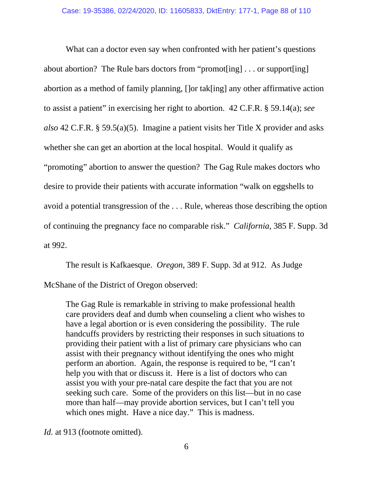What can a doctor even say when confronted with her patient's questions about abortion? The Rule bars doctors from "promot[ing] . . . or support[ing] abortion as a method of family planning, []or tak[ing] any other affirmative action to assist a patient" in exercising her right to abortion. 42 C.F.R. § 59.14(a); *see also* 42 C.F.R. § 59.5(a)(5). Imagine a patient visits her Title X provider and asks whether she can get an abortion at the local hospital. Would it qualify as "promoting" abortion to answer the question? The Gag Rule makes doctors who desire to provide their patients with accurate information "walk on eggshells to avoid a potential transgression of the . . . Rule, whereas those describing the option of continuing the pregnancy face no comparable risk." *California*, 385 F. Supp. 3d at 992.

The result is Kafkaesque. *Oregon*, 389 F. Supp. 3d at 912. As Judge McShane of the District of Oregon observed:

The Gag Rule is remarkable in striving to make professional health care providers deaf and dumb when counseling a client who wishes to have a legal abortion or is even considering the possibility. The rule handcuffs providers by restricting their responses in such situations to providing their patient with a list of primary care physicians who can assist with their pregnancy without identifying the ones who might perform an abortion. Again, the response is required to be, "I can't help you with that or discuss it. Here is a list of doctors who can assist you with your pre-natal care despite the fact that you are not seeking such care. Some of the providers on this list—but in no case more than half—may provide abortion services, but I can't tell you which ones might. Have a nice day." This is madness.

*Id.* at 913 (footnote omitted).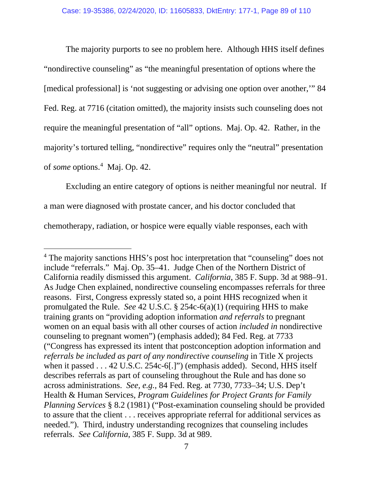The majority purports to see no problem here. Although HHS itself defines "nondirective counseling" as "the meaningful presentation of options where the [medical professional] is 'not suggesting or advising one option over another,'" 84 Fed. Reg. at 7716 (citation omitted), the majority insists such counseling does not require the meaningful presentation of "all" options. Maj. Op. 42.Rather, in the majority's tortured telling, "nondirective" requires only the "neutral" presentation of *some* options.<sup>[4](#page-106-0)</sup> Maj. Op. 42.

Excluding an entire category of options is neither meaningful nor neutral. If a man were diagnosed with prostate cancer, and his doctor concluded that chemotherapy, radiation, or hospice were equally viable responses, each with

<sup>4</sup> The majority sanctions HHS's post hoc interpretation that "counseling" does not include "referrals." Maj. Op. 35–41. Judge Chen of the Northern District of California readily dismissed this argument. *California*, 385 F. Supp. 3d at 988–91. As Judge Chen explained, nondirective counseling encompasses referrals for three reasons. First, Congress expressly stated so, a point HHS recognized when it promulgated the Rule. *See* 42 U.S.C. § 254c-6(a)(1) (requiring HHS to make training grants on "providing adoption information *and referrals* to pregnant women on an equal basis with all other courses of action *included in* nondirective counseling to pregnant women") (emphasis added); 84 Fed. Reg. at 7733 ("Congress has expressed its intent that postconception adoption information and *referrals be included as part of any nondirective counseling* in Title X projects when it passed . . . 42 U.S.C. 254c-6[.]") (emphasis added). Second, HHS itself describes referrals as part of counseling throughout the Rule and has done so across administrations. *See, e.g.,* 84 Fed. Reg. at 7730, 7733–34; U.S. Dep't Health & Human Services, *Program Guidelines for Project Grants for Family Planning Services* § 8.2 (1981) ("Post-examination counseling should be provided to assure that the client . . . receives appropriate referral for additional services as needed."). Third, industry understanding recognizes that counseling includes referrals. *See California*, 385 F. Supp. 3d at 989.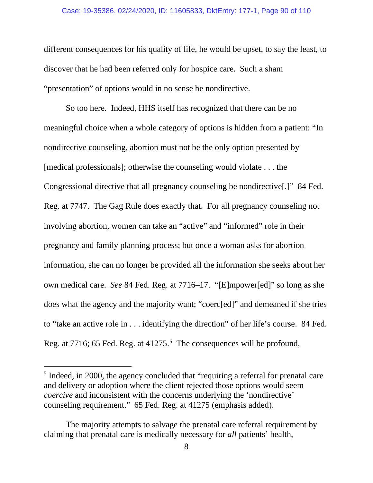#### Case: 19-35386, 02/24/2020, ID: 11605833, DktEntry: 177-1, Page 90 of 110

different consequences for his quality of life, he would be upset, to say the least, to discover that he had been referred only for hospice care. Such a sham "presentation" of options would in no sense be nondirective.

So too here. Indeed, HHS itself has recognized that there can be no meaningful choice when a whole category of options is hidden from a patient: "In nondirective counseling, abortion must not be the only option presented by [medical professionals]; otherwise the counseling would violate . . . the Congressional directive that all pregnancy counseling be nondirective[.]" 84 Fed. Reg. at 7747. The Gag Rule does exactly that. For all pregnancy counseling not involving abortion, women can take an "active" and "informed" role in their pregnancy and family planning process; but once a woman asks for abortion information, she can no longer be provided all the information she seeks about her own medical care. *See* 84 Fed. Reg. at 7716–17. "[E]mpower[ed]" so long as she does what the agency and the majority want; "coerc[ed]" and demeaned if she tries to "take an active role in . . . identifying the direction" of her life's course. 84 Fed. Reg. at 7716; 6[5](#page-106-0) Fed. Reg. at 41275.<sup>5</sup> The consequences will be profound,

<sup>5</sup> Indeed, in 2000, the agency concluded that "requiring a referral for prenatal care and delivery or adoption where the client rejected those options would seem *coercive* and inconsistent with the concerns underlying the 'nondirective' counseling requirement." 65 Fed. Reg. at 41275 (emphasis added).

The majority attempts to salvage the prenatal care referral requirement by claiming that prenatal care is medically necessary for *all* patients' health,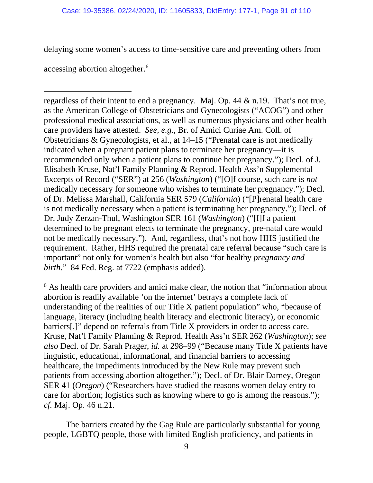delaying some women's access to time-sensitive care and preventing others from

accessing abortion altogether.<sup>[6](#page-106-0)</sup>

regardless of their intent to end a pregnancy. Maj. Op. 44 & n.19. That's not true, as the American College of Obstetricians and Gynecologists ("ACOG") and other professional medical associations, as well as numerous physicians and other health care providers have attested. *See, e.g.,* Br. of Amici Curiae Am. Coll. of Obstetricians & Gynecologists, et al., at 14–15 ("Prenatal care is not medically indicated when a pregnant patient plans to terminate her pregnancy—it is recommended only when a patient plans to continue her pregnancy."); Decl. of J. Elisabeth Kruse, Nat'l Family Planning & Reprod. Health Ass'n Supplemental Excerpts of Record ("SER") at 256 (*Washington*) ("[O]f course, such care is *not*  medically necessary for someone who wishes to terminate her pregnancy."); Decl. of Dr. Melissa Marshall, California SER 579 (*California*) ("[P]renatal health care is not medically necessary when a patient is terminating her pregnancy."); Decl. of Dr. Judy Zerzan-Thul, Washington SER 161 (*Washington*) ("[I]f a patient determined to be pregnant elects to terminate the pregnancy, pre-natal care would not be medically necessary.").And, regardless, that's not how HHS justified the requirement. Rather, HHS required the prenatal care referral because "such care is important" not only for women's health but also "for healthy *pregnancy and birth*." 84 Fed. Reg. at 7722 (emphasis added).

<sup>6</sup> As health care providers and amici make clear, the notion that "information about" abortion is readily available 'on the internet' betrays a complete lack of understanding of the realities of our Title X patient population" who, "because of language, literacy (including health literacy and electronic literacy), or economic barriers[,]" depend on referrals from Title X providers in order to access care. Kruse, Nat'l Family Planning & Reprod. Health Ass'n SER 262 (*Washington*); *see also* Decl. of Dr. Sarah Prager, *id.* at 298–99 ("Because many Title X patients have linguistic, educational, informational, and financial barriers to accessing healthcare, the impediments introduced by the New Rule may prevent such patients from accessing abortion altogether."); Decl. of Dr. Blair Darney, Oregon SER 41 (*Oregon*) ("Researchers have studied the reasons women delay entry to care for abortion; logistics such as knowing where to go is among the reasons."); *cf.* Maj. Op. 46 n.21.

The barriers created by the Gag Rule are particularly substantial for young people, LGBTQ people, those with limited English proficiency, and patients in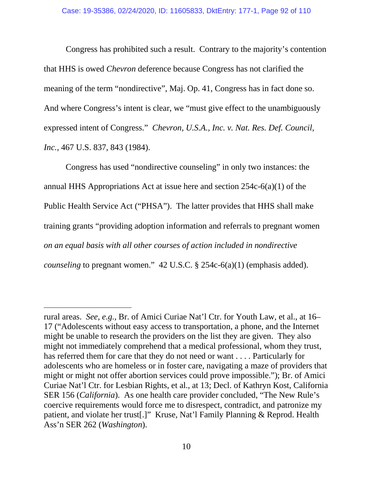Congress has prohibited such a result. Contrary to the majority's contention that HHS is owed *Chevron* deference because Congress has not clarified the meaning of the term "nondirective", Maj. Op. 41, Congress has in fact done so. And where Congress's intent is clear, we "must give effect to the unambiguously expressed intent of Congress." *Chevron, U.S.A., Inc. v. Nat. Res. Def. Council, Inc.*, 467 U.S. 837, 843 (1984).

Congress has used "nondirective counseling" in only two instances: the annual HHS Appropriations Act at issue here and section 254c-6(a)(1) of the Public Health Service Act ("PHSA"). The latter provides that HHS shall make training grants "providing adoption information and referrals to pregnant women *on an equal basis with all other courses of action included in nondirective counseling* to pregnant women." 42 U.S.C. § 254c-6(a)(1) (emphasis added).

rural areas. *See, e.g.,* Br. of Amici Curiae Nat'l Ctr. for Youth Law, et al., at 16– 17 ("Adolescents without easy access to transportation, a phone, and the Internet might be unable to research the providers on the list they are given. They also might not immediately comprehend that a medical professional, whom they trust, has referred them for care that they do not need or want . . . . Particularly for adolescents who are homeless or in foster care, navigating a maze of providers that might or might not offer abortion services could prove impossible."); Br. of Amici Curiae Nat'l Ctr. for Lesbian Rights, et al., at 13; Decl. of Kathryn Kost, California SER 156 (*California*). As one health care provider concluded, "The New Rule's coercive requirements would force me to disrespect, contradict, and patronize my patient, and violate her trust[.]" Kruse, Nat'l Family Planning & Reprod. Health Ass'n SER 262 (*Washington*).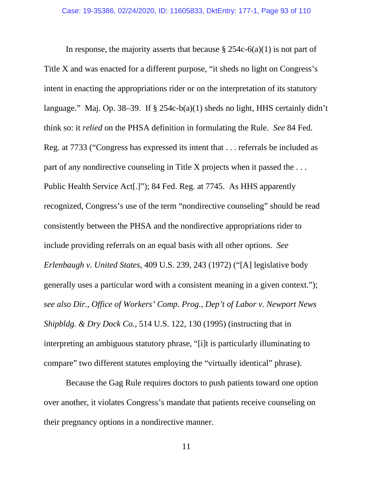In response, the majority asserts that because  $\S 254c-6(a)(1)$  is not part of Title X and was enacted for a different purpose, "it sheds no light on Congress's intent in enacting the appropriations rider or on the interpretation of its statutory language." Maj. Op. 38–39.If § 254c-b(a)(1) sheds no light, HHS certainly didn't think so: it *relied* on the PHSA definition in formulating the Rule. *See* 84 Fed. Reg. at 7733 ("Congress has expressed its intent that . . . referrals be included as part of any nondirective counseling in Title X projects when it passed the . . . Public Health Service Act[.]"); 84 Fed. Reg. at 7745. As HHS apparently recognized, Congress's use of the term "nondirective counseling" should be read consistently between the PHSA and the nondirective appropriations rider to include providing referrals on an equal basis with all other options. *See Erlenbaugh v. United States*, 409 U.S. 239, 243 (1972) ("[A] legislative body generally uses a particular word with a consistent meaning in a given context."); *see also Dir., Office of Workers' Comp. Prog., Dep't of Labor v. Newport News Shipbldg. & Dry Dock Co.*, 514 U.S. 122, 130 (1995) (instructing that in interpreting an ambiguous statutory phrase, "[i]t is particularly illuminating to compare" two different statutes employing the "virtually identical" phrase).

Because the Gag Rule requires doctors to push patients toward one option over another, it violates Congress's mandate that patients receive counseling on their pregnancy options in a nondirective manner.

11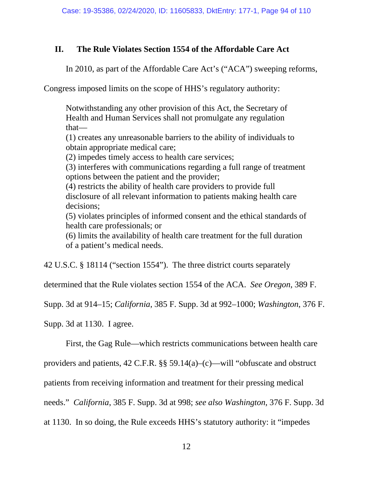# **II. The Rule Violates Section 1554 of the Affordable Care Act**

In 2010, as part of the Affordable Care Act's ("ACA") sweeping reforms,

Congress imposed limits on the scope of HHS's regulatory authority:

Notwithstanding any other provision of this Act, the Secretary of Health and Human Services shall not promulgate any regulation that—

(1) creates any unreasonable barriers to the ability of individuals to obtain appropriate medical care;

(2) impedes timely access to health care services;

(3) interferes with communications regarding a full range of treatment options between the patient and the provider;

(4) restricts the ability of health care providers to provide full disclosure of all relevant information to patients making health care decisions;

(5) violates principles of informed consent and the ethical standards of health care professionals; or

(6) limits the availability of health care treatment for the full duration of a patient's medical needs.

42 U.S.C. § 18114 ("section 1554"). The three district courts separately

determined that the Rule violates section 1554 of the ACA. *See Oregon*, 389 F.

Supp. 3d at 914–15; *California*, 385 F. Supp. 3d at 992–1000; *Washington*, 376 F.

Supp. 3d at 1130. I agree.

First, the Gag Rule—which restricts communications between health care

providers and patients, 42 C.F.R. §§ 59.14(a)–(c)—will "obfuscate and obstruct

patients from receiving information and treatment for their pressing medical

needs." *California*, 385 F. Supp. 3d at 998; *see also Washington*, 376 F. Supp. 3d

at 1130. In so doing, the Rule exceeds HHS's statutory authority: it "impedes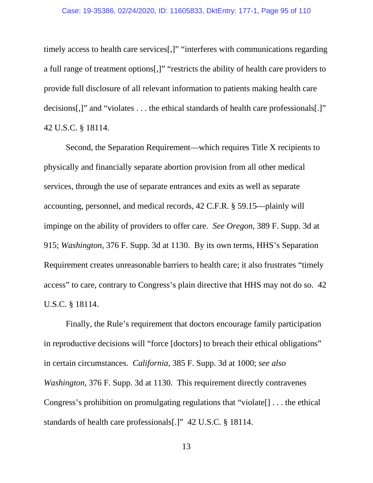timely access to health care services[,]" "interferes with communications regarding a full range of treatment options[,]" "restricts the ability of health care providers to provide full disclosure of all relevant information to patients making health care decisions[,]" and "violates . . . the ethical standards of health care professionals[.]" 42 U.S.C. § 18114.

Second, the Separation Requirement—which requires Title X recipients to physically and financially separate abortion provision from all other medical services, through the use of separate entrances and exits as well as separate accounting, personnel, and medical records, 42 C.F.R. § 59.15—plainly will impinge on the ability of providers to offer care. *See Oregon*, 389 F. Supp. 3d at 915; *Washington*, 376 F. Supp. 3d at 1130. By its own terms, HHS's Separation Requirement creates unreasonable barriers to health care; it also frustrates "timely access" to care, contrary to Congress's plain directive that HHS may not do so. 42 U.S.C. § 18114.

Finally, the Rule's requirement that doctors encourage family participation in reproductive decisions will "force [doctors] to breach their ethical obligations" in certain circumstances. *California*, 385 F. Supp. 3d at 1000; *see also Washington*, 376 F. Supp. 3d at 1130. This requirement directly contravenes Congress's prohibition on promulgating regulations that "violate[] . . . the ethical standards of health care professionals[.]" 42 U.S.C. § 18114.

13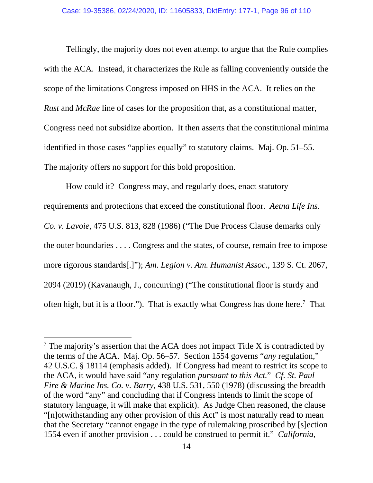Tellingly, the majority does not even attempt to argue that the Rule complies with the ACA. Instead, it characterizes the Rule as falling conveniently outside the scope of the limitations Congress imposed on HHS in the ACA. It relies on the *Rust* and *McRae* line of cases for the proposition that, as a constitutional matter, Congress need not subsidize abortion. It then asserts that the constitutional minima identified in those cases "applies equally" to statutory claims. Maj. Op. 51–55. The majority offers no support for this bold proposition.

How could it? Congress may, and regularly does, enact statutory requirements and protections that exceed the constitutional floor. *Aetna Life Ins. Co. v. Lavoie*, 475 U.S. 813, 828 (1986) ("The Due Process Clause demarks only the outer boundaries . . . . Congress and the states, of course, remain free to impose more rigorous standards[.]"); *Am. Legion v. Am. Humanist Assoc.*, 139 S. Ct. 2067, 2094 (2019) (Kavanaugh, J., concurring) ("The constitutional floor is sturdy and often high, but it is a floor."). That is exactly what Congress has done here.<sup>[7](#page-106-0)</sup> That

 $<sup>7</sup>$  The majority's assertion that the ACA does not impact Title X is contradicted by</sup> the terms of the ACA. Maj. Op. 56–57. Section 1554 governs "*any* regulation," 42 U.S.C. § 18114 (emphasis added). If Congress had meant to restrict its scope to the ACA, it would have said "any regulation *pursuant to this Act.*" *Cf. St. Paul Fire & Marine Ins. Co. v. Barry*, 438 U.S. 531, 550 (1978) (discussing the breadth of the word "any" and concluding that if Congress intends to limit the scope of statutory language, it will make that explicit). As Judge Chen reasoned, the clause "[n]otwithstanding any other provision of this Act" is most naturally read to mean that the Secretary "cannot engage in the type of rulemaking proscribed by [s]ection 1554 even if another provision . . . could be construed to permit it." *California*,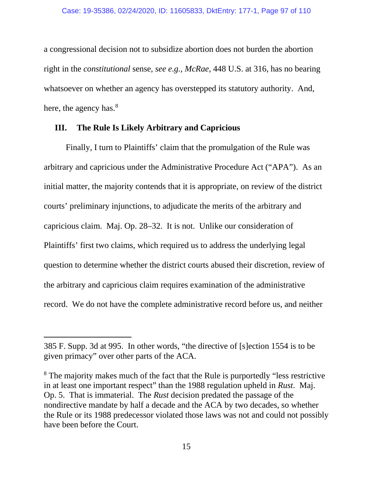a congressional decision not to subsidize abortion does not burden the abortion right in the *constitutional* sense, *see e.g., McRae*, 448 U.S. at 316, has no bearing whatsoever on whether an agency has overstepped its statutory authority. And, here, the agency has.<sup>8</sup>

## **III. The Rule Is Likely Arbitrary and Capricious**

Finally, I turn to Plaintiffs' claim that the promulgation of the Rule was arbitrary and capricious under the Administrative Procedure Act ("APA"). As an initial matter, the majority contends that it is appropriate, on review of the district courts' preliminary injunctions, to adjudicate the merits of the arbitrary and capricious claim. Maj. Op. 28–32.It is not. Unlike our consideration of Plaintiffs' first two claims, which required us to address the underlying legal question to determine whether the district courts abused their discretion, review of the arbitrary and capricious claim requires examination of the administrative record. We do not have the complete administrative record before us, and neither

<sup>385</sup> F. Supp. 3d at 995. In other words, "the directive of [s]ection 1554 is to be given primacy" over other parts of the ACA.

<sup>&</sup>lt;sup>8</sup> The majority makes much of the fact that the Rule is purportedly "less restrictive" in at least one important respect" than the 1988 regulation upheld in *Rust*. Maj. Op. 5. That is immaterial. The *Rust* decision predated the passage of the nondirective mandate by half a decade and the ACA by two decades, so whether the Rule or its 1988 predecessor violated those laws was not and could not possibly have been before the Court.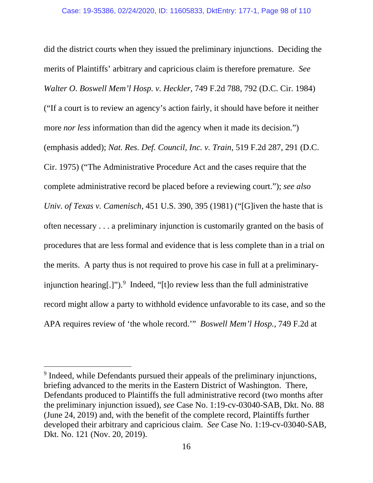did the district courts when they issued the preliminary injunctions. Deciding the merits of Plaintiffs' arbitrary and capricious claim is therefore premature. *See Walter O. Boswell Mem'l Hosp. v. Heckler*, 749 F.2d 788, 792 (D.C. Cir. 1984) ("If a court is to review an agency's action fairly, it should have before it neither more *nor less* information than did the agency when it made its decision.") (emphasis added); *Nat. Res. Def. Council, Inc. v. Train*, 519 F.2d 287, 291 (D.C. Cir. 1975) ("The Administrative Procedure Act and the cases require that the complete administrative record be placed before a reviewing court."); *see also Univ. of Texas v. Camenisch*, 451 U.S. 390, 395 (1981) ("[G]iven the haste that is often necessary . . . a preliminary injunction is customarily granted on the basis of procedures that are less formal and evidence that is less complete than in a trial on the merits. A party thus is not required to prove his case in full at a preliminaryinjunction hearing[.]"). [9](#page-106-0) Indeed, "[t]o review less than the full administrative record might allow a party to withhold evidence unfavorable to its case, and so the APA requires review of 'the whole record.'" *Boswell Mem'l Hosp.*, 749 F.2d at

<sup>9</sup> Indeed, while Defendants pursued their appeals of the preliminary injunctions, briefing advanced to the merits in the Eastern District of Washington. There, Defendants produced to Plaintiffs the full administrative record (two months after the preliminary injunction issued), *see* Case No. 1:19-cv-03040-SAB, Dkt. No. 88 (June 24, 2019) and, with the benefit of the complete record, Plaintiffs further developed their arbitrary and capricious claim. *See* Case No. 1:19-cv-03040-SAB, Dkt. No. 121 (Nov. 20, 2019).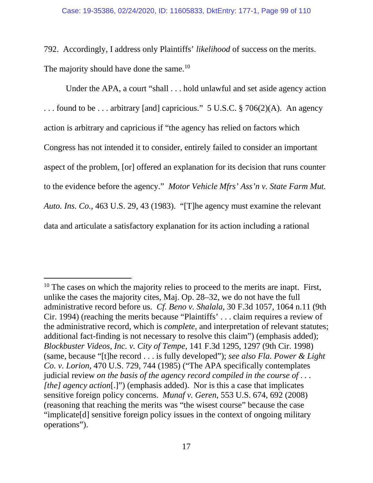792. Accordingly, I address only Plaintiffs' *likelihood* of success on the merits. The majority should have done the same.<sup>[10](#page-106-0)</sup>

Under the APA, a court "shall . . . hold unlawful and set aside agency action . . . found to be . . . arbitrary [and] capricious." 5 U.S.C. § 706(2)(A). An agency action is arbitrary and capricious if "the agency has relied on factors which Congress has not intended it to consider, entirely failed to consider an important aspect of the problem, [or] offered an explanation for its decision that runs counter to the evidence before the agency." *Motor Vehicle Mfrs' Ass'n v. State Farm Mut. Auto. Ins. Co.*, 463 U.S. 29, 43 (1983). "[T]he agency must examine the relevant data and articulate a satisfactory explanation for its action including a rational

 $10$  The cases on which the majority relies to proceed to the merits are inapt. First, unlike the cases the majority cites, Maj. Op. 28–32, we do not have the full administrative record before us. *Cf. Beno v. Shalala*, 30 F.3d 1057, 1064 n.11 (9th Cir. 1994) (reaching the merits because "Plaintiffs' . . . claim requires a review of the administrative record, which is *complete*, and interpretation of relevant statutes; additional fact-finding is not necessary to resolve this claim") (emphasis added); *Blockbuster Videos, Inc. v. City of Tempe*, 141 F.3d 1295, 1297 (9th Cir. 1998) (same, because "[t]he record . . . is fully developed"); *see also Fla. Power & Light Co. v. Lorion*, 470 U.S. 729, 744 (1985) ("The APA specifically contemplates judicial review *on the basis of the agency record compiled in the course of . . . [the] agency action*[.]") (emphasis added). Nor is this a case that implicates sensitive foreign policy concerns. *Munaf v. Geren*, 553 U.S. 674, 692 (2008) (reasoning that reaching the merits was "the wisest course" because the case "implicate[d] sensitive foreign policy issues in the context of ongoing military operations").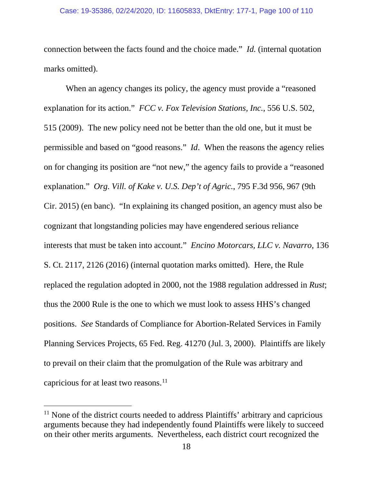connection between the facts found and the choice made." *Id.* (internal quotation marks omitted).

When an agency changes its policy, the agency must provide a "reasoned" explanation for its action." *FCC v. Fox Television Stations, Inc.*, 556 U.S. 502, 515 (2009). The new policy need not be better than the old one, but it must be permissible and based on "good reasons." *Id*. When the reasons the agency relies on for changing its position are "not new," the agency fails to provide a "reasoned explanation." *Org. Vill. of Kake v. U.S. Dep't of Agric.*, 795 F.3d 956, 967 (9th Cir. 2015) (en banc). "In explaining its changed position, an agency must also be cognizant that longstanding policies may have engendered serious reliance interests that must be taken into account." *Encino Motorcars, LLC v. Navarro*, 136 S. Ct. 2117, 2126 (2016) (internal quotation marks omitted). Here, the Rule replaced the regulation adopted in 2000, not the 1988 regulation addressed in *Rust*; thus the 2000 Rule is the one to which we must look to assess HHS's changed positions. *See* Standards of Compliance for Abortion-Related Services in Family Planning Services Projects, 65 Fed. Reg. 41270 (Jul. 3, 2000). Plaintiffs are likely to prevail on their claim that the promulgation of the Rule was arbitrary and capricious for at least two reasons. [11](#page-106-0)

<sup>&</sup>lt;sup>11</sup> None of the district courts needed to address Plaintiffs' arbitrary and capricious arguments because they had independently found Plaintiffs were likely to succeed on their other merits arguments. Nevertheless, each district court recognized the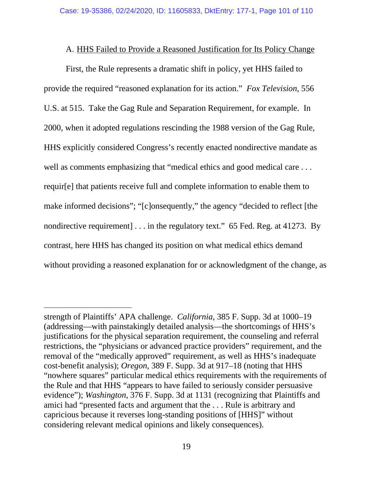# A. HHS Failed to Provide a Reasoned Justification for Its Policy Change

First, the Rule represents a dramatic shift in policy, yet HHS failed to provide the required "reasoned explanation for its action." *Fox Television*, 556 U.S. at 515. Take the Gag Rule and Separation Requirement, for example. In 2000, when it adopted regulations rescinding the 1988 version of the Gag Rule, HHS explicitly considered Congress's recently enacted nondirective mandate as well as comments emphasizing that "medical ethics and good medical care . . . requir[e] that patients receive full and complete information to enable them to make informed decisions"; "[c]onsequently," the agency "decided to reflect [the nondirective requirement] . . . in the regulatory text." 65 Fed. Reg. at 41273. By contrast, here HHS has changed its position on what medical ethics demand without providing a reasoned explanation for or acknowledgment of the change, as

strength of Plaintiffs' APA challenge. *California*, 385 F. Supp. 3d at 1000–19 (addressing—with painstakingly detailed analysis—the shortcomings of HHS's justifications for the physical separation requirement, the counseling and referral restrictions, the "physicians or advanced practice providers" requirement, and the removal of the "medically approved" requirement, as well as HHS's inadequate cost-benefit analysis); *Oregon*, 389 F. Supp. 3d at 917–18 (noting that HHS "nowhere squares" particular medical ethics requirements with the requirements of the Rule and that HHS "appears to have failed to seriously consider persuasive evidence"); *Washington*, 376 F. Supp. 3d at 1131 (recognizing that Plaintiffs and amici had "presented facts and argument that the . . . Rule is arbitrary and capricious because it reverses long-standing positions of [HHS]" without considering relevant medical opinions and likely consequences).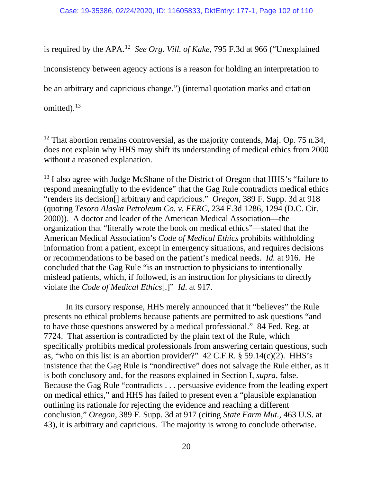is required by the APA.[12](#page-106-0) *See Org. Vill. of Kake*, 795 F.3d at 966 ("Unexplained inconsistency between agency actions is a reason for holding an interpretation to be an arbitrary and capricious change.") (internal quotation marks and citation omitted).<sup>13</sup>

 $13$  I also agree with Judge McShane of the District of Oregon that HHS's "failure to respond meaningfully to the evidence" that the Gag Rule contradicts medical ethics "renders its decision[] arbitrary and capricious." *Oregon*, 389 F. Supp. 3d at 918 (quoting *Tesoro Alaska Petroleum Co. v. FERC*, 234 F.3d 1286, 1294 (D.C. Cir. 2000)). A doctor and leader of the American Medical Association—the organization that "literally wrote the book on medical ethics"—stated that the American Medical Association's *Code of Medical Ethics* prohibits withholding information from a patient, except in emergency situations, and requires decisions or recommendations to be based on the patient's medical needs. *Id.* at 916. He concluded that the Gag Rule "is an instruction to physicians to intentionally mislead patients, which, if followed, is an instruction for physicians to directly violate the *Code of Medical Ethics*[.]" *Id*. at 917.

In its cursory response, HHS merely announced that it "believes" the Rule presents no ethical problems because patients are permitted to ask questions "and to have those questions answered by a medical professional." 84 Fed. Reg. at 7724. That assertion is contradicted by the plain text of the Rule, which specifically prohibits medical professionals from answering certain questions, such as, "who on this list is an abortion provider?"  $42$  C.F.R. § 59.14(c)(2). HHS's insistence that the Gag Rule is "nondirective" does not salvage the Rule either, as it is both conclusory and, for the reasons explained in Section I, *supra*, false. Because the Gag Rule "contradicts . . . persuasive evidence from the leading expert on medical ethics," and HHS has failed to present even a "plausible explanation outlining its rationale for rejecting the evidence and reaching a different conclusion," *Oregon*, 389 F. Supp. 3d at 917 (citing *State Farm Mut.*, 463 U.S. at 43), it is arbitrary and capricious. The majority is wrong to conclude otherwise.

 $12$  That abortion remains controversial, as the majority contends, Maj. Op. 75 n.34, does not explain why HHS may shift its understanding of medical ethics from 2000 without a reasoned explanation.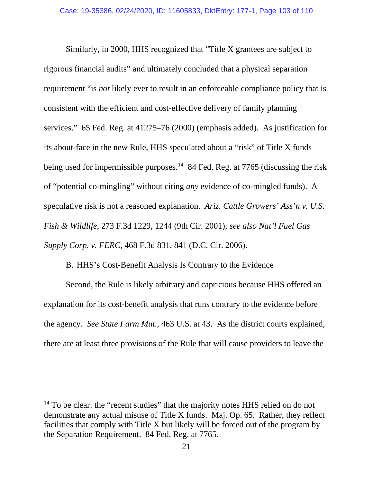Similarly, in 2000, HHS recognized that "Title X grantees are subject to rigorous financial audits" and ultimately concluded that a physical separation requirement "is *not* likely ever to result in an enforceable compliance policy that is consistent with the efficient and cost-effective delivery of family planning services." 65 Fed. Reg. at 41275–76 (2000) (emphasis added). As justification for its about-face in the new Rule, HHS speculated about a "risk" of Title X funds being used for impermissible purposes.<sup>[14](#page-106-0)</sup> 84 Fed. Reg. at 7765 (discussing the risk of "potential co-mingling" without citing *any* evidence of co-mingled funds). A speculative risk is not a reasoned explanation. *Ariz. Cattle Growers' Ass'n v. U.S. Fish & Wildlife*, 273 F.3d 1229, 1244 (9th Cir. 2001); *see also Nat'l Fuel Gas Supply Corp. v. FERC*, 468 F.3d 831, 841 (D.C. Cir. 2006).

# B. HHS's Cost-Benefit Analysis Is Contrary to the Evidence

Second, the Rule is likely arbitrary and capricious because HHS offered an explanation for its cost-benefit analysis that runs contrary to the evidence before the agency. *See State Farm Mut.*, 463 U.S. at 43. As the district courts explained, there are at least three provisions of the Rule that will cause providers to leave the

<sup>&</sup>lt;sup>14</sup> To be clear: the "recent studies" that the majority notes HHS relied on do not demonstrate any actual misuse of Title X funds. Maj. Op. 65.Rather, they reflect facilities that comply with Title X but likely will be forced out of the program by the Separation Requirement. 84 Fed. Reg. at 7765.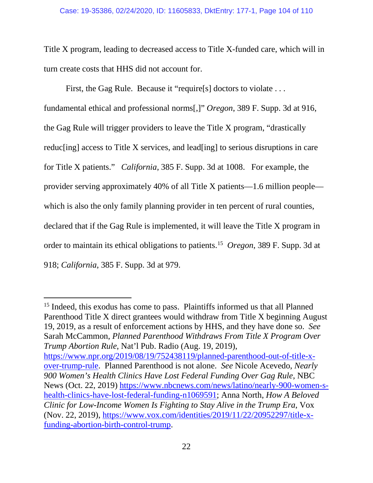Title X program, leading to decreased access to Title X-funded care, which will in turn create costs that HHS did not account for.

First, the Gag Rule. Because it "require<sup>[s]</sup> doctors to violate . . . fundamental ethical and professional norms[,]" *Oregon*, 389 F. Supp. 3d at 916, the Gag Rule will trigger providers to leave the Title X program, "drastically reduc[ing] access to Title X services, and lead[ing] to serious disruptions in care for Title X patients." *California*, 385 F. Supp. 3d at 1008. For example, the provider serving approximately 40% of all Title X patients—1.6 million people which is also the only family planning provider in ten percent of rural counties, declared that if the Gag Rule is implemented, it will leave the Title X program in order to maintain its ethical obligations to patients.[15](#page-106-0) *Oregon*, 389 F. Supp. 3d at 918; *California*, 385 F. Supp. 3d at 979.

<sup>15</sup> Indeed, this exodus has come to pass. Plaintiffs informed us that all Planned Parenthood Title X direct grantees would withdraw from Title X beginning August 19, 2019, as a result of enforcement actions by HHS, and they have done so. *See*  Sarah McCammon, *Planned Parenthood Withdraws From Title X Program Over Trump Abortion Rule*, Nat'l Pub. Radio (Aug. 19, 2019), [https://www.npr.org/2019/08/19/752438119/planned-parenthood-out-of-title-x](https://www.npr.org/2019/08/19/752438119/planned-parenthood-out-of-title-x-over-trump-rule)[over-trump-rule.](https://www.npr.org/2019/08/19/752438119/planned-parenthood-out-of-title-x-over-trump-rule) Planned Parenthood is not alone. *See* Nicole Acevedo, *Nearly 900 Women's Health Clinics Have Lost Federal Funding Over Gag Rule*, NBC News (Oct. 22, 2019) [https://www.nbcnews.com/news/latino/nearly-900-women-s](https://www.nbcnews.com/news/latino/nearly-900-women-s-health-clinics-have-lost-federal-funding-n1069591)[health-clinics-have-lost-federal-funding-n1069591;](https://www.nbcnews.com/news/latino/nearly-900-women-s-health-clinics-have-lost-federal-funding-n1069591) Anna North, *How A Beloved Clinic for Low-Income Women Is Fighting to Stay Alive in the Trump Era*, Vox (Nov. 22, 2019), [https://www.vox.com/identities/2019/11/22/20952297/title-x](https://www.vox.com/identities/2019/11/22/20952297/title-x-funding-abortion-birth-control-trump)[funding-abortion-birth-control-trump.](https://www.vox.com/identities/2019/11/22/20952297/title-x-funding-abortion-birth-control-trump)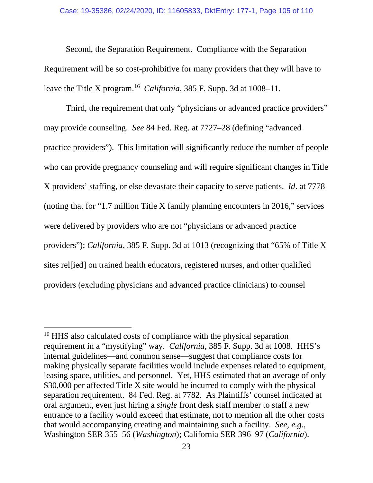Second, the Separation Requirement. Compliance with the Separation Requirement will be so cost-prohibitive for many providers that they will have to leave the Title X program. [16](#page-106-0) *California*, 385 F. Supp. 3d at 1008–11.

Third, the requirement that only "physicians or advanced practice providers" may provide counseling. *See* 84 Fed. Reg. at 7727–28 (defining "advanced practice providers"). This limitation will significantly reduce the number of people who can provide pregnancy counseling and will require significant changes in Title X providers' staffing, or else devastate their capacity to serve patients. *Id*. at 7778 (noting that for "1.7 million Title X family planning encounters in 2016," services were delivered by providers who are not "physicians or advanced practice providers"); *California*, 385 F. Supp. 3d at 1013 (recognizing that "65% of Title X sites rel[ied] on trained health educators, registered nurses, and other qualified providers (excluding physicians and advanced practice clinicians) to counsel

<sup>&</sup>lt;sup>16</sup> HHS also calculated costs of compliance with the physical separation requirement in a "mystifying" way. *California*, 385 F. Supp. 3d at 1008. HHS's internal guidelines—and common sense—suggest that compliance costs for making physically separate facilities would include expenses related to equipment, leasing space, utilities, and personnel. Yet, HHS estimated that an average of only \$30,000 per affected Title X site would be incurred to comply with the physical separation requirement. 84 Fed. Reg. at 7782. As Plaintiffs' counsel indicated at oral argument, even just hiring a *single* front desk staff member to staff a new entrance to a facility would exceed that estimate, not to mention all the other costs that would accompanying creating and maintaining such a facility. *See, e.g.,*  Washington SER 355–56 (*Washington*); California SER 396–97 (*California*).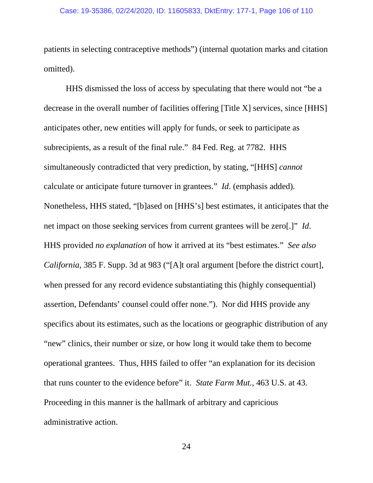patients in selecting contraceptive methods") (internal quotation marks and citation omitted).

HHS dismissed the loss of access by speculating that there would not "be a decrease in the overall number of facilities offering [Title X] services, since [HHS] anticipates other, new entities will apply for funds, or seek to participate as subrecipients, as a result of the final rule." 84 Fed. Reg. at 7782. HHS simultaneously contradicted that very prediction, by stating, "[HHS] *cannot* calculate or anticipate future turnover in grantees." *Id*. (emphasis added). Nonetheless, HHS stated, "[b]ased on [HHS's] best estimates, it anticipates that the net impact on those seeking services from current grantees will be zero[.]" *Id*. HHS provided *no explanation* of how it arrived at its "best estimates." *See also California*, 385 F. Supp. 3d at 983 ("[A]t oral argument [before the district court], when pressed for any record evidence substantiating this (highly consequential) assertion, Defendants' counsel could offer none."). Nor did HHS provide any specifics about its estimates, such as the locations or geographic distribution of any "new" clinics, their number or size, or how long it would take them to become operational grantees. Thus, HHS failed to offer "an explanation for its decision that runs counter to the evidence before" it. *State Farm Mut.*, 463 U.S. at 43. Proceeding in this manner is the hallmark of arbitrary and capricious administrative action.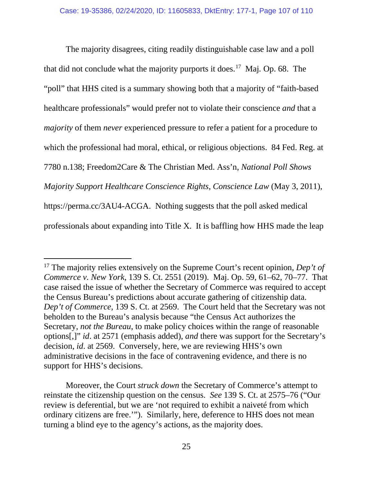The majority disagrees, citing readily distinguishable case law and a poll that did not conclude what the majority purports it does.[17](#page-106-0) Maj*.* Op. 68. The "poll" that HHS cited is a summary showing both that a majority of "faith-based healthcare professionals" would prefer not to violate their conscience *and* that a *majority* of them *never* experienced pressure to refer a patient for a procedure to which the professional had moral, ethical, or religious objections. 84 Fed. Reg. at 7780 n.138; Freedom2Care & The Christian Med. Ass'n, *National Poll Shows Majority Support Healthcare Conscience Rights, Conscience Law* (May 3, 2011), https://perma.cc/3AU4-ACGA. Nothing suggests that the poll asked medical professionals about expanding into Title X. It is baffling how HHS made the leap

Moreover, the Court *struck down* the Secretary of Commerce's attempt to reinstate the citizenship question on the census. *See* 139 S. Ct. at 2575–76 ("Our review is deferential, but we are 'not required to exhibit a naiveté from which ordinary citizens are free.'"). Similarly, here, deference to HHS does not mean turning a blind eye to the agency's actions, as the majority does.

<span id="page-106-0"></span><sup>&</sup>lt;sup>17</sup> The majority relies extensively on the Supreme Court's recent opinion, *Dep't of Commerce v. New York*, 139 S. Ct. 2551 (2019). Maj. Op. 59, 61–62, 70–77. That case raised the issue of whether the Secretary of Commerce was required to accept the Census Bureau's predictions about accurate gathering of citizenship data. *Dep't of Commerce*, 139 S. Ct. at 2569. The Court held that the Secretary was not beholden to the Bureau's analysis because "the Census Act authorizes the Secretary, *not the Bureau*, to make policy choices within the range of reasonable options[,]" *id*. at 2571 (emphasis added), *and* there was support for the Secretary's decision, *id*. at 2569. Conversely, here, we are reviewing HHS's own administrative decisions in the face of contravening evidence, and there is no support for HHS's decisions.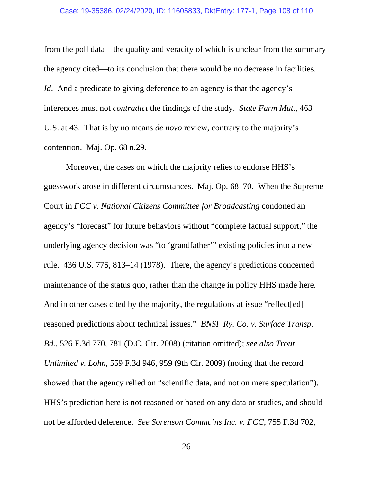from the poll data—the quality and veracity of which is unclear from the summary the agency cited—to its conclusion that there would be no decrease in facilities. *Id.* And a predicate to giving deference to an agency is that the agency's inferences must not *contradict* the findings of the study. *State Farm Mut.*, 463 U.S. at 43. That is by no means *de novo* review, contrary to the majority's contention. Maj. Op. 68 n.29.

Moreover, the cases on which the majority relies to endorse HHS's guesswork arose in different circumstances. Maj. Op. 68–70.When the Supreme Court in *FCC v. National Citizens Committee for Broadcasting* condoned an agency's "forecast" for future behaviors without "complete factual support," the underlying agency decision was "to 'grandfather'" existing policies into a new rule. 436 U.S. 775, 813–14 (1978). There, the agency's predictions concerned maintenance of the status quo, rather than the change in policy HHS made here. And in other cases cited by the majority, the regulations at issue "reflect[ed] reasoned predictions about technical issues." *BNSF Ry. Co. v. Surface Transp. Bd.*, 526 F.3d 770, 781 (D.C. Cir. 2008) (citation omitted); *see also Trout Unlimited v. Lohn*, 559 F.3d 946, 959 (9th Cir. 2009) (noting that the record showed that the agency relied on "scientific data, and not on mere speculation"). HHS's prediction here is not reasoned or based on any data or studies, and should not be afforded deference. *See Sorenson Commc'ns Inc. v. FCC*, 755 F.3d 702,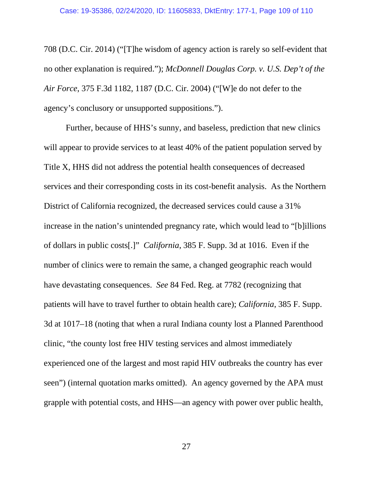708 (D.C. Cir. 2014) ("[T]he wisdom of agency action is rarely so self-evident that no other explanation is required."); *McDonnell Douglas Corp. v. U.S. Dep't of the Air Force*, 375 F.3d 1182, 1187 (D.C. Cir. 2004) ("[W]e do not defer to the agency's conclusory or unsupported suppositions.").

Further, because of HHS's sunny, and baseless, prediction that new clinics will appear to provide services to at least 40% of the patient population served by Title X, HHS did not address the potential health consequences of decreased services and their corresponding costs in its cost-benefit analysis. As the Northern District of California recognized, the decreased services could cause a 31% increase in the nation's unintended pregnancy rate, which would lead to "[b]illions of dollars in public costs[.]" *California*, 385 F. Supp. 3d at 1016. Even if the number of clinics were to remain the same, a changed geographic reach would have devastating consequences. *See* 84 Fed. Reg. at 7782 (recognizing that patients will have to travel further to obtain health care); *California*, 385 F. Supp. 3d at 1017–18 (noting that when a rural Indiana county lost a Planned Parenthood clinic, "the county lost free HIV testing services and almost immediately experienced one of the largest and most rapid HIV outbreaks the country has ever seen") (internal quotation marks omitted). An agency governed by the APA must grapple with potential costs, and HHS—an agency with power over public health,

27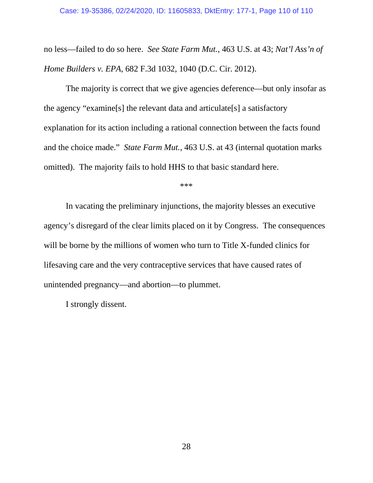no less—failed to do so here. *See State Farm Mut.*, 463 U.S. at 43; *Nat'l Ass'n of Home Builders v. EPA*, 682 F.3d 1032, 1040 (D.C. Cir. 2012).

The majority is correct that we give agencies deference—but only insofar as the agency "examine[s] the relevant data and articulate[s] a satisfactory explanation for its action including a rational connection between the facts found and the choice made." *State Farm Mut.*, 463 U.S. at 43 (internal quotation marks omitted). The majority fails to hold HHS to that basic standard here.

\*\*\*

In vacating the preliminary injunctions, the majority blesses an executive agency's disregard of the clear limits placed on it by Congress. The consequences will be borne by the millions of women who turn to Title X-funded clinics for lifesaving care and the very contraceptive services that have caused rates of unintended pregnancy—and abortion—to plummet.

I strongly dissent.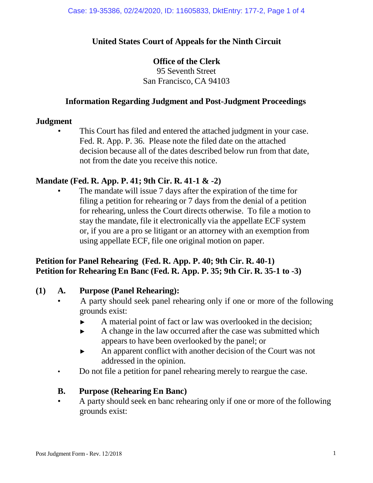## **United States Court of Appeals for the Ninth Circuit**

## **Office of the Clerk**

95 Seventh Street San Francisco, CA 94103

#### **Information Regarding Judgment and Post-Judgment Proceedings**

#### **Judgment**

This Court has filed and entered the attached judgment in your case. Fed. R. App. P. 36. Please note the filed date on the attached decision because all of the dates described below run from that date, not from the date you receive this notice.

## **Mandate (Fed. R. App. P. 41; 9th Cir. R. 41-1 & -2)**

The mandate will issue 7 days after the expiration of the time for filing a petition for rehearing or 7 days from the denial of a petition for rehearing, unless the Court directs otherwise. To file a motion to stay the mandate, file it electronically via the appellate ECF system or, if you are a pro se litigant or an attorney with an exemption from using appellate ECF, file one original motion on paper.

## **Petition for Panel Rehearing (Fed. R. App. P. 40; 9th Cir. R. 40-1) Petition for Rehearing En Banc (Fed. R. App. P. 35; 9th Cir. R. 35-1 to -3)**

#### **(1) A. Purpose (Panel Rehearing):**

- A party should seek panel rehearing only if one or more of the following grounds exist:
	- ► A material point of fact or law was overlooked in the decision;
	- ► A change in the law occurred after the case was submitted which appears to have been overlooked by the panel; or
	- ► An apparent conflict with another decision of the Court was not addressed in the opinion.
- Do not file a petition for panel rehearing merely to reargue the case.

#### **B. Purpose (Rehearing En Banc)**

• A party should seek en banc rehearing only if one or more of the following grounds exist: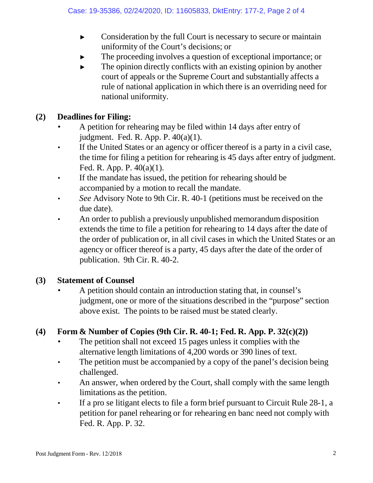- ► Consideration by the full Court is necessary to secure or maintain uniformity of the Court's decisions; or
- The proceeding involves a question of exceptional importance; or
- $\blacktriangleright$  The opinion directly conflicts with an existing opinion by another court of appeals or the Supreme Court and substantially affects a rule of national application in which there is an overriding need for national uniformity.

## **(2) Deadlines for Filing:**

- A petition for rehearing may be filed within 14 days after entry of judgment. Fed. R. App. P. 40(a)(1).
- If the United States or an agency or officer thereof is a party in a civil case, the time for filing a petition for rehearing is 45 days after entry of judgment. Fed. R. App. P. 40(a)(1).
- If the mandate has issued, the petition for rehearing should be accompanied by a motion to recall the mandate.
- *See* Advisory Note to 9th Cir. R. 40-1 (petitions must be received on the due date).
- An order to publish a previously unpublished memorandum disposition extends the time to file a petition for rehearing to 14 days after the date of the order of publication or, in all civil cases in which the United States or an agency or officer thereof is a party, 45 days after the date of the order of publication. 9th Cir. R. 40-2.

## **(3) Statement of Counsel**

• A petition should contain an introduction stating that, in counsel's judgment, one or more of the situations described in the "purpose" section above exist. The points to be raised must be stated clearly.

# **(4) Form & Number of Copies (9th Cir. R. 40-1; Fed. R. App. P. 32(c)(2))**

- The petition shall not exceed 15 pages unless it complies with the alternative length limitations of 4,200 words or 390 lines of text.
- The petition must be accompanied by a copy of the panel's decision being challenged.
- An answer, when ordered by the Court, shall comply with the same length limitations as the petition.
- If a pro se litigant elects to file a form brief pursuant to Circuit Rule 28-1, a petition for panel rehearing or for rehearing en banc need not comply with Fed. R. App. P. 32.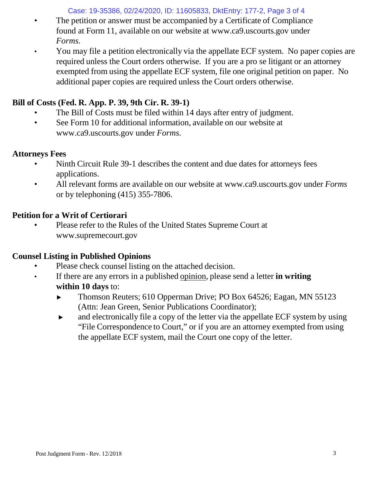Case: 19-35386, 02/24/2020, ID: 11605833, DktEntry: 177-2, Page 3 of 4

- The petition or answer must be accompanied by a Certificate of Compliance found at Form 11, available on our website [at www.ca9.uscourts.gov](http://www.ca9.uscourts.gov/) under *Forms.*
- You may file a petition electronically via the appellate ECF system. No paper copies are required unless the Court orders otherwise. If you are a pro se litigant or an attorney exempted from using the appellate ECF system, file one original petition on paper. No additional paper copies are required unless the Court orders otherwise.

# **Bill of Costs (Fed. R. App. P. 39, 9th Cir. R. 39-1)**

- The Bill of Costs must be filed within 14 days after entry of judgment.
- See Form 10 for addi[t](http://www.ca9.uscourts.gov/)ional information, available on our website at [www.ca9.uscourts.gov](http://www.ca9.uscourts.gov/) under *Forms.*

## **Attorneys Fees**

- Ninth Circuit Rule 39-1 describes the content and due dates for attorneys fees applications.
- All relevant forms are available on our website at [www.ca9.uscourts.gov](http://www.ca9.uscourts.gov/) under *Forms* or by telephoning (415) 355-7806.

# **Petition for a Writ of Certiorari**

• Please refer to the Rules of the United States Supreme Court a[t](http://www.supremecourt.gov/) [www.supremecourt.gov](http://www.supremecourt.gov/)

# **Counsel Listing in Published Opinions**

- Please check counsel listing on the attached decision.
- If there are any errors in a published opinion, please send a letter **in writing within 10 days** to:
	- ► Thomson Reuters; 610 Opperman Drive; PO Box 64526; Eagan, MN 55123 (Attn: Jean Green, Senior Publications Coordinator);
	- ► and electronically file a copy of the letter via the appellate ECF system by using "File Correspondence to Court," or if you are an attorney exempted from using the appellate ECF system, mail the Court one copy of the letter.